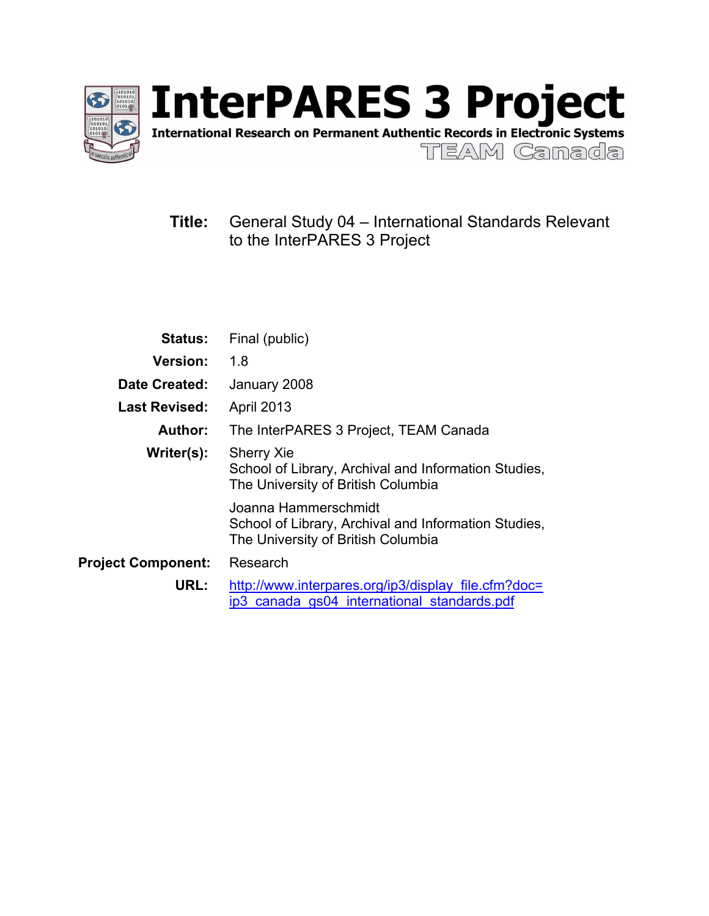

InterPARES 3 Project

TEAM Canada

# **Title:** General Study 04 – International Standards Relevant to the InterPARES 3 Project

| <b>Status:</b>            | Final (public)                                                                                                     |
|---------------------------|--------------------------------------------------------------------------------------------------------------------|
| <b>Version:</b>           | 1.8                                                                                                                |
| Date Created:             | January 2008                                                                                                       |
| <b>Last Revised:</b>      | <b>April 2013</b>                                                                                                  |
| Author:                   | The InterPARES 3 Project, TEAM Canada                                                                              |
| Writer(s):                | <b>Sherry Xie</b><br>School of Library, Archival and Information Studies,<br>The University of British Columbia    |
|                           | Joanna Hammerschmidt<br>School of Library, Archival and Information Studies,<br>The University of British Columbia |
| <b>Project Component:</b> | Research                                                                                                           |
| URL:                      | http://www.interpares.org/ip3/display file.cfm?doc=<br>ip3 canada gs04 international standards.pdf                 |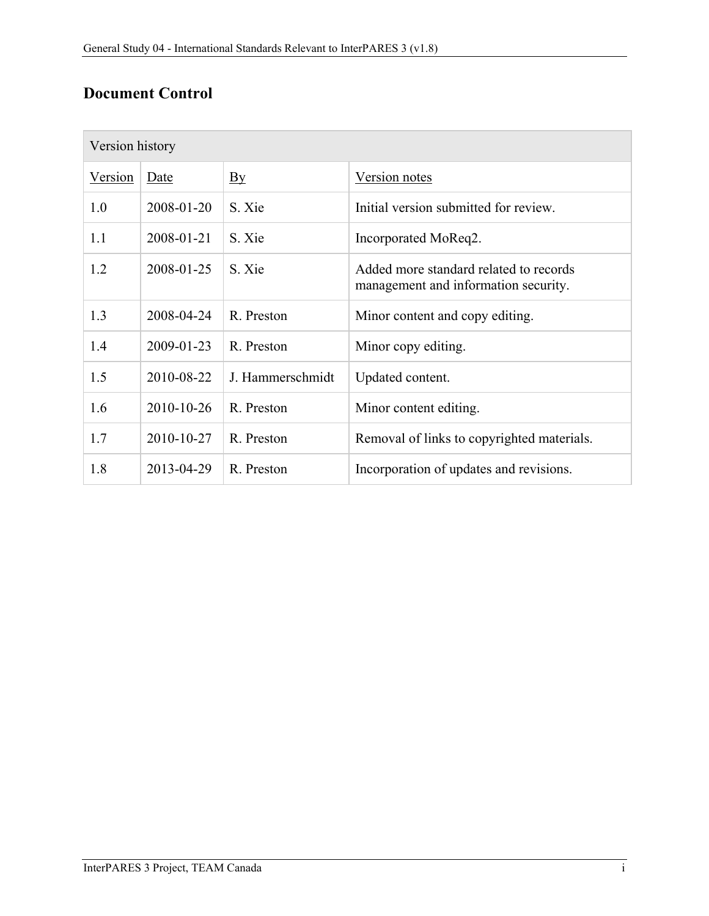# **Document Control**

| Version history |            |                                   |                                                                                |  |
|-----------------|------------|-----------------------------------|--------------------------------------------------------------------------------|--|
| Version         | Date       | $\overline{\mathbf{B}}\mathbf{y}$ | Version notes                                                                  |  |
| 1.0             | 2008-01-20 | S. Xie                            | Initial version submitted for review.                                          |  |
| 1.1             | 2008-01-21 | S. Xie                            | Incorporated MoReq2.                                                           |  |
| 1.2             | 2008-01-25 | S. Xie                            | Added more standard related to records<br>management and information security. |  |
| 1.3             | 2008-04-24 | R. Preston                        | Minor content and copy editing.                                                |  |
| 1.4             | 2009-01-23 | R. Preston                        | Minor copy editing.                                                            |  |
| 1.5             | 2010-08-22 | J. Hammerschmidt                  | Updated content.                                                               |  |
| 1.6             | 2010-10-26 | R. Preston                        | Minor content editing.                                                         |  |
| 1.7             | 2010-10-27 | R. Preston                        | Removal of links to copyrighted materials.                                     |  |
| 1.8             | 2013-04-29 | R. Preston                        | Incorporation of updates and revisions.                                        |  |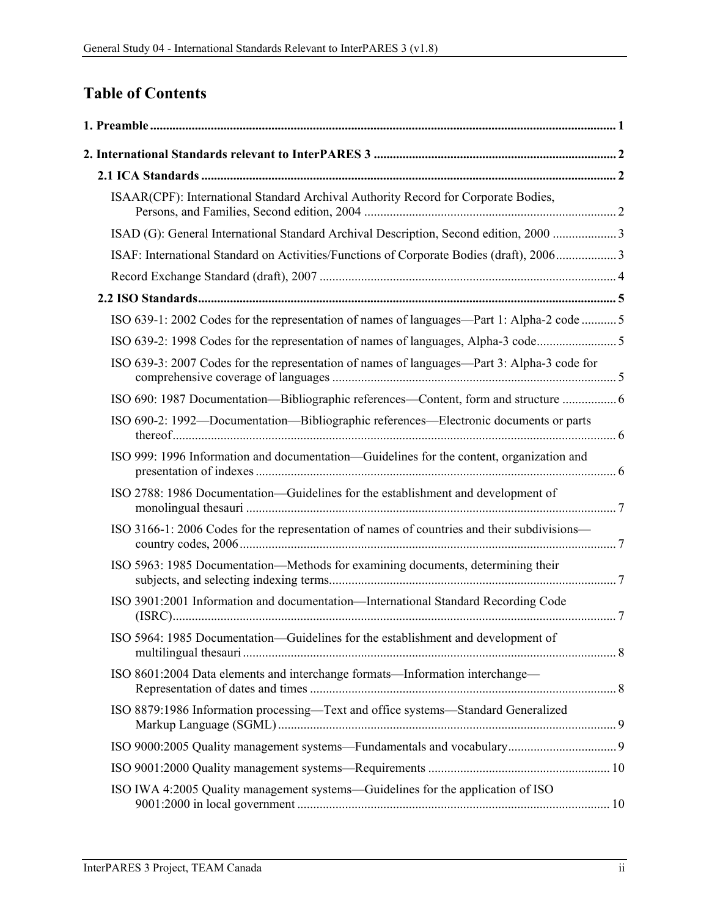# **Table of Contents**

| ISAAR(CPF): International Standard Archival Authority Record for Corporate Bodies,          |  |
|---------------------------------------------------------------------------------------------|--|
| ISAD (G): General International Standard Archival Description, Second edition, 2000  3      |  |
| ISAF: International Standard on Activities/Functions of Corporate Bodies (draft), 2006 3    |  |
|                                                                                             |  |
|                                                                                             |  |
| ISO 639-1: 2002 Codes for the representation of names of languages—Part 1: Alpha-2 code  5  |  |
| ISO 639-2: 1998 Codes for the representation of names of languages, Alpha-3 code5           |  |
| ISO 639-3: 2007 Codes for the representation of names of languages—Part 3: Alpha-3 code for |  |
| ISO 690: 1987 Documentation-Bibliographic references-Content, form and structure  6         |  |
| ISO 690-2: 1992—Documentation—Bibliographic references—Electronic documents or parts        |  |
| ISO 999: 1996 Information and documentation—Guidelines for the content, organization and    |  |
| ISO 2788: 1986 Documentation-Guidelines for the establishment and development of            |  |
| ISO 3166-1: 2006 Codes for the representation of names of countries and their subdivisions- |  |
| ISO 5963: 1985 Documentation—Methods for examining documents, determining their             |  |
| ISO 3901:2001 Information and documentation—International Standard Recording Code           |  |
| ISO 5964: 1985 Documentation-Guidelines for the establishment and development of            |  |
| ISO 8601:2004 Data elements and interchange formats-Information interchange-                |  |
| ISO 8879:1986 Information processing-Text and office systems-Standard Generalized           |  |
|                                                                                             |  |
|                                                                                             |  |
| ISO IWA 4:2005 Quality management systems—Guidelines for the application of ISO             |  |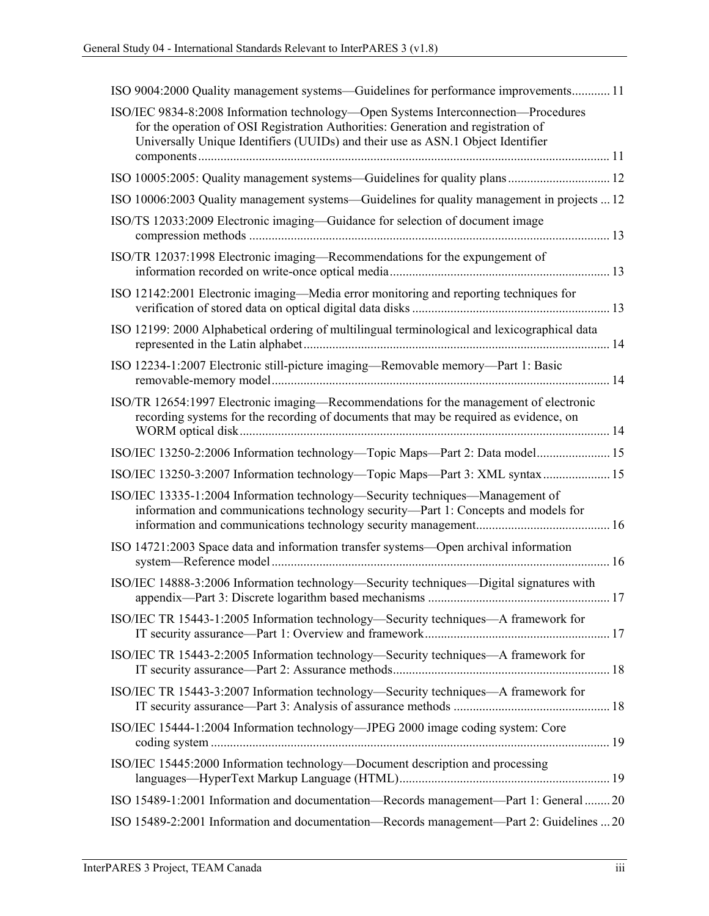| ISO 9004:2000 Quality management systems—Guidelines for performance improvements 11                                                                                                                                                                        |
|------------------------------------------------------------------------------------------------------------------------------------------------------------------------------------------------------------------------------------------------------------|
| ISO/IEC 9834-8:2008 Information technology—Open Systems Interconnection—Procedures<br>for the operation of OSI Registration Authorities: Generation and registration of<br>Universally Unique Identifiers (UUIDs) and their use as ASN.1 Object Identifier |
| ISO 10005:2005: Quality management systems—Guidelines for quality plans 12                                                                                                                                                                                 |
| ISO 10006:2003 Quality management systems—Guidelines for quality management in projects  12                                                                                                                                                                |
| ISO/TS 12033:2009 Electronic imaging—Guidance for selection of document image                                                                                                                                                                              |
| ISO/TR 12037:1998 Electronic imaging—Recommendations for the expungement of                                                                                                                                                                                |
| ISO 12142:2001 Electronic imaging—Media error monitoring and reporting techniques for                                                                                                                                                                      |
| ISO 12199: 2000 Alphabetical ordering of multilingual terminological and lexicographical data                                                                                                                                                              |
| ISO 12234-1:2007 Electronic still-picture imaging—Removable memory—Part 1: Basic                                                                                                                                                                           |
| ISO/TR 12654:1997 Electronic imaging—Recommendations for the management of electronic<br>recording systems for the recording of documents that may be required as evidence, on                                                                             |
| ISO/IEC 13250-2:2006 Information technology—Topic Maps—Part 2: Data model 15                                                                                                                                                                               |
| ISO/IEC 13250-3:2007 Information technology—Topic Maps—Part 3: XML syntax  15                                                                                                                                                                              |
| ISO/IEC 13335-1:2004 Information technology—Security techniques—Management of<br>information and communications technology security-Part 1: Concepts and models for                                                                                        |
| ISO 14721:2003 Space data and information transfer systems—Open archival information                                                                                                                                                                       |
| ISO/IEC 14888-3:2006 Information technology—Security techniques—Digital signatures with                                                                                                                                                                    |
| ISO/IEC TR 15443-1:2005 Information technology—Security techniques—A framework for                                                                                                                                                                         |
| ISO/IEC TR 15443-2:2005 Information technology—Security techniques—A framework for                                                                                                                                                                         |
| ISO/IEC TR 15443-3:2007 Information technology—Security techniques—A framework for                                                                                                                                                                         |
| ISO/IEC 15444-1:2004 Information technology—JPEG 2000 image coding system: Core                                                                                                                                                                            |
| ISO/IEC 15445:2000 Information technology—Document description and processing                                                                                                                                                                              |
| ISO 15489-1:2001 Information and documentation-Records management-Part 1: General  20                                                                                                                                                                      |
| ISO 15489-2:2001 Information and documentation-Records management-Part 2: Guidelines  20                                                                                                                                                                   |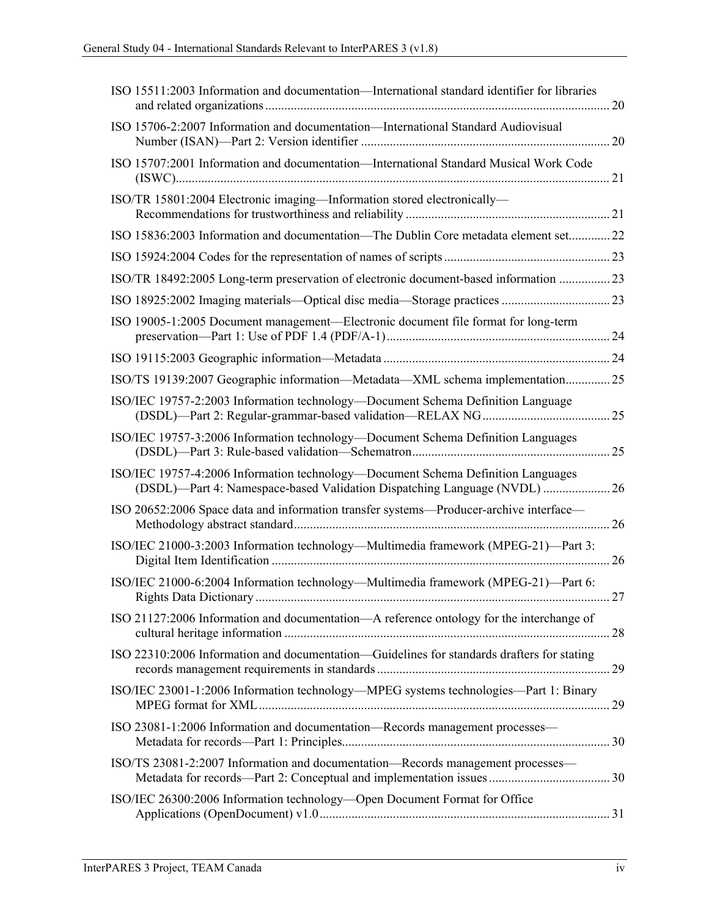| ISO 15511:2003 Information and documentation—International standard identifier for libraries                                                                  |  |
|---------------------------------------------------------------------------------------------------------------------------------------------------------------|--|
| ISO 15706-2:2007 Information and documentation—International Standard Audiovisual                                                                             |  |
| ISO 15707:2001 Information and documentation—International Standard Musical Work Code                                                                         |  |
| ISO/TR 15801:2004 Electronic imaging-Information stored electronically-                                                                                       |  |
| ISO 15836:2003 Information and documentation—The Dublin Core metadata element set22                                                                           |  |
|                                                                                                                                                               |  |
| ISO/TR 18492:2005 Long-term preservation of electronic document-based information 23                                                                          |  |
|                                                                                                                                                               |  |
| ISO 19005-1:2005 Document management—Electronic document file format for long-term                                                                            |  |
|                                                                                                                                                               |  |
| ISO/TS 19139:2007 Geographic information—Metadata—XML schema implementation25                                                                                 |  |
| ISO/IEC 19757-2:2003 Information technology—Document Schema Definition Language                                                                               |  |
| ISO/IEC 19757-3:2006 Information technology—Document Schema Definition Languages                                                                              |  |
| ISO/IEC 19757-4:2006 Information technology—Document Schema Definition Languages<br>(DSDL)—Part 4: Namespace-based Validation Dispatching Language (NVDL)  26 |  |
| ISO 20652:2006 Space data and information transfer systems—Producer-archive interface—                                                                        |  |
| ISO/IEC 21000-3:2003 Information technology—Multimedia framework (MPEG-21)—Part 3:                                                                            |  |
| ISO/IEC 21000-6:2004 Information technology-Multimedia framework (MPEG-21)-Part 6:                                                                            |  |
| ISO 21127:2006 Information and documentation-A reference ontology for the interchange of                                                                      |  |
| ISO 22310:2006 Information and documentation—Guidelines for standards drafters for stating                                                                    |  |
| ISO/IEC 23001-1:2006 Information technology-MPEG systems technologies-Part 1: Binary                                                                          |  |
| ISO 23081-1:2006 Information and documentation-Records management processes-                                                                                  |  |
| ISO/TS 23081-2:2007 Information and documentation-Records management processes-                                                                               |  |
| ISO/IEC 26300:2006 Information technology-Open Document Format for Office                                                                                     |  |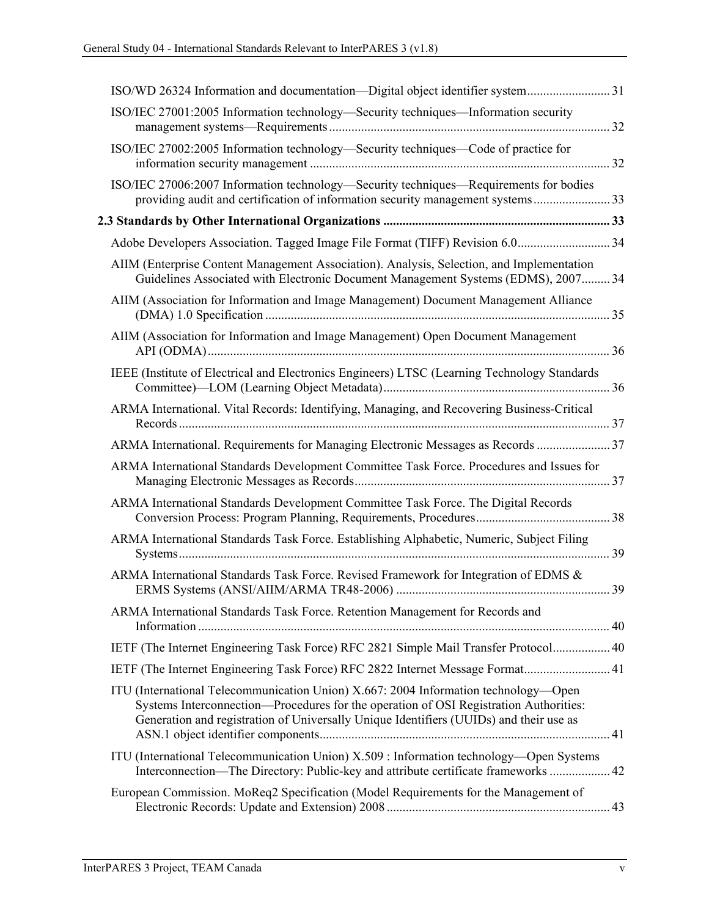| ISO/IEC 27001:2005 Information technology—Security techniques—Information security                                                                                                                                                                                     |  |
|------------------------------------------------------------------------------------------------------------------------------------------------------------------------------------------------------------------------------------------------------------------------|--|
| ISO/IEC 27002:2005 Information technology—Security techniques—Code of practice for                                                                                                                                                                                     |  |
| ISO/IEC 27006:2007 Information technology—Security techniques—Requirements for bodies<br>providing audit and certification of information security management systems 33                                                                                               |  |
|                                                                                                                                                                                                                                                                        |  |
| Adobe Developers Association. Tagged Image File Format (TIFF) Revision 6.034                                                                                                                                                                                           |  |
| AIIM (Enterprise Content Management Association). Analysis, Selection, and Implementation<br>Guidelines Associated with Electronic Document Management Systems (EDMS), 2007 34                                                                                         |  |
| AIIM (Association for Information and Image Management) Document Management Alliance                                                                                                                                                                                   |  |
| AIIM (Association for Information and Image Management) Open Document Management                                                                                                                                                                                       |  |
| IEEE (Institute of Electrical and Electronics Engineers) LTSC (Learning Technology Standards                                                                                                                                                                           |  |
| ARMA International. Vital Records: Identifying, Managing, and Recovering Business-Critical                                                                                                                                                                             |  |
| ARMA International. Requirements for Managing Electronic Messages as Records  37                                                                                                                                                                                       |  |
| ARMA International Standards Development Committee Task Force. Procedures and Issues for                                                                                                                                                                               |  |
| ARMA International Standards Development Committee Task Force. The Digital Records                                                                                                                                                                                     |  |
| ARMA International Standards Task Force. Establishing Alphabetic, Numeric, Subject Filing                                                                                                                                                                              |  |
| ARMA International Standards Task Force. Revised Framework for Integration of EDMS &                                                                                                                                                                                   |  |
| ARMA International Standards Task Force. Retention Management for Records and                                                                                                                                                                                          |  |
| IETF (The Internet Engineering Task Force) RFC 2821 Simple Mail Transfer Protocol 40                                                                                                                                                                                   |  |
| IETF (The Internet Engineering Task Force) RFC 2822 Internet Message Format 41                                                                                                                                                                                         |  |
| ITU (International Telecommunication Union) X.667: 2004 Information technology—Open<br>Systems Interconnection—Procedures for the operation of OSI Registration Authorities:<br>Generation and registration of Universally Unique Identifiers (UUIDs) and their use as |  |
| ITU (International Telecommunication Union) X.509 : Information technology—Open Systems<br>Interconnection—The Directory: Public-key and attribute certificate frameworks  42                                                                                          |  |
| European Commission. MoReq2 Specification (Model Requirements for the Management of                                                                                                                                                                                    |  |
|                                                                                                                                                                                                                                                                        |  |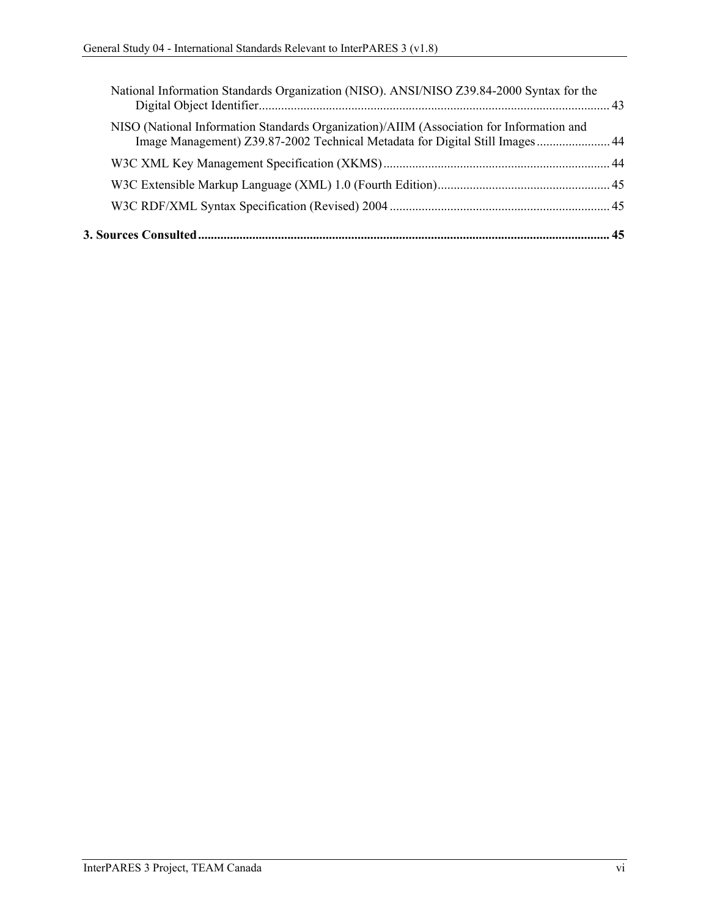| National Information Standards Organization (NISO). ANSI/NISO Z39.84-2000 Syntax for the                                                                                  |  |
|---------------------------------------------------------------------------------------------------------------------------------------------------------------------------|--|
| NISO (National Information Standards Organization)/AIIM (Association for Information and<br>Image Management) Z39.87-2002 Technical Metadata for Digital Still Images  44 |  |
|                                                                                                                                                                           |  |
|                                                                                                                                                                           |  |
|                                                                                                                                                                           |  |
|                                                                                                                                                                           |  |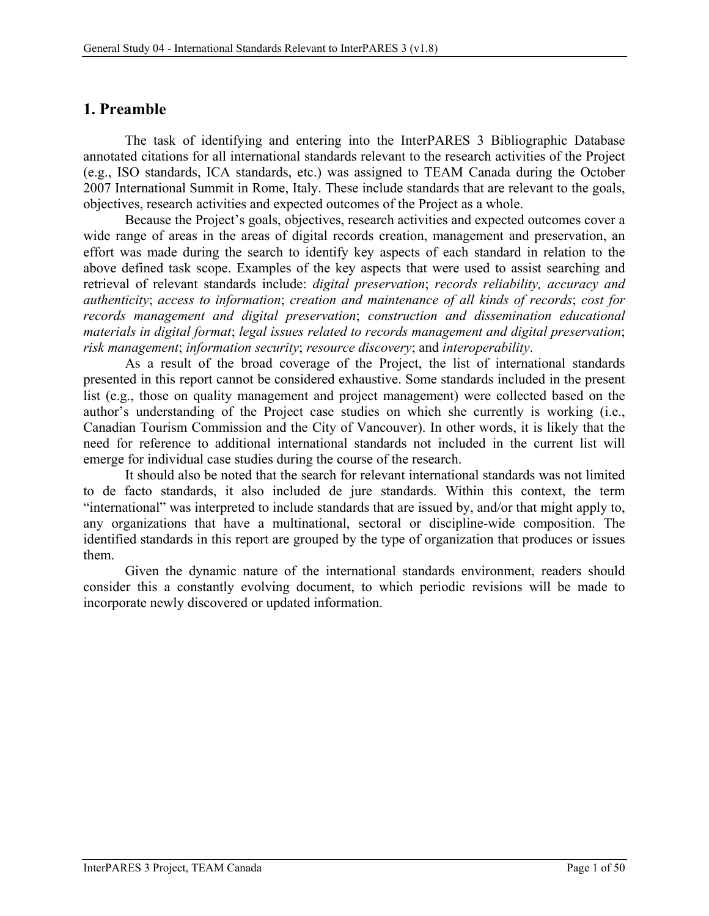## <span id="page-7-0"></span>**1. Preamble**

The task of identifying and entering into the InterPARES 3 Bibliographic Database annotated citations for all international standards relevant to the research activities of the Project (e.g., ISO standards, ICA standards, etc.) was assigned to TEAM Canada during the October 2007 International Summit in Rome, Italy. These include standards that are relevant to the goals, objectives, research activities and expected outcomes of the Project as a whole.

Because the Project's goals, objectives, research activities and expected outcomes cover a wide range of areas in the areas of digital records creation, management and preservation, an effort was made during the search to identify key aspects of each standard in relation to the above defined task scope. Examples of the key aspects that were used to assist searching and retrieval of relevant standards include: *digital preservation*; *records reliability, accuracy and authenticity*; *access to information*; *creation and maintenance of all kinds of records*; *cost for records management and digital preservation*; *construction and dissemination educational materials in digital format*; *legal issues related to records management and digital preservation*; *risk management*; *information security*; *resource discovery*; and *interoperability*.

As a result of the broad coverage of the Project, the list of international standards presented in this report cannot be considered exhaustive. Some standards included in the present list (e.g., those on quality management and project management) were collected based on the author's understanding of the Project case studies on which she currently is working (i.e., Canadian Tourism Commission and the City of Vancouver). In other words, it is likely that the need for reference to additional international standards not included in the current list will emerge for individual case studies during the course of the research.

It should also be noted that the search for relevant international standards was not limited to de facto standards, it also included de jure standards. Within this context, the term "international" was interpreted to include standards that are issued by, and/or that might apply to, any organizations that have a multinational, sectoral or discipline-wide composition. The identified standards in this report are grouped by the type of organization that produces or issues them.

Given the dynamic nature of the international standards environment, readers should consider this a constantly evolving document, to which periodic revisions will be made to incorporate newly discovered or updated information.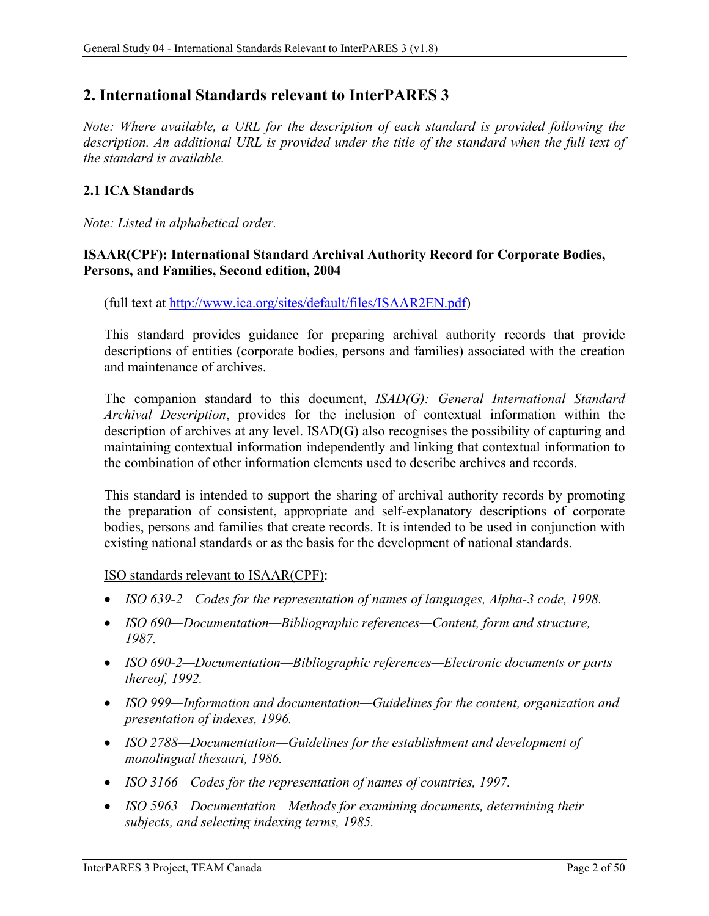## <span id="page-8-0"></span>**2. International Standards relevant to InterPARES 3**

*Note: Where available, a URL for the description of each standard is provided following the description. An additional URL is provided under the title of the standard when the full text of the standard is available.*

### <span id="page-8-1"></span>**2.1 ICA Standards**

*Note: Listed in alphabetical order.*

### <span id="page-8-2"></span>**ISAAR(CPF): International Standard Archival Authority Record for Corporate Bodies, Persons, and Families, Second edition, 2004**

(full text at [http://www.ica.org/sites/default/files/ISAAR2EN.pdf\)](http://www.ica.org/sites/default/files/ISAAR2EN.pdf)

This standard provides guidance for preparing archival authority records that provide descriptions of entities (corporate bodies, persons and families) associated with the creation and maintenance of archives.

The companion standard to this document, *ISAD(G): General International Standard Archival Description*, provides for the inclusion of contextual information within the description of archives at any level. ISAD(G) also recognises the possibility of capturing and maintaining contextual information independently and linking that contextual information to the combination of other information elements used to describe archives and records.

This standard is intended to support the sharing of archival authority records by promoting the preparation of consistent, appropriate and self-explanatory descriptions of corporate bodies, persons and families that create records. It is intended to be used in conjunction with existing national standards or as the basis for the development of national standards.

ISO standards relevant to ISAAR(CPF):

- *ISO 639-2—Codes for the representation of names of languages, Alpha-3 code, 1998.*
- *ISO 690—Documentation—Bibliographic references—Content, form and structure, 1987.*
- *ISO 690-2—Documentation—Bibliographic references—Electronic documents or parts thereof, 1992.*
- *ISO 999—Information and documentation—Guidelines for the content, organization and presentation of indexes, 1996.*
- *ISO 2788—Documentation—Guidelines for the establishment and development of monolingual thesauri, 1986.*
- *ISO 3166—Codes for the representation of names of countries, 1997.*
- *ISO 5963—Documentation—Methods for examining documents, determining their subjects, and selecting indexing terms, 1985.*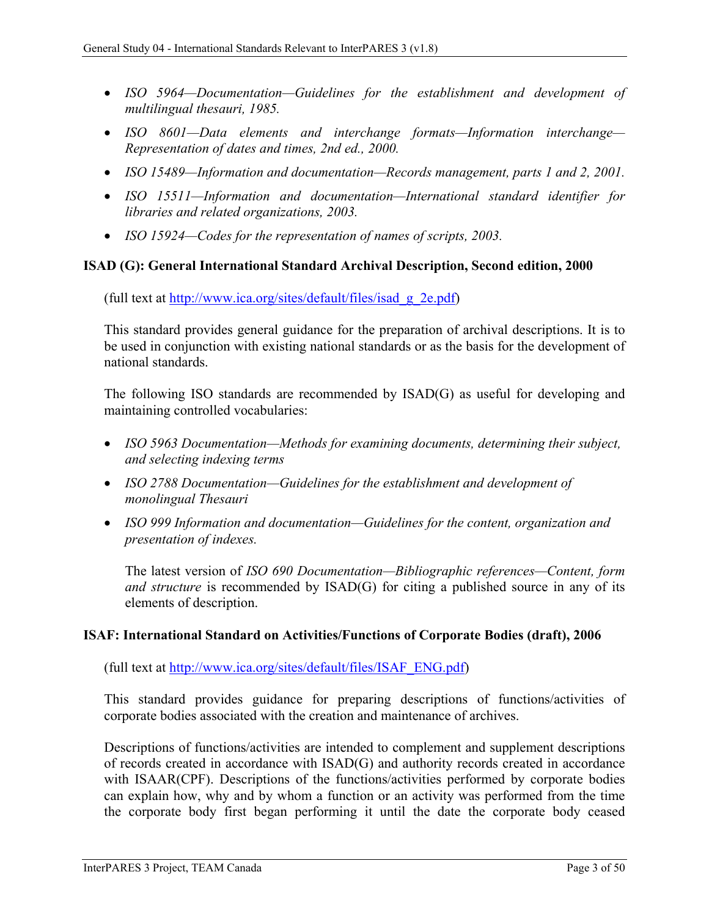- *ISO 5964—Documentation—Guidelines for the establishment and development of multilingual thesauri, 1985.*
- *ISO 8601—Data elements and interchange formats—Information interchange— Representation of dates and times, 2nd ed., 2000.*
- *ISO 15489—Information and documentation—Records management, parts 1 and 2, 2001.*
- *ISO 15511—Information and documentation—International standard identifier for libraries and related organizations, 2003.*
- *ISO 15924—Codes for the representation of names of scripts, 2003.*

#### <span id="page-9-0"></span>**ISAD (G): General International Standard Archival Description, Second edition, 2000**

(full text at [http://www.ica.org/sites/default/files/isad\\_g\\_2e.pdf\)](http://www.ica.org/sites/default/files/isad_g_2e.pdf)

This standard provides general guidance for the preparation of archival descriptions. It is to be used in conjunction with existing national standards or as the basis for the development of national standards.

The following ISO standards are recommended by ISAD(G) as useful for developing and maintaining controlled vocabularies:

- *ISO 5963 Documentation—Methods for examining documents, determining their subject, and selecting indexing terms*
- *ISO 2788 Documentation—Guidelines for the establishment and development of monolingual Thesauri*
- *ISO 999 Information and documentation—Guidelines for the content, organization and presentation of indexes.*

The latest version of *ISO 690 Documentation—Bibliographic references—Content, form and structure* is recommended by ISAD(G) for citing a published source in any of its elements of description.

#### <span id="page-9-1"></span>**ISAF: International Standard on Activities/Functions of Corporate Bodies (draft), 2006**

(full text at [http://www.ica.org/sites/default/files/ISAF\\_ENG.pdf\)](http://www.ica.org/sites/default/files/ISAF_ENG.pdf)

This standard provides guidance for preparing descriptions of functions/activities of corporate bodies associated with the creation and maintenance of archives.

Descriptions of functions/activities are intended to complement and supplement descriptions of records created in accordance with ISAD(G) and authority records created in accordance with ISAAR(CPF). Descriptions of the functions/activities performed by corporate bodies can explain how, why and by whom a function or an activity was performed from the time the corporate body first began performing it until the date the corporate body ceased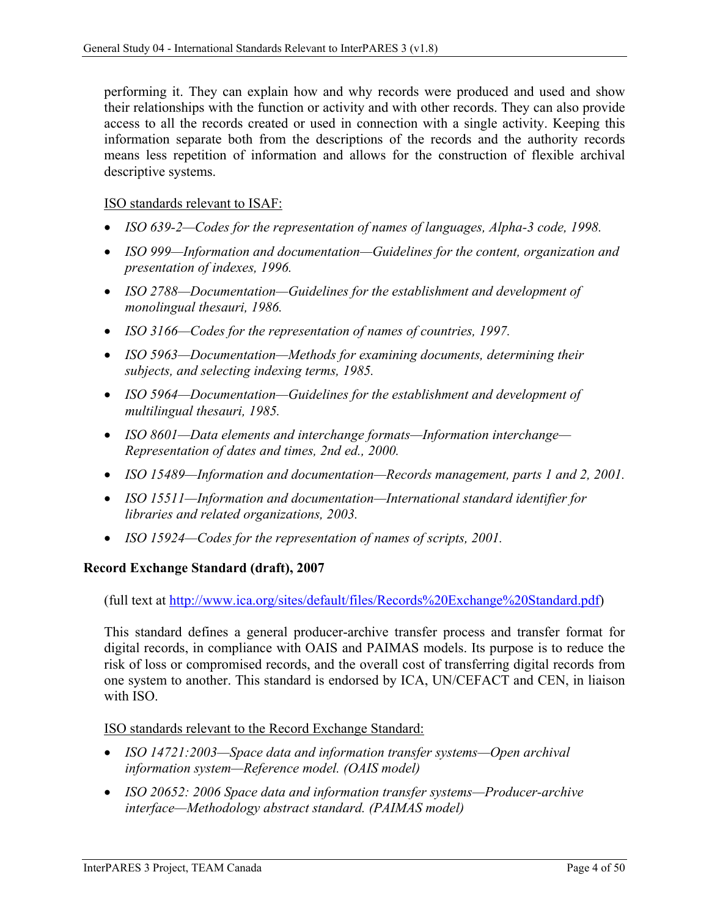performing it. They can explain how and why records were produced and used and show their relationships with the function or activity and with other records. They can also provide access to all the records created or used in connection with a single activity. Keeping this information separate both from the descriptions of the records and the authority records means less repetition of information and allows for the construction of flexible archival descriptive systems.

### ISO standards relevant to ISAF:

- *ISO 639-2—Codes for the representation of names of languages, Alpha-3 code, 1998.*
- *ISO 999—Information and documentation—Guidelines for the content, organization and presentation of indexes, 1996.*
- *ISO 2788—Documentation—Guidelines for the establishment and development of monolingual thesauri, 1986.*
- *ISO 3166—Codes for the representation of names of countries, 1997.*
- *ISO 5963—Documentation—Methods for examining documents, determining their subjects, and selecting indexing terms, 1985.*
- *ISO 5964—Documentation—Guidelines for the establishment and development of multilingual thesauri, 1985.*
- *ISO 8601—Data elements and interchange formats—Information interchange— Representation of dates and times, 2nd ed., 2000.*
- *ISO 15489—Information and documentation—Records management, parts 1 and 2, 2001.*
- *ISO 15511—Information and documentation—International standard identifier for libraries and related organizations, 2003.*
- *ISO 15924—Codes for the representation of names of scripts, 2001.*

#### <span id="page-10-0"></span>**Record Exchange Standard (draft), 2007**

(full text at [http://www.ica.org/sites/default/files/Records%20Exchange%20Standard.pdf\)](http://www.ica.org/sites/default/files/Records%20Exchange%20Standard.pdf)

This standard defines a general producer-archive transfer process and transfer format for digital records, in compliance with OAIS and PAIMAS models. Its purpose is to reduce the risk of loss or compromised records, and the overall cost of transferring digital records from one system to another. This standard is endorsed by ICA, UN/CEFACT and CEN, in liaison with ISO.

#### ISO standards relevant to the Record Exchange Standard:

- *ISO 14721:2003—Space data and information transfer systems—Open archival information system—Reference model. (OAIS model)*
- *ISO 20652: 2006 Space data and information transfer systems—Producer-archive interface—Methodology abstract standard. (PAIMAS model)*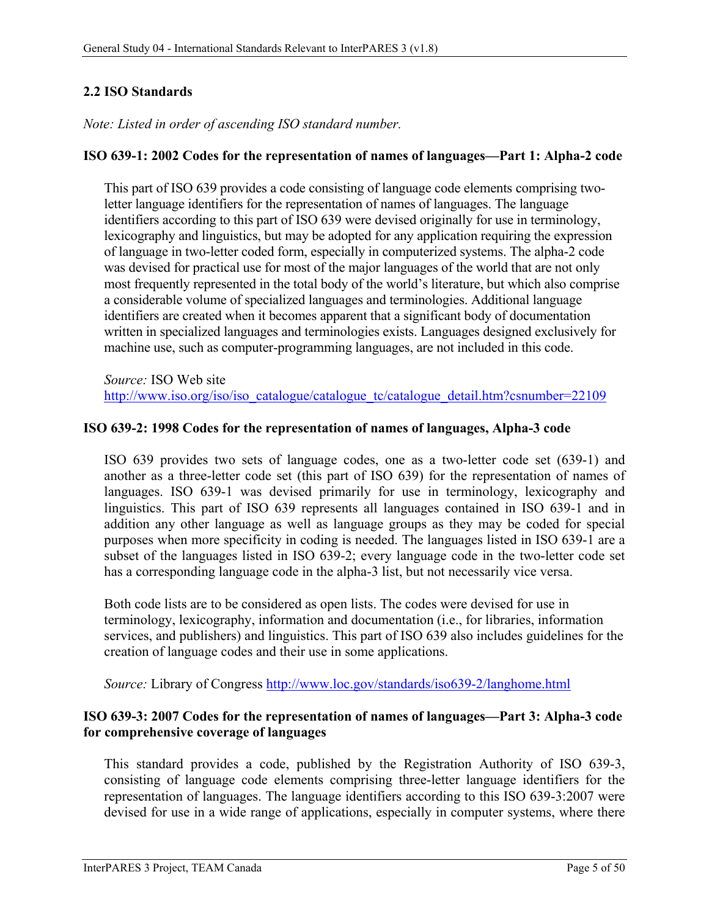### <span id="page-11-0"></span>**2.2 ISO Standards**

*Note: Listed in order of ascending ISO standard number.*

### <span id="page-11-1"></span>**ISO 639-1: 2002 Codes for the representation of names of languages—Part 1: Alpha-2 code**

This part of ISO 639 provides a code consisting of language code elements comprising twoletter language identifiers for the representation of names of languages. The language identifiers according to this part of ISO 639 were devised originally for use in terminology, lexicography and linguistics, but may be adopted for any application requiring the expression of language in two-letter coded form, especially in computerized systems. The alpha-2 code was devised for practical use for most of the major languages of the world that are not only most frequently represented in the total body of the world's literature, but which also comprise a considerable volume of specialized languages and terminologies. Additional language identifiers are created when it becomes apparent that a significant body of documentation written in specialized languages and terminologies exists. Languages designed exclusively for machine use, such as computer-programming languages, are not included in this code.

*Source:* ISO Web site [http://www.iso.org/iso/iso\\_catalogue/catalogue\\_tc/catalogue\\_detail.htm?csnumber=22109](http://www.iso.org/iso/iso_catalogue/catalogue_tc/catalogue_detail.htm?csnumber=22109)

#### <span id="page-11-2"></span>**ISO 639-2: 1998 Codes for the representation of names of languages, Alpha-3 code**

ISO 639 provides two sets of language codes, one as a two-letter code set (639-1) and another as a three-letter code set (this part of ISO 639) for the representation of names of languages. ISO 639-1 was devised primarily for use in terminology, lexicography and linguistics. This part of ISO 639 represents all languages contained in ISO 639-1 and in addition any other language as well as language groups as they may be coded for special purposes when more specificity in coding is needed. The languages listed in ISO 639-1 are a subset of the languages listed in ISO 639-2; every language code in the two-letter code set has a corresponding language code in the alpha-3 list, but not necessarily vice versa.

Both code lists are to be considered as open lists. The codes were devised for use in terminology, lexicography, information and documentation (i.e., for libraries, information services, and publishers) and linguistics. This part of ISO 639 also includes guidelines for the creation of language codes and their use in some applications.

*Source:* Library of Congress<http://www.loc.gov/standards/iso639-2/langhome.html>

### <span id="page-11-3"></span>**ISO 639-3: 2007 Codes for the representation of names of languages—Part 3: Alpha-3 code for comprehensive coverage of languages**

This standard provides a code, published by the Registration Authority of ISO 639-3, consisting of language code elements comprising three-letter language identifiers for the representation of languages. The language identifiers according to this ISO 639-3:2007 were devised for use in a wide range of applications, especially in computer systems, where there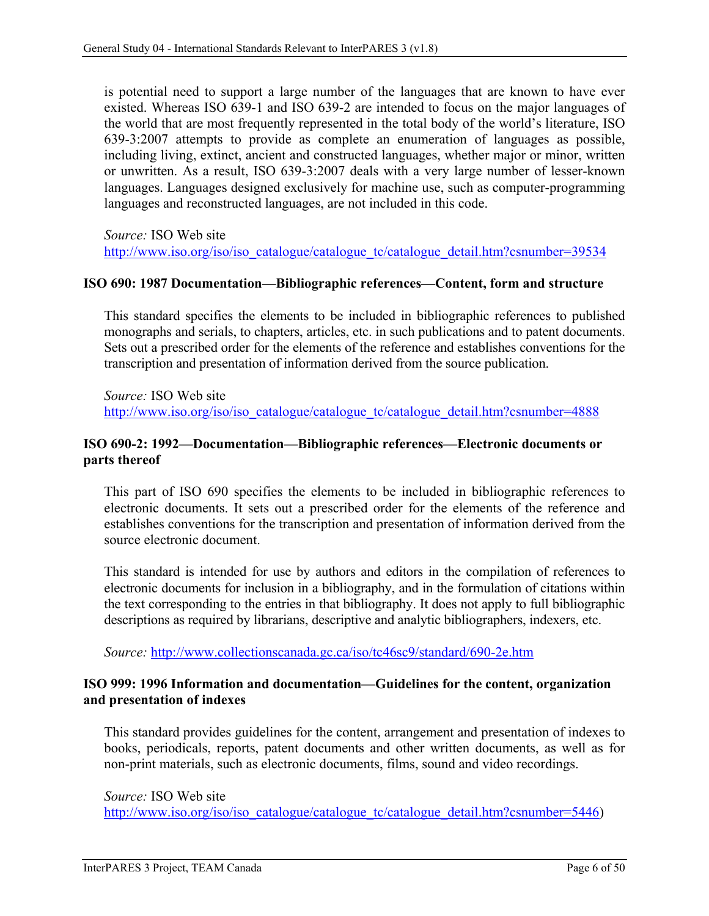is potential need to support a large number of the languages that are known to have ever existed. Whereas ISO 639-1 and ISO 639-2 are intended to focus on the major languages of the world that are most frequently represented in the total body of the world's literature, ISO 639-3:2007 attempts to provide as complete an enumeration of languages as possible, including living, extinct, ancient and constructed languages, whether major or minor, written or unwritten. As a result, ISO 639-3:2007 deals with a very large number of lesser-known languages. Languages designed exclusively for machine use, such as computer-programming languages and reconstructed languages, are not included in this code.

*Source:* ISO Web site [http://www.iso.org/iso/iso\\_catalogue/catalogue\\_tc/catalogue\\_detail.htm?csnumber=39534](http://www.iso.org/iso/iso_catalogue/catalogue_tc/catalogue_detail.htm?csnumber=39534)

#### <span id="page-12-0"></span>**ISO 690: 1987 Documentation—Bibliographic references—Content, form and structure**

This standard specifies the elements to be included in bibliographic references to published monographs and serials, to chapters, articles, etc. in such publications and to patent documents. Sets out a prescribed order for the elements of the reference and establishes conventions for the transcription and presentation of information derived from the source publication.

*Source:* ISO Web site [http://www.iso.org/iso/iso\\_catalogue/catalogue\\_tc/catalogue\\_detail.htm?csnumber=4888](http://www.iso.org/iso/iso_catalogue/catalogue_tc/catalogue_detail.htm?csnumber=4888)

#### <span id="page-12-1"></span>**ISO 690-2: 1992—Documentation—Bibliographic references—Electronic documents or parts thereof**

This part of ISO 690 specifies the elements to be included in bibliographic references to electronic documents. It sets out a prescribed order for the elements of the reference and establishes conventions for the transcription and presentation of information derived from the source electronic document.

This standard is intended for use by authors and editors in the compilation of references to electronic documents for inclusion in a bibliography, and in the formulation of citations within the text corresponding to the entries in that bibliography. It does not apply to full bibliographic descriptions as required by librarians, descriptive and analytic bibliographers, indexers, etc.

*Source:* <http://www.collectionscanada.gc.ca/iso/tc46sc9/standard/690-2e.htm>

#### <span id="page-12-2"></span>**ISO 999: 1996 Information and documentation—Guidelines for the content, organization and presentation of indexes**

This standard provides guidelines for the content, arrangement and presentation of indexes to books, periodicals, reports, patent documents and other written documents, as well as for non-print materials, such as electronic documents, films, sound and video recordings.

*Source:* ISO Web site [http://www.iso.org/iso/iso\\_catalogue/catalogue\\_tc/catalogue\\_detail.htm?csnumber=5446\)](http://www.iso.org/iso/iso_catalogue/catalogue_tc/catalogue_detail.htm?csnumber=5446)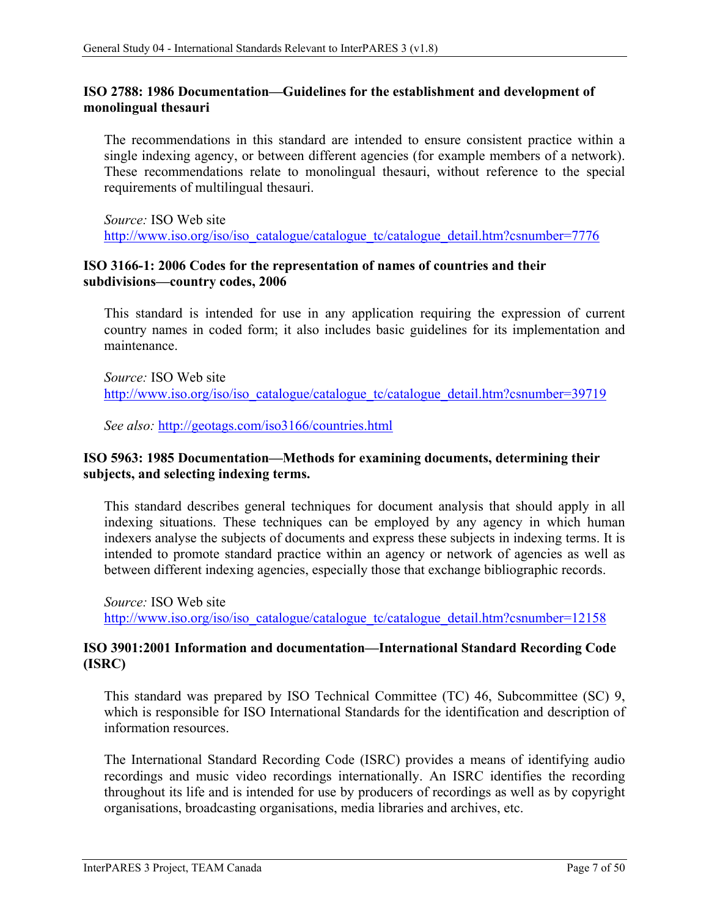### <span id="page-13-0"></span>**ISO 2788: 1986 Documentation—Guidelines for the establishment and development of monolingual thesauri**

The recommendations in this standard are intended to ensure consistent practice within a single indexing agency, or between different agencies (for example members of a network). These recommendations relate to monolingual thesauri, without reference to the special requirements of multilingual thesauri.

*Source:* ISO Web site [http://www.iso.org/iso/iso\\_catalogue/catalogue\\_tc/catalogue\\_detail.htm?csnumber=7776](http://www.iso.org/iso/iso_catalogue/catalogue_tc/catalogue_detail.htm?csnumber=7776)

### <span id="page-13-1"></span>**ISO 3166-1: 2006 Codes for the representation of names of countries and their subdivisions—country codes, 2006**

This standard is intended for use in any application requiring the expression of current country names in coded form; it also includes basic guidelines for its implementation and maintenance.

*Source:* ISO Web site [http://www.iso.org/iso/iso\\_catalogue/catalogue\\_tc/catalogue\\_detail.htm?csnumber=39719](http://www.iso.org/iso/iso_catalogue/catalogue_tc/catalogue_detail.htm?csnumber=39719)

*See also:* <http://geotags.com/iso3166/countries.html>

### <span id="page-13-2"></span>**ISO 5963: 1985 Documentation—Methods for examining documents, determining their subjects, and selecting indexing terms.**

This standard describes general techniques for document analysis that should apply in all indexing situations. These techniques can be employed by any agency in which human indexers analyse the subjects of documents and express these subjects in indexing terms. It is intended to promote standard practice within an agency or network of agencies as well as between different indexing agencies, especially those that exchange bibliographic records.

*Source:* ISO Web site [http://www.iso.org/iso/iso\\_catalogue/catalogue\\_tc/catalogue\\_detail.htm?csnumber=12158](http://www.iso.org/iso/iso_catalogue/catalogue_tc/catalogue_detail.htm?csnumber=12158)

### <span id="page-13-3"></span>**ISO 3901:2001 Information and documentation—International Standard Recording Code (ISRC)**

This standard was prepared by ISO Technical Committee (TC) 46, Subcommittee (SC) 9, which is responsible for ISO International Standards for the identification and description of information resources.

The International Standard Recording Code (ISRC) provides a means of identifying audio recordings and music video recordings internationally. An ISRC identifies the recording throughout its life and is intended for use by producers of recordings as well as by copyright organisations, broadcasting organisations, media libraries and archives, etc.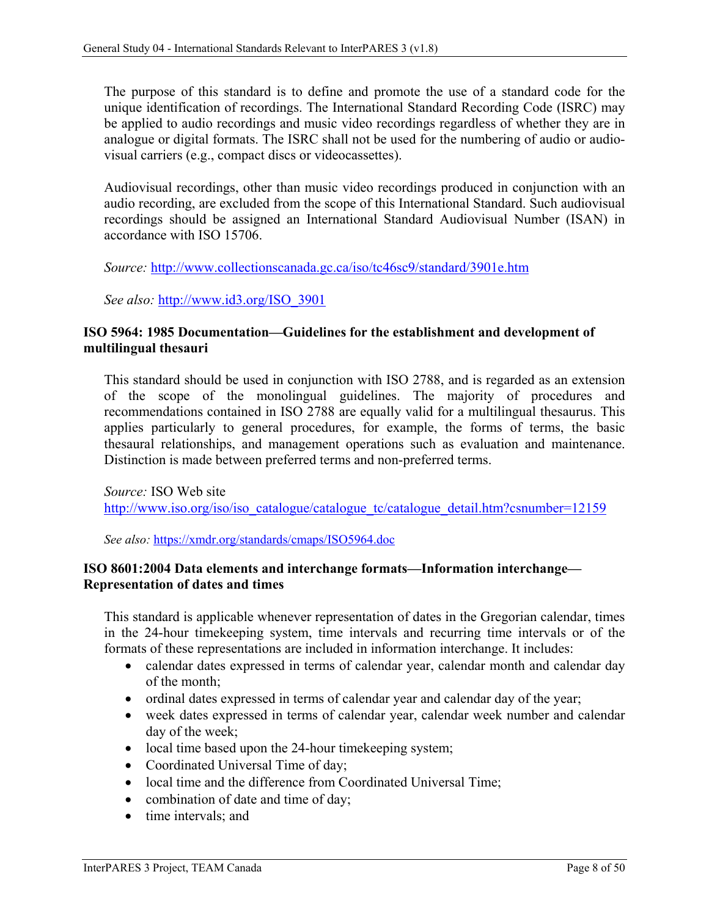The purpose of this standard is to define and promote the use of a standard code for the unique identification of recordings. The International Standard Recording Code (ISRC) may be applied to audio recordings and music video recordings regardless of whether they are in analogue or digital formats. The ISRC shall not be used for the numbering of audio or audiovisual carriers (e.g., compact discs or videocassettes).

Audiovisual recordings, other than music video recordings produced in conjunction with an audio recording, are excluded from the scope of this International Standard. Such audiovisual recordings should be assigned an International Standard Audiovisual Number (ISAN) in accordance with ISO 15706.

*Source:* <http://www.collectionscanada.gc.ca/iso/tc46sc9/standard/3901e.htm>

*See also:* [http://www.id3.org/ISO\\_3901](http://www.id3.org/ISO_3901)

### <span id="page-14-0"></span>**ISO 5964: 1985 Documentation—Guidelines for the establishment and development of multilingual thesauri**

This standard should be used in conjunction with ISO 2788, and is regarded as an extension of the scope of the monolingual guidelines. The majority of procedures and recommendations contained in ISO 2788 are equally valid for a multilingual thesaurus. This applies particularly to general procedures, for example, the forms of terms, the basic thesaural relationships, and management operations such as evaluation and maintenance. Distinction is made between preferred terms and non-preferred terms.

*Source:* ISO Web site [http://www.iso.org/iso/iso\\_catalogue/catalogue\\_tc/catalogue\\_detail.htm?csnumber=12159](http://www.iso.org/iso/iso_catalogue/catalogue_tc/catalogue_detail.htm?csnumber=12159)

*See also:* <https://xmdr.org/standards/cmaps/ISO5964.doc>

### <span id="page-14-1"></span>**ISO 8601:2004 Data elements and interchange formats—Information interchange— Representation of dates and times**

This standard is applicable whenever representation of dates in the Gregorian calendar, times in the 24-hour timekeeping system, time intervals and recurring time intervals or of the formats of these representations are included in information interchange. It includes:

- calendar dates expressed in terms of calendar year, calendar month and calendar day of the month;
- ordinal dates expressed in terms of calendar year and calendar day of the year;
- week dates expressed in terms of calendar year, calendar week number and calendar day of the week;
- local time based upon the 24-hour timekeeping system;
- Coordinated Universal Time of day;
- local time and the difference from Coordinated Universal Time;
- combination of date and time of day;
- time intervals; and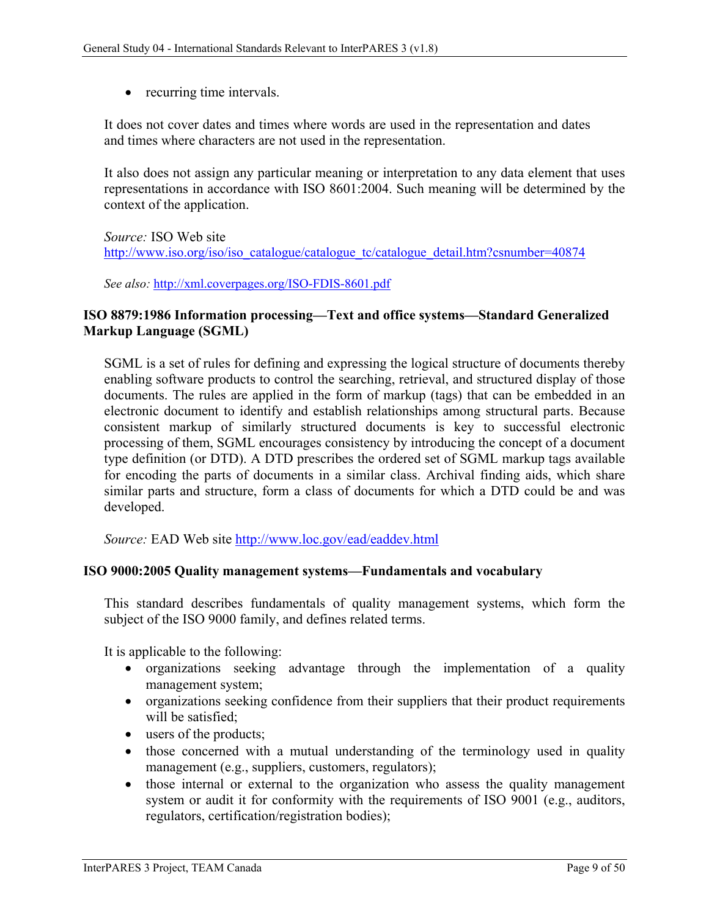• recurring time intervals.

It does not cover dates and times where words are used in the representation and dates and times where characters are not used in the representation.

It also does not assign any particular meaning or interpretation to any data element that uses representations in accordance with ISO 8601:2004. Such meaning will be determined by the context of the application.

*Source:* ISO Web site

[http://www.iso.org/iso/iso\\_catalogue/catalogue\\_tc/catalogue\\_detail.htm?csnumber=40874](http://www.iso.org/iso/iso_catalogue/catalogue_tc/catalogue_detail.htm?csnumber=40874)

*See also:* <http://xml.coverpages.org/ISO-FDIS-8601.pdf>

### <span id="page-15-0"></span>**ISO 8879:1986 Information processing—Text and office systems—Standard Generalized Markup Language (SGML)**

SGML is a set of rules for defining and expressing the logical structure of documents thereby enabling software products to control the searching, retrieval, and structured display of those documents. The rules are applied in the form of markup (tags) that can be embedded in an electronic document to identify and establish relationships among structural parts. Because consistent markup of similarly structured documents is key to successful electronic processing of them, SGML encourages consistency by introducing the concept of a document type definition (or DTD). A DTD prescribes the ordered set of SGML markup tags available for encoding the parts of documents in a similar class. Archival finding aids, which share similar parts and structure, form a class of documents for which a DTD could be and was developed.

*Source:* EAD Web site<http://www.loc.gov/ead/eaddev.html>

#### <span id="page-15-1"></span>**ISO 9000:2005 Quality management systems—Fundamentals and vocabulary**

This standard describes fundamentals of quality management systems, which form the subject of the ISO 9000 family, and defines related terms.

It is applicable to the following:

- organizations seeking advantage through the implementation of a quality management system;
- organizations seeking confidence from their suppliers that their product requirements will be satisfied;
- users of the products;
- those concerned with a mutual understanding of the terminology used in quality management (e.g., suppliers, customers, regulators);
- those internal or external to the organization who assess the quality management system or audit it for conformity with the requirements of ISO 9001 (e.g., auditors, regulators, certification/registration bodies);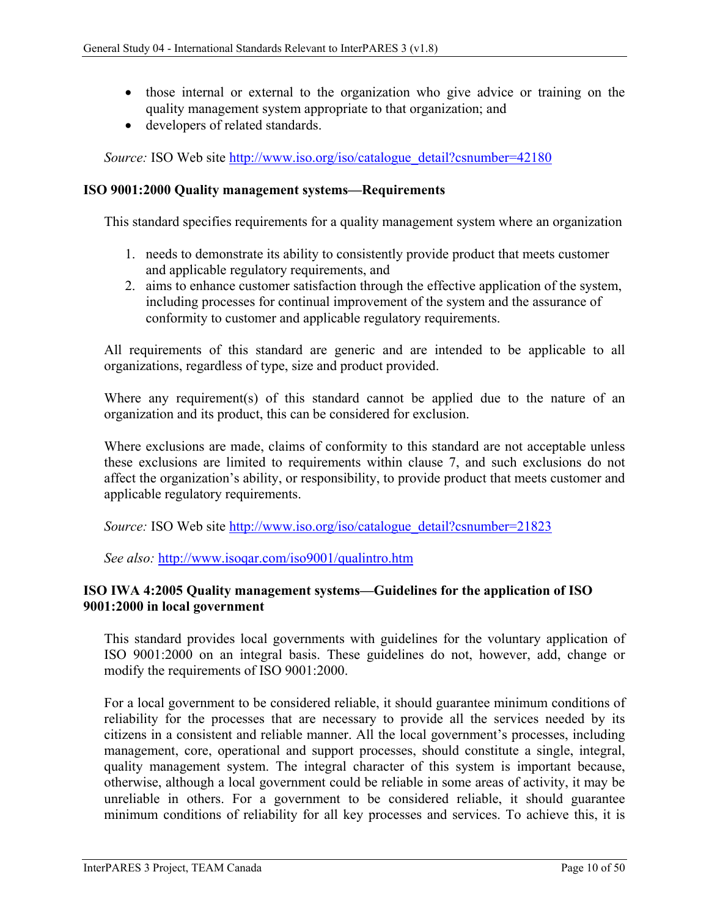- those internal or external to the organization who give advice or training on the quality management system appropriate to that organization; and
- developers of related standards.

*Source:* ISO Web site [http://www.iso.org/iso/catalogue\\_detail?csnumber=42180](http://www.iso.org/iso/catalogue_detail?csnumber=42180)

#### <span id="page-16-0"></span>**ISO 9001:2000 Quality management systems—Requirements**

This standard specifies requirements for a quality management system where an organization

- 1. needs to demonstrate its ability to consistently provide product that meets customer and applicable regulatory requirements, and
- 2. aims to enhance customer satisfaction through the effective application of the system, including processes for continual improvement of the system and the assurance of conformity to customer and applicable regulatory requirements.

All requirements of this standard are generic and are intended to be applicable to all organizations, regardless of type, size and product provided.

Where any requirement(s) of this standard cannot be applied due to the nature of an organization and its product, this can be considered for exclusion.

Where exclusions are made, claims of conformity to this standard are not acceptable unless these exclusions are limited to requirements within clause 7, and such exclusions do not affect the organization's ability, or responsibility, to provide product that meets customer and applicable regulatory requirements.

*Source:* ISO Web site [http://www.iso.org/iso/catalogue\\_detail?csnumber=21823](http://www.iso.org/iso/catalogue_detail?csnumber=21823)

*See also:* http://www.isoqar.com/iso9001/qualintro.htm

### <span id="page-16-1"></span>**ISO IWA 4:2005 Quality management systems—Guidelines for the application of ISO 9001:2000 in local government**

This standard provides local governments with guidelines for the voluntary application of ISO 9001:2000 on an integral basis. These guidelines do not, however, add, change or modify the requirements of ISO 9001:2000.

For a local government to be considered reliable, it should guarantee minimum conditions of reliability for the processes that are necessary to provide all the services needed by its citizens in a consistent and reliable manner. All the local government's processes, including management, core, operational and support processes, should constitute a single, integral, quality management system. The integral character of this system is important because, otherwise, although a local government could be reliable in some areas of activity, it may be unreliable in others. For a government to be considered reliable, it should guarantee minimum conditions of reliability for all key processes and services. To achieve this, it is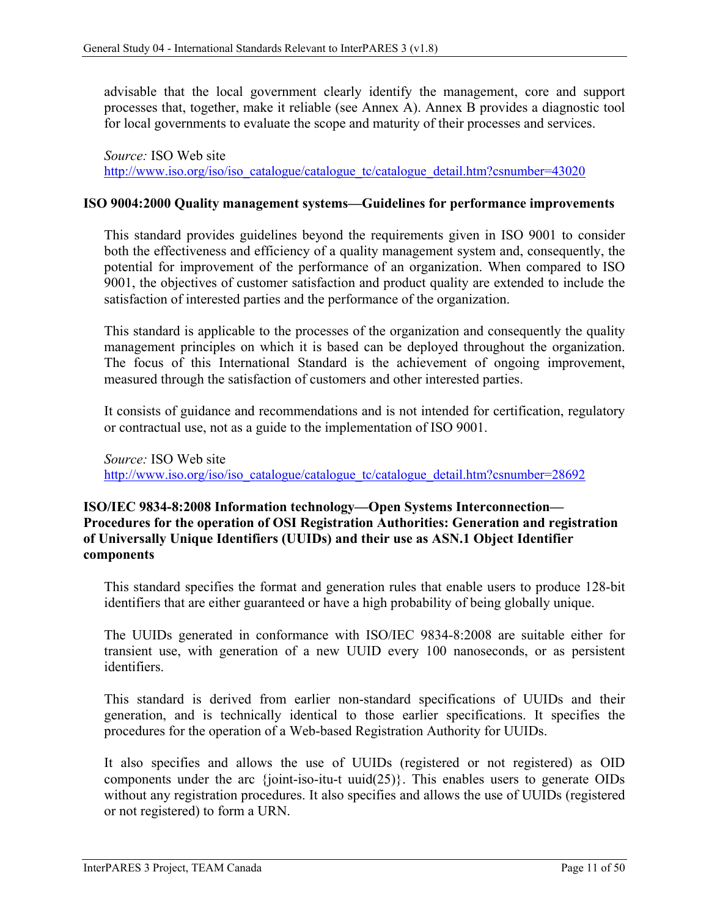advisable that the local government clearly identify the management, core and support processes that, together, make it reliable (see Annex A). Annex B provides a diagnostic tool for local governments to evaluate the scope and maturity of their processes and services.

*Source:* ISO Web site [http://www.iso.org/iso/iso\\_catalogue/catalogue\\_tc/catalogue\\_detail.htm?csnumber=43020](http://www.iso.org/iso/iso_catalogue/catalogue_tc/catalogue_detail.htm?csnumber=43020)

#### <span id="page-17-0"></span>**ISO 9004:2000 Quality management systems—Guidelines for performance improvements**

This standard provides guidelines beyond the requirements given in ISO 9001 to consider both the effectiveness and efficiency of a quality management system and, consequently, the potential for improvement of the performance of an organization. When compared to ISO 9001, the objectives of customer satisfaction and product quality are extended to include the satisfaction of interested parties and the performance of the organization.

This standard is applicable to the processes of the organization and consequently the quality management principles on which it is based can be deployed throughout the organization. The focus of this International Standard is the achievement of ongoing improvement, measured through the satisfaction of customers and other interested parties.

It consists of guidance and recommendations and is not intended for certification, regulatory or contractual use, not as a guide to the implementation of ISO 9001.

*Source:* ISO Web site [http://www.iso.org/iso/iso\\_catalogue/catalogue\\_tc/catalogue\\_detail.htm?csnumber=28692](http://www.iso.org/iso/iso_catalogue/catalogue_tc/catalogue_detail.htm?csnumber=28692)

### <span id="page-17-1"></span>**ISO/IEC 9834-8:2008 Information technology—Open Systems Interconnection— Procedures for the operation of OSI Registration Authorities: Generation and registration of Universally Unique Identifiers (UUIDs) and their use as ASN.1 Object Identifier components**

This standard specifies the format and generation rules that enable users to produce 128-bit identifiers that are either guaranteed or have a high probability of being globally unique.

The UUIDs generated in conformance with ISO/IEC 9834-8:2008 are suitable either for transient use, with generation of a new UUID every 100 nanoseconds, or as persistent identifiers.

This standard is derived from earlier non-standard specifications of UUIDs and their generation, and is technically identical to those earlier specifications. It specifies the procedures for the operation of a Web-based Registration Authority for UUIDs.

It also specifies and allows the use of UUIDs (registered or not registered) as OID components under the arc {joint-iso-itu-t uuid(25)}. This enables users to generate OIDs without any registration procedures. It also specifies and allows the use of UUIDs (registered or not registered) to form a URN.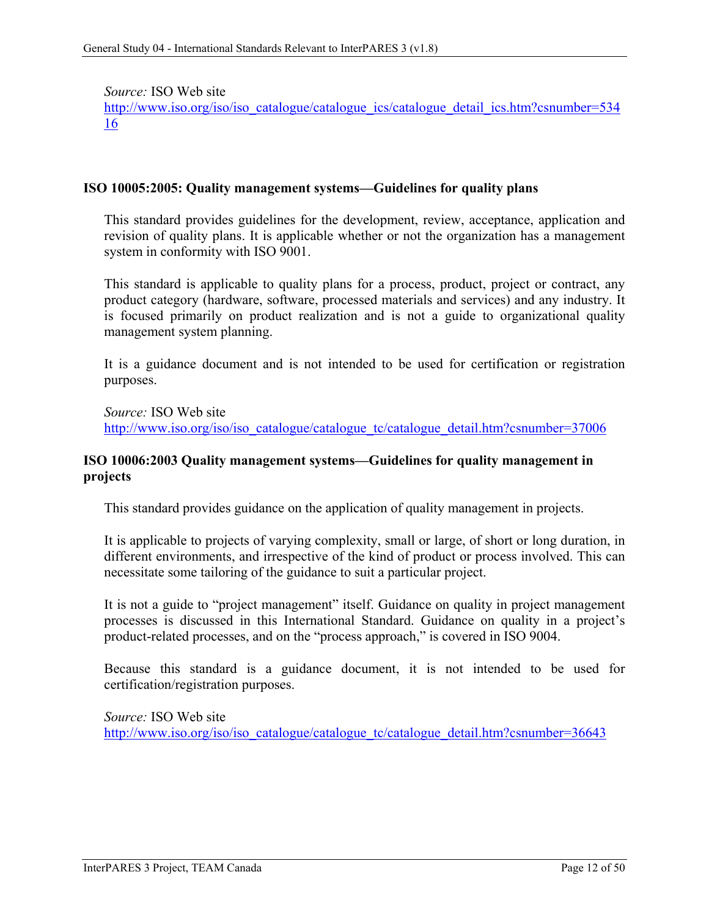*Source:* ISO Web site

[http://www.iso.org/iso/iso\\_catalogue/catalogue\\_ics/catalogue\\_detail\\_ics.htm?csnumber=534](http://www.iso.org/iso/iso_catalogue/catalogue_ics/catalogue_detail_ics.htm?csnumber=53416) [16](http://www.iso.org/iso/iso_catalogue/catalogue_ics/catalogue_detail_ics.htm?csnumber=53416)

#### <span id="page-18-0"></span>**ISO 10005:2005: Quality management systems—Guidelines for quality plans**

This standard provides guidelines for the development, review, acceptance, application and revision of quality plans. It is applicable whether or not the organization has a management system in conformity with ISO 9001.

This standard is applicable to quality plans for a process, product, project or contract, any product category (hardware, software, processed materials and services) and any industry. It is focused primarily on product realization and is not a guide to organizational quality management system planning.

It is a guidance document and is not intended to be used for certification or registration purposes.

*Source:* ISO Web site [http://www.iso.org/iso/iso\\_catalogue/catalogue\\_tc/catalogue\\_detail.htm?csnumber=37006](http://www.iso.org/iso/iso_catalogue/catalogue_tc/catalogue_detail.htm?csnumber=37006)

#### <span id="page-18-1"></span>**ISO 10006:2003 Quality management systems—Guidelines for quality management in projects**

This standard provides guidance on the application of quality management in projects.

It is applicable to projects of varying complexity, small or large, of short or long duration, in different environments, and irrespective of the kind of product or process involved. This can necessitate some tailoring of the guidance to suit a particular project.

It is not a guide to "project management" itself. Guidance on quality in project management processes is discussed in this International Standard. Guidance on quality in a project's product-related processes, and on the "process approach," is covered in ISO 9004.

Because this standard is a guidance document, it is not intended to be used for certification/registration purposes.

*Source:* ISO Web site [http://www.iso.org/iso/iso\\_catalogue/catalogue\\_tc/catalogue\\_detail.htm?csnumber=36643](http://www.iso.org/iso/iso_catalogue/catalogue_tc/catalogue_detail.htm?csnumber=36643)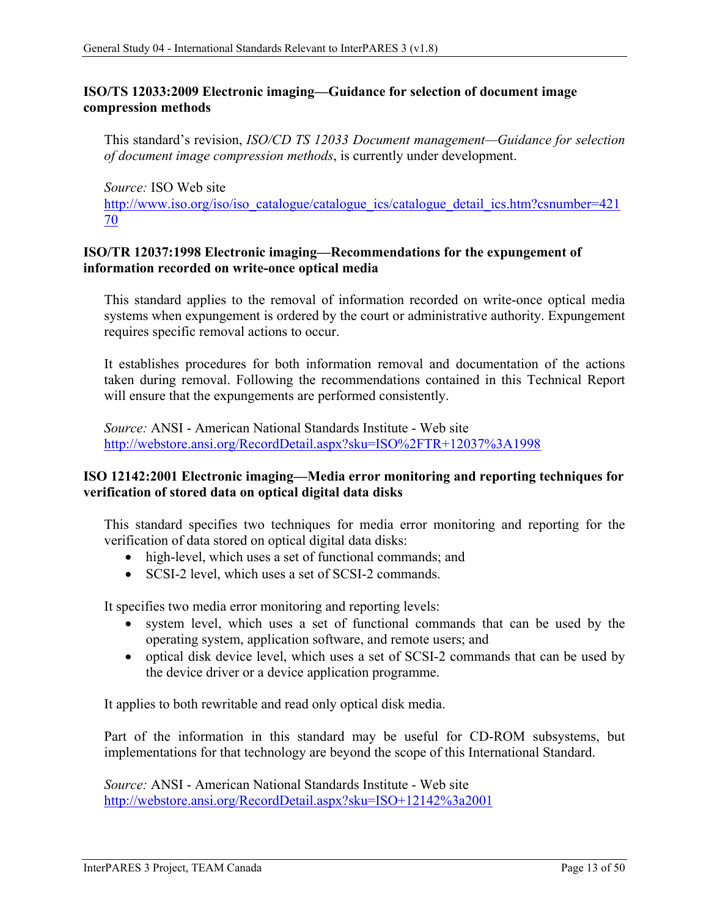### <span id="page-19-0"></span>**ISO/TS 12033:2009 Electronic imaging—Guidance for selection of document image compression methods**

This standard's revision, *ISO/CD TS 12033 Document management—Guidance for selection of document image compression methods*, is currently under development.

*Source:* ISO Web site [http://www.iso.org/iso/iso\\_catalogue/catalogue\\_ics/catalogue\\_detail\\_ics.htm?csnumber=421](http://www.iso.org/iso/iso_catalogue/catalogue_ics/catalogue_detail_ics.htm?csnumber=42170) [70](http://www.iso.org/iso/iso_catalogue/catalogue_ics/catalogue_detail_ics.htm?csnumber=42170)

### <span id="page-19-1"></span>**ISO/TR 12037:1998 Electronic imaging—Recommendations for the expungement of information recorded on write-once optical media**

This standard applies to the removal of information recorded on write-once optical media systems when expungement is ordered by the court or administrative authority. Expungement requires specific removal actions to occur.

It establishes procedures for both information removal and documentation of the actions taken during removal. Following the recommendations contained in this Technical Report will ensure that the expungements are performed consistently.

*Source:* ANSI - American National Standards Institute - Web site <http://webstore.ansi.org/RecordDetail.aspx?sku=ISO%2FTR+12037%3A1998>

### <span id="page-19-2"></span>**ISO 12142:2001 Electronic imaging—Media error monitoring and reporting techniques for verification of stored data on optical digital data disks**

This standard specifies two techniques for media error monitoring and reporting for the verification of data stored on optical digital data disks:

- high-level, which uses a set of functional commands; and
- SCSI-2 level, which uses a set of SCSI-2 commands.

It specifies two media error monitoring and reporting levels:

- system level, which uses a set of functional commands that can be used by the operating system, application software, and remote users; and
- optical disk device level, which uses a set of SCSI-2 commands that can be used by the device driver or a device application programme.

It applies to both rewritable and read only optical disk media.

Part of the information in this standard may be useful for CD-ROM subsystems, but implementations for that technology are beyond the scope of this International Standard.

*Source:* ANSI - American National Standards Institute - Web site <http://webstore.ansi.org/RecordDetail.aspx?sku=ISO+12142%3a2001>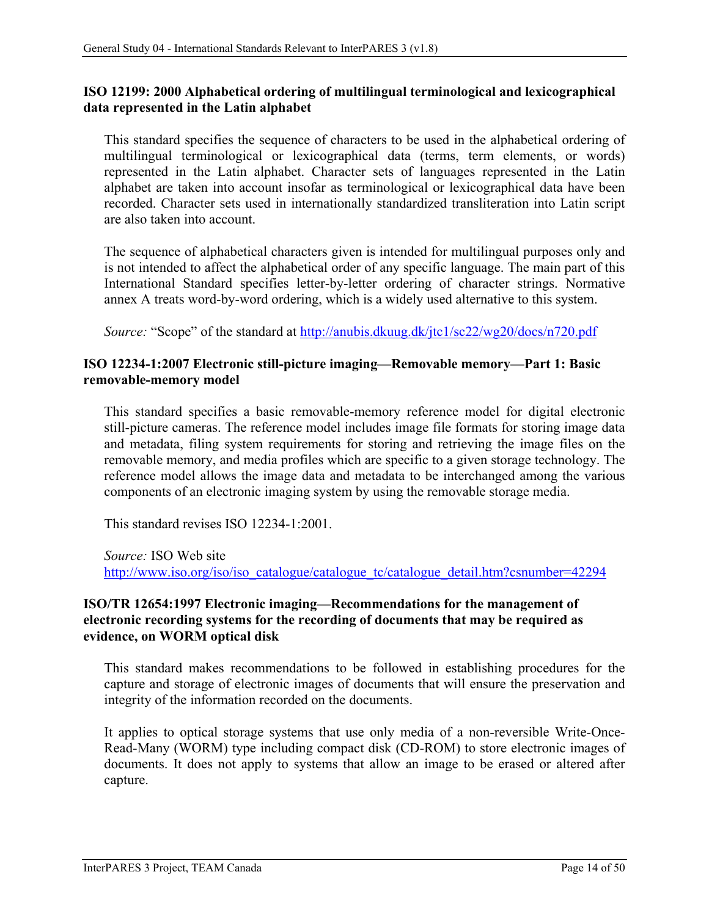### <span id="page-20-0"></span>**ISO 12199: 2000 Alphabetical ordering of multilingual terminological and lexicographical data represented in the Latin alphabet**

This standard specifies the sequence of characters to be used in the alphabetical ordering of multilingual terminological or lexicographical data (terms, term elements, or words) represented in the Latin alphabet. Character sets of languages represented in the Latin alphabet are taken into account insofar as terminological or lexicographical data have been recorded. Character sets used in internationally standardized transliteration into Latin script are also taken into account.

The sequence of alphabetical characters given is intended for multilingual purposes only and is not intended to affect the alphabetical order of any specific language. The main part of this International Standard specifies letter-by-letter ordering of character strings. Normative annex A treats word-by-word ordering, which is a widely used alternative to this system.

*Source:* "Scope" of the standard at<http://anubis.dkuug.dk/jtc1/sc22/wg20/docs/n720.pdf>

### <span id="page-20-1"></span>**ISO 12234-1:2007 Electronic still-picture imaging—Removable memory—Part 1: Basic removable-memory model**

This standard specifies a basic removable-memory reference model for digital electronic still-picture cameras. The reference model includes image file formats for storing image data and metadata, filing system requirements for storing and retrieving the image files on the removable memory, and media profiles which are specific to a given storage technology. The reference model allows the image data and metadata to be interchanged among the various components of an electronic imaging system by using the removable storage media.

This standard revises ISO 12234-1:2001.

*Source:* ISO Web site [http://www.iso.org/iso/iso\\_catalogue/catalogue\\_tc/catalogue\\_detail.htm?csnumber=42294](http://www.iso.org/iso/iso_catalogue/catalogue_tc/catalogue_detail.htm?csnumber=42294)

### <span id="page-20-2"></span>**ISO/TR 12654:1997 Electronic imaging—Recommendations for the management of electronic recording systems for the recording of documents that may be required as evidence, on WORM optical disk**

This standard makes recommendations to be followed in establishing procedures for the capture and storage of electronic images of documents that will ensure the preservation and integrity of the information recorded on the documents.

It applies to optical storage systems that use only media of a non-reversible Write-Once-Read-Many (WORM) type including compact disk (CD-ROM) to store electronic images of documents. It does not apply to systems that allow an image to be erased or altered after capture.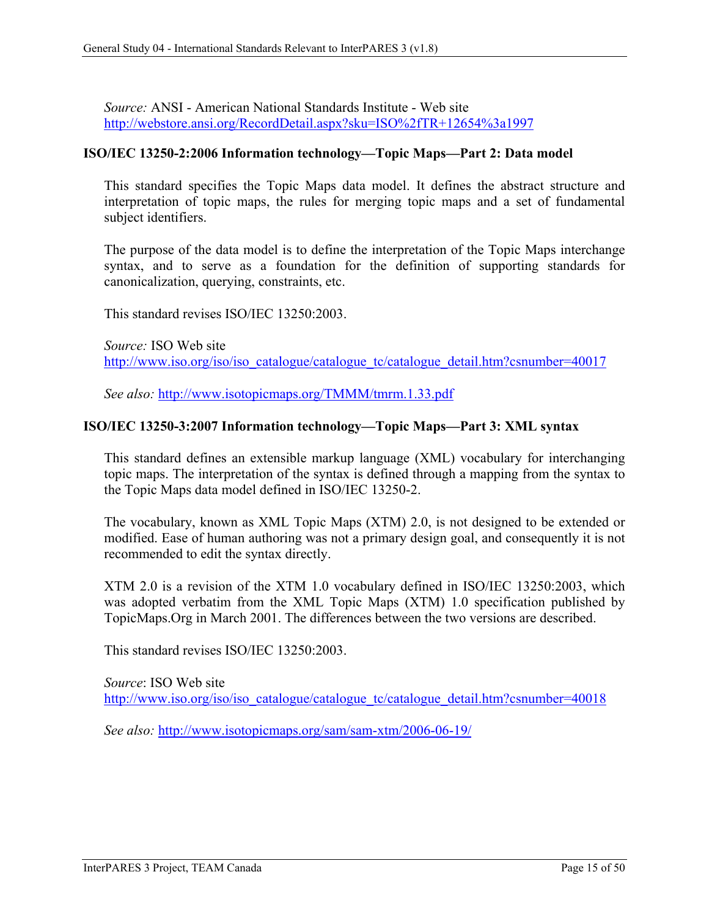*Source:* ANSI - American National Standards Institute - Web site <http://webstore.ansi.org/RecordDetail.aspx?sku=ISO%2fTR+12654%3a1997>

#### <span id="page-21-0"></span>**ISO/IEC 13250-2:2006 Information technology—Topic Maps—Part 2: Data model**

This standard specifies the Topic Maps data model. It defines the abstract structure and interpretation of topic maps, the rules for merging topic maps and a set of fundamental subject identifiers.

The purpose of the data model is to define the interpretation of the Topic Maps interchange syntax, and to serve as a foundation for the definition of supporting standards for canonicalization, querying, constraints, etc.

This standard revises ISO/IEC 13250:2003.

*Source:* ISO Web site [http://www.iso.org/iso/iso\\_catalogue/catalogue\\_tc/catalogue\\_detail.htm?csnumber=40017](http://www.iso.org/iso/iso_catalogue/catalogue_tc/catalogue_detail.htm?csnumber=40017)

*See also:* <http://www.isotopicmaps.org/TMMM/tmrm.1.33.pdf>

### <span id="page-21-1"></span>**ISO/IEC 13250-3:2007 Information technology—Topic Maps—Part 3: XML syntax**

This standard defines an extensible markup language (XML) vocabulary for interchanging topic maps. The interpretation of the syntax is defined through a mapping from the syntax to the Topic Maps data model defined in ISO/IEC 13250-2.

The vocabulary, known as XML Topic Maps (XTM) 2.0, is not designed to be extended or modified. Ease of human authoring was not a primary design goal, and consequently it is not recommended to edit the syntax directly.

XTM 2.0 is a revision of the XTM 1.0 vocabulary defined in ISO/IEC 13250:2003, which was adopted verbatim from the XML Topic Maps (XTM) 1.0 specification published by TopicMaps.Org in March 2001. The differences between the two versions are described.

This standard revises ISO/IEC 13250:2003.

*Source*: ISO Web site [http://www.iso.org/iso/iso\\_catalogue/catalogue\\_tc/catalogue\\_detail.htm?csnumber=40018](http://www.iso.org/iso/iso_catalogue/catalogue_tc/catalogue_detail.htm?csnumber=40018)

*See also:* <http://www.isotopicmaps.org/sam/sam-xtm/2006-06-19/>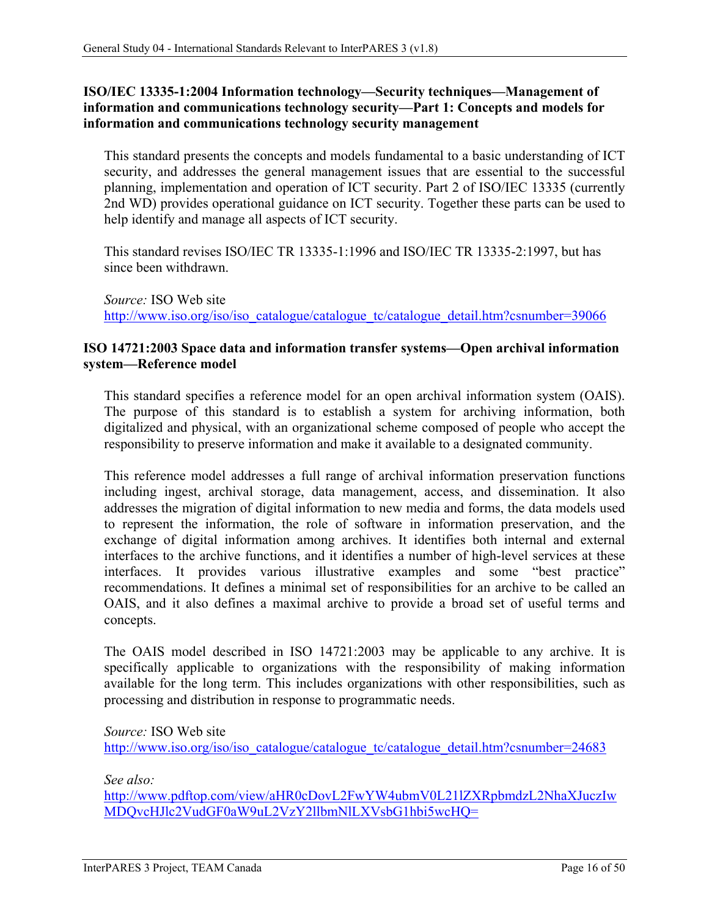### <span id="page-22-0"></span>**ISO/IEC 13335-1:2004 Information technology—Security techniques—Management of information and communications technology security—Part 1: Concepts and models for information and communications technology security management**

This standard presents the concepts and models fundamental to a basic understanding of ICT security, and addresses the general management issues that are essential to the successful planning, implementation and operation of ICT security. Part 2 of ISO/IEC 13335 (currently 2nd WD) provides operational guidance on ICT security. Together these parts can be used to help identify and manage all aspects of ICT security.

This standard revises ISO/IEC TR 13335-1:1996 and ISO/IEC TR 13335-2:1997, but has since been withdrawn.

*Source:* ISO Web site [http://www.iso.org/iso/iso\\_catalogue/catalogue\\_tc/catalogue\\_detail.htm?csnumber=39066](http://www.iso.org/iso/iso_catalogue/catalogue_tc/catalogue_detail.htm?csnumber=39066)

### <span id="page-22-1"></span>**ISO 14721:2003 Space data and information transfer systems—Open archival information system—Reference model**

This standard specifies a reference model for an open archival information system (OAIS). The purpose of this standard is to establish a system for archiving information, both digitalized and physical, with an organizational scheme composed of people who accept the responsibility to preserve information and make it available to a designated community.

This reference model addresses a full range of archival information preservation functions including ingest, archival storage, data management, access, and dissemination. It also addresses the migration of digital information to new media and forms, the data models used to represent the information, the role of software in information preservation, and the exchange of digital information among archives. It identifies both internal and external interfaces to the archive functions, and it identifies a number of high-level services at these interfaces. It provides various illustrative examples and some "best practice" recommendations. It defines a minimal set of responsibilities for an archive to be called an OAIS, and it also defines a maximal archive to provide a broad set of useful terms and concepts.

The OAIS model described in ISO 14721:2003 may be applicable to any archive. It is specifically applicable to organizations with the responsibility of making information available for the long term. This includes organizations with other responsibilities, such as processing and distribution in response to programmatic needs.

*Source:* ISO Web site [http://www.iso.org/iso/iso\\_catalogue/catalogue\\_tc/catalogue\\_detail.htm?csnumber=24683](http://www.iso.org/iso/iso_catalogue/catalogue_tc/catalogue_detail.htm?csnumber=24683)

*See also:* 

[http://www.pdftop.com/view/aHR0cDovL2FwYW4ubmV0L21lZXRpbmdzL2NhaXJuczIw](http://www.pdftop.com/view/aHR0cDovL2FwYW4ubmV0L21lZXRpbmdzL2NhaXJuczIwMDQvcHJlc2VudGF0aW9uL2VzY2llbmNlLXVsbG1hbi5wcHQ=) [MDQvcHJlc2VudGF0aW9uL2VzY2llbmNlLXVsbG1hbi5wcHQ=](http://www.pdftop.com/view/aHR0cDovL2FwYW4ubmV0L21lZXRpbmdzL2NhaXJuczIwMDQvcHJlc2VudGF0aW9uL2VzY2llbmNlLXVsbG1hbi5wcHQ=)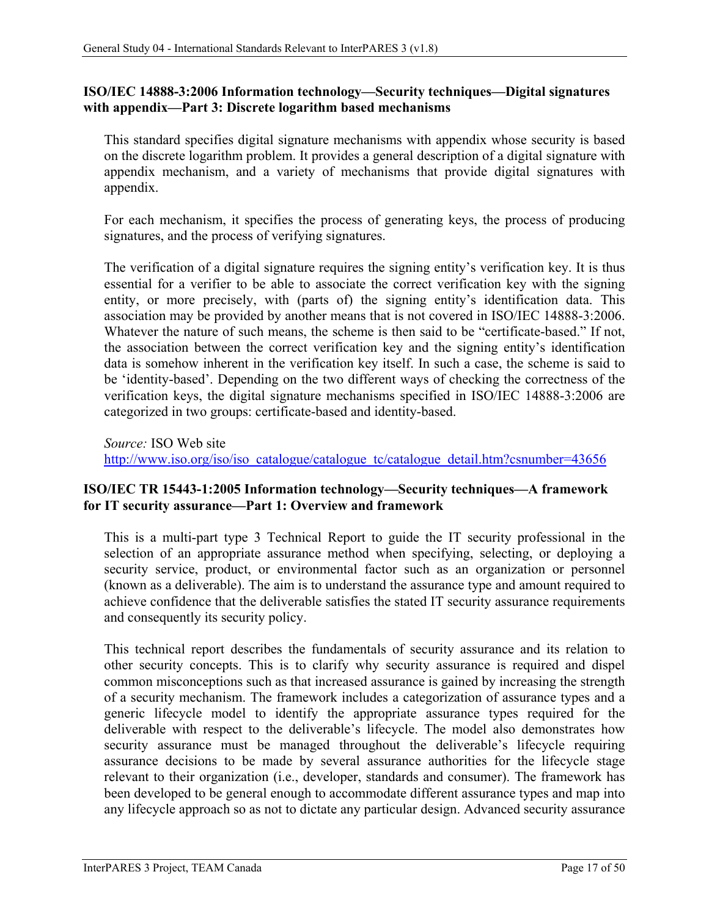### <span id="page-23-0"></span>**ISO/IEC 14888-3:2006 Information technology—Security techniques—Digital signatures with appendix—Part 3: Discrete logarithm based mechanisms**

This standard specifies digital signature mechanisms with appendix whose security is based on the discrete logarithm problem. It provides a general description of a digital signature with appendix mechanism, and a variety of mechanisms that provide digital signatures with appendix.

For each mechanism, it specifies the process of generating keys, the process of producing signatures, and the process of verifying signatures.

The verification of a digital signature requires the signing entity's verification key. It is thus essential for a verifier to be able to associate the correct verification key with the signing entity, or more precisely, with (parts of) the signing entity's identification data. This association may be provided by another means that is not covered in ISO/IEC 14888-3:2006. Whatever the nature of such means, the scheme is then said to be "certificate-based." If not, the association between the correct verification key and the signing entity's identification data is somehow inherent in the verification key itself. In such a case, the scheme is said to be 'identity-based'. Depending on the two different ways of checking the correctness of the verification keys, the digital signature mechanisms specified in ISO/IEC 14888-3:2006 are categorized in two groups: certificate-based and identity-based.

*Source:* ISO Web site

[http://www.iso.org/iso/iso\\_catalogue/catalogue\\_tc/catalogue\\_detail.htm?csnumber=43656](http://www.iso.org/iso/iso_catalogue/catalogue_tc/catalogue_detail.htm?csnumber=43656)

### <span id="page-23-1"></span>**ISO/IEC TR 15443-1:2005 Information technology—Security techniques—A framework for IT security assurance—Part 1: Overview and framework**

This is a multi-part type 3 Technical Report to guide the IT security professional in the selection of an appropriate assurance method when specifying, selecting, or deploying a security service, product, or environmental factor such as an organization or personnel (known as a deliverable). The aim is to understand the assurance type and amount required to achieve confidence that the deliverable satisfies the stated IT security assurance requirements and consequently its security policy.

This technical report describes the fundamentals of security assurance and its relation to other security concepts. This is to clarify why security assurance is required and dispel common misconceptions such as that increased assurance is gained by increasing the strength of a security mechanism. The framework includes a categorization of assurance types and a generic lifecycle model to identify the appropriate assurance types required for the deliverable with respect to the deliverable's lifecycle. The model also demonstrates how security assurance must be managed throughout the deliverable's lifecycle requiring assurance decisions to be made by several assurance authorities for the lifecycle stage relevant to their organization (i.e., developer, standards and consumer). The framework has been developed to be general enough to accommodate different assurance types and map into any lifecycle approach so as not to dictate any particular design. Advanced security assurance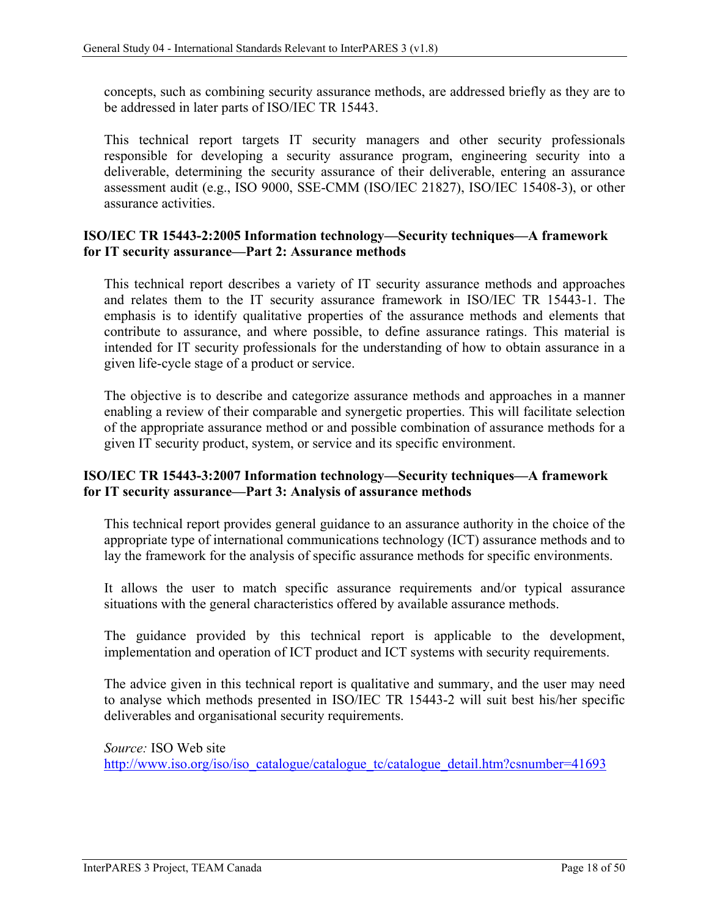concepts, such as combining security assurance methods, are addressed briefly as they are to be addressed in later parts of ISO/IEC TR 15443.

This technical report targets IT security managers and other security professionals responsible for developing a security assurance program, engineering security into a deliverable, determining the security assurance of their deliverable, entering an assurance assessment audit (e.g., ISO 9000, SSE-CMM (ISO/IEC 21827), ISO/IEC 15408-3), or other assurance activities.

### <span id="page-24-0"></span>**ISO/IEC TR 15443-2:2005 Information technology—Security techniques—A framework for IT security assurance—Part 2: Assurance methods**

This technical report describes a variety of IT security assurance methods and approaches and relates them to the IT security assurance framework in ISO/IEC TR 15443-1. The emphasis is to identify qualitative properties of the assurance methods and elements that contribute to assurance, and where possible, to define assurance ratings. This material is intended for IT security professionals for the understanding of how to obtain assurance in a given life-cycle stage of a product or service.

The objective is to describe and categorize assurance methods and approaches in a manner enabling a review of their comparable and synergetic properties. This will facilitate selection of the appropriate assurance method or and possible combination of assurance methods for a given IT security product, system, or service and its specific environment.

#### <span id="page-24-1"></span>**ISO/IEC TR 15443-3:2007 Information technology—Security techniques—A framework for IT security assurance—Part 3: Analysis of assurance methods**

This technical report provides general guidance to an assurance authority in the choice of the appropriate type of international communications technology (ICT) assurance methods and to lay the framework for the analysis of specific assurance methods for specific environments.

It allows the user to match specific assurance requirements and/or typical assurance situations with the general characteristics offered by available assurance methods.

The guidance provided by this technical report is applicable to the development, implementation and operation of ICT product and ICT systems with security requirements.

The advice given in this technical report is qualitative and summary, and the user may need to analyse which methods presented in ISO/IEC TR 15443-2 will suit best his/her specific deliverables and organisational security requirements.

*Source:* ISO Web site [http://www.iso.org/iso/iso\\_catalogue/catalogue\\_tc/catalogue\\_detail.htm?csnumber=41693](http://www.iso.org/iso/iso_catalogue/catalogue_tc/catalogue_detail.htm?csnumber=41693)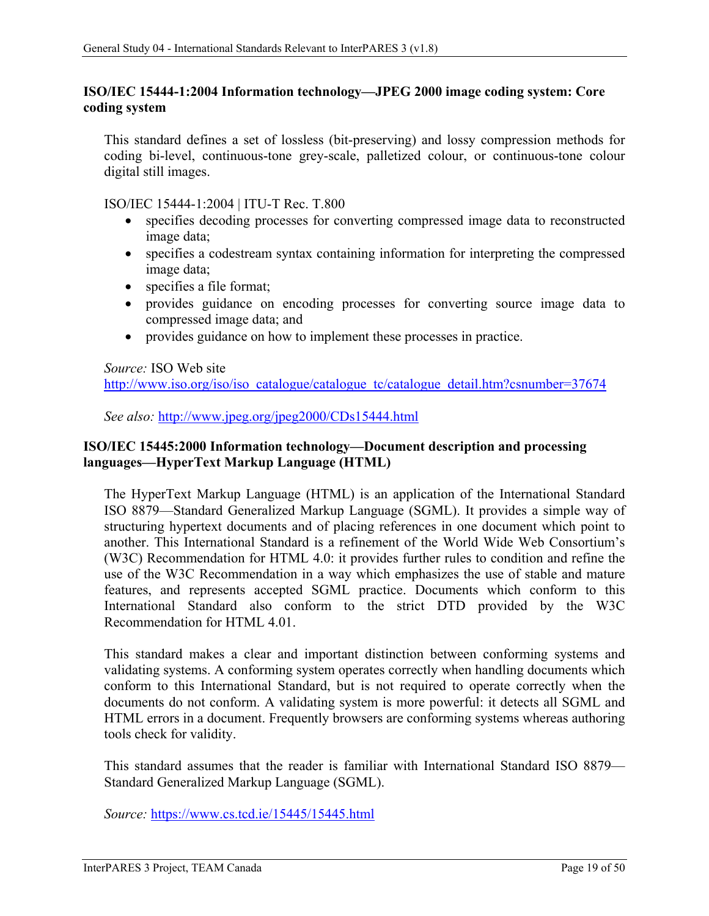### <span id="page-25-0"></span>**ISO/IEC 15444-1:2004 Information technology—JPEG 2000 image coding system: Core coding system**

This standard defines a set of lossless (bit-preserving) and lossy compression methods for coding bi-level, continuous-tone grey-scale, palletized colour, or continuous-tone colour digital still images.

ISO/IEC 15444-1:2004 | ITU-T Rec. T.800

- specifies decoding processes for converting compressed image data to reconstructed image data;
- specifies a codestream syntax containing information for interpreting the compressed image data;
- specifies a file format;
- provides guidance on encoding processes for converting source image data to compressed image data; and
- provides guidance on how to implement these processes in practice.

*Source:* ISO Web site

[http://www.iso.org/iso/iso\\_catalogue/catalogue\\_tc/catalogue\\_detail.htm?csnumber=37674](http://www.iso.org/iso/iso_catalogue/catalogue_tc/catalogue_detail.htm?csnumber=37674)

*See also:* <http://www.jpeg.org/jpeg2000/CDs15444.html>

### <span id="page-25-1"></span>**ISO/IEC 15445:2000 Information technology—Document description and processing languages—HyperText Markup Language (HTML)**

The HyperText Markup Language (HTML) is an application of the International Standard ISO 8879—Standard Generalized Markup Language (SGML). It provides a simple way of structuring hypertext documents and of placing references in one document which point to another. This International Standard is a refinement of the World Wide Web Consortium's (W3C) Recommendation for HTML 4.0: it provides further rules to condition and refine the use of the W3C Recommendation in a way which emphasizes the use of stable and mature features, and represents accepted SGML practice. Documents which conform to this International Standard also conform to the strict DTD provided by the W3C Recommendation for HTML 4.01.

This standard makes a clear and important distinction between conforming systems and validating systems. A conforming system operates correctly when handling documents which conform to this International Standard, but is not required to operate correctly when the documents do not conform. A validating system is more powerful: it detects all SGML and HTML errors in a document. Frequently browsers are conforming systems whereas authoring tools check for validity.

This standard assumes that the reader is familiar with International Standard ISO 8879— Standard Generalized Markup Language (SGML).

*Source:* <https://www.cs.tcd.ie/15445/15445.html>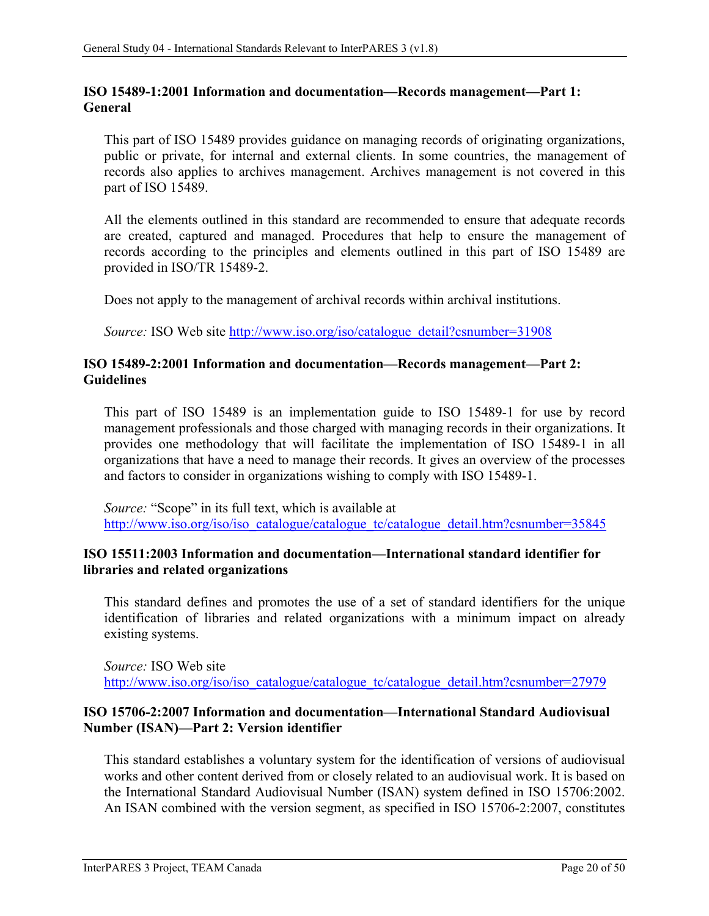### <span id="page-26-0"></span>**ISO 15489-1:2001 Information and documentation—Records management—Part 1: General**

This part of ISO 15489 provides guidance on managing records of originating organizations, public or private, for internal and external clients. In some countries, the management of records also applies to archives management. Archives management is not covered in this part of ISO 15489.

All the elements outlined in this standard are recommended to ensure that adequate records are created, captured and managed. Procedures that help to ensure the management of records according to the principles and elements outlined in this part of ISO 15489 are provided in ISO/TR 15489-2.

Does not apply to the management of archival records within archival institutions.

*Source:* ISO Web site [http://www.iso.org/iso/catalogue\\_detail?csnumber=31908](http://www.iso.org/iso/catalogue_detail?csnumber=31908)

### <span id="page-26-1"></span>**ISO 15489-2:2001 Information and documentation—Records management—Part 2: Guidelines**

This part of ISO 15489 is an implementation guide to ISO 15489-1 for use by record management professionals and those charged with managing records in their organizations. It provides one methodology that will facilitate the implementation of ISO 15489-1 in all organizations that have a need to manage their records. It gives an overview of the processes and factors to consider in organizations wishing to comply with ISO 15489-1.

*Source:* "Scope" in its full text, which is available at [http://www.iso.org/iso/iso\\_catalogue/catalogue\\_tc/catalogue\\_detail.htm?csnumber=35845](http://www.iso.org/iso/iso_catalogue/catalogue_tc/catalogue_detail.htm?csnumber=35845)

### <span id="page-26-2"></span>**ISO 15511:2003 Information and documentation—International standard identifier for libraries and related organizations**

This standard defines and promotes the use of a set of standard identifiers for the unique identification of libraries and related organizations with a minimum impact on already existing systems.

*Source:* ISO Web site [http://www.iso.org/iso/iso\\_catalogue/catalogue\\_tc/catalogue\\_detail.htm?csnumber=27979](http://www.iso.org/iso/iso_catalogue/catalogue_tc/catalogue_detail.htm?csnumber=27979)

### <span id="page-26-3"></span>**ISO 15706-2:2007 Information and documentation—International Standard Audiovisual Number (ISAN)—Part 2: Version identifier**

This standard establishes a voluntary system for the identification of versions of audiovisual works and other content derived from or closely related to an audiovisual work. It is based on the International Standard Audiovisual Number (ISAN) system defined in ISO 15706:2002. An ISAN combined with the version segment, as specified in ISO 15706-2:2007, constitutes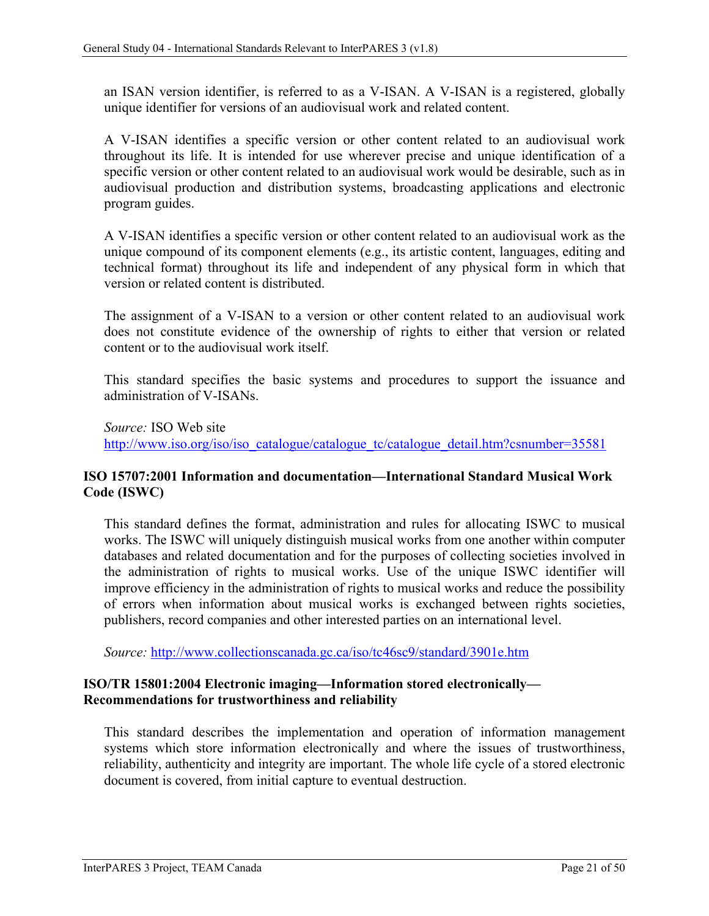an ISAN version identifier, is referred to as a V-ISAN. A V-ISAN is a registered, globally unique identifier for versions of an audiovisual work and related content.

A V-ISAN identifies a specific version or other content related to an audiovisual work throughout its life. It is intended for use wherever precise and unique identification of a specific version or other content related to an audiovisual work would be desirable, such as in audiovisual production and distribution systems, broadcasting applications and electronic program guides.

A V-ISAN identifies a specific version or other content related to an audiovisual work as the unique compound of its component elements (e.g., its artistic content, languages, editing and technical format) throughout its life and independent of any physical form in which that version or related content is distributed.

The assignment of a V-ISAN to a version or other content related to an audiovisual work does not constitute evidence of the ownership of rights to either that version or related content or to the audiovisual work itself.

This standard specifies the basic systems and procedures to support the issuance and administration of V-ISANs.

*Source:* ISO Web site [http://www.iso.org/iso/iso\\_catalogue/catalogue\\_tc/catalogue\\_detail.htm?csnumber=35581](http://www.iso.org/iso/iso_catalogue/catalogue_tc/catalogue_detail.htm?csnumber=35581)

### <span id="page-27-0"></span>**ISO 15707:2001 Information and documentation—International Standard Musical Work Code (ISWC)**

This standard defines the format, administration and rules for allocating ISWC to musical works. The ISWC will uniquely distinguish musical works from one another within computer databases and related documentation and for the purposes of collecting societies involved in the administration of rights to musical works. Use of the unique ISWC identifier will improve efficiency in the administration of rights to musical works and reduce the possibility of errors when information about musical works is exchanged between rights societies, publishers, record companies and other interested parties on an international level.

*Source:* <http://www.collectionscanada.gc.ca/iso/tc46sc9/standard/3901e.htm>

### <span id="page-27-1"></span>**ISO/TR 15801:2004 Electronic imaging—Information stored electronically— Recommendations for trustworthiness and reliability**

This standard describes the implementation and operation of information management systems which store information electronically and where the issues of trustworthiness, reliability, authenticity and integrity are important. The whole life cycle of a stored electronic document is covered, from initial capture to eventual destruction.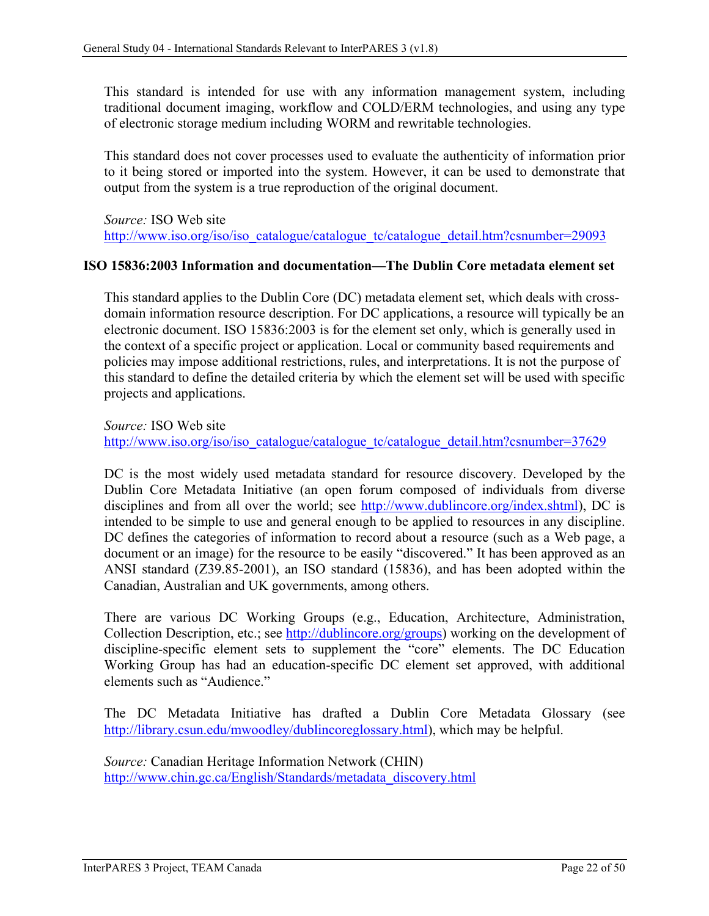This standard is intended for use with any information management system, including traditional document imaging, workflow and COLD/ERM technologies, and using any type of electronic storage medium including WORM and rewritable technologies.

This standard does not cover processes used to evaluate the authenticity of information prior to it being stored or imported into the system. However, it can be used to demonstrate that output from the system is a true reproduction of the original document.

*Source:* ISO Web site [http://www.iso.org/iso/iso\\_catalogue/catalogue\\_tc/catalogue\\_detail.htm?csnumber=29093](http://www.iso.org/iso/iso_catalogue/catalogue_tc/catalogue_detail.htm?csnumber=29093)

#### <span id="page-28-0"></span>**ISO 15836:2003 Information and documentation—The Dublin Core metadata element set**

This standard applies to the Dublin Core (DC) metadata element set, which deals with crossdomain information resource description. For DC applications, a resource will typically be an electronic document. ISO 15836:2003 is for the element set only, which is generally used in the context of a specific project or application. Local or community based requirements and policies may impose additional restrictions, rules, and interpretations. It is not the purpose of this standard to define the detailed criteria by which the element set will be used with specific projects and applications.

*Source:* ISO Web site [http://www.iso.org/iso/iso\\_catalogue/catalogue\\_tc/catalogue\\_detail.htm?csnumber=37629](http://www.iso.org/iso/iso_catalogue/catalogue_tc/catalogue_detail.htm?csnumber=37629)

DC is the most widely used metadata standard for resource discovery. Developed by the Dublin Core Metadata Initiative (an open forum composed of individuals from diverse disciplines and from all over the world; see [http://www.dublincore.org/index.shtml\)](http://www.dublincore.org/index.shtml), DC is intended to be simple to use and general enough to be applied to resources in any discipline. DC defines the categories of information to record about a resource (such as a Web page, a document or an image) for the resource to be easily "discovered." It has been approved as an ANSI standard (Z39.85-2001), an ISO standard (15836), and has been adopted within the Canadian, Australian and UK governments, among others.

There are various DC Working Groups (e.g., Education, Architecture, Administration, Collection Description, etc.; see [http://dublincore.org/groups\)](http://dublincore.org/groups) working on the development of discipline-specific element sets to supplement the "core" elements. The DC Education Working Group has had an education-specific DC element set approved, with additional elements such as "Audience."

The DC Metadata Initiative has drafted a Dublin Core Metadata Glossary (see [http://library.csun.edu/mwoodley/dublincoreglossary.html\)](http://library.csun.edu/mwoodley/dublincoreglossary.html), which may be helpful.

*Source:* Canadian Heritage Information Network (CHIN) [http://www.chin.gc.ca/English/Standards/metadata\\_discovery.html](http://www.chin.gc.ca/English/Standards/metadata_discovery.html)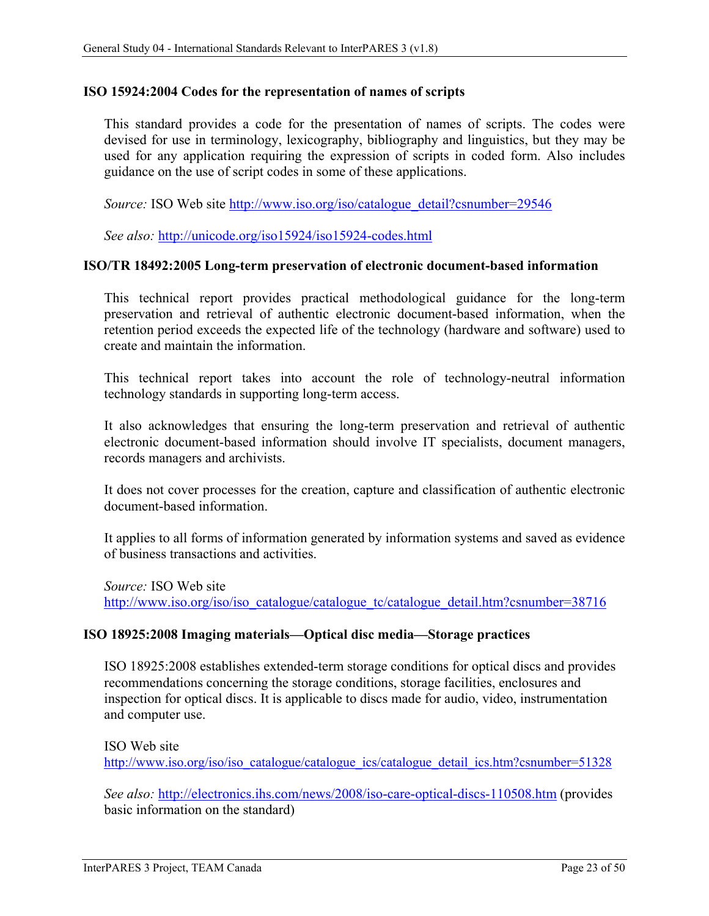#### <span id="page-29-0"></span>**ISO 15924:2004 Codes for the representation of names of scripts**

This standard provides a code for the presentation of names of scripts. The codes were devised for use in terminology, lexicography, bibliography and linguistics, but they may be used for any application requiring the expression of scripts in coded form. Also includes guidance on the use of script codes in some of these applications.

*Source:* ISO Web site [http://www.iso.org/iso/catalogue\\_detail?csnumber=29546](http://www.iso.org/iso/catalogue_detail?csnumber=29546)

*See also:* <http://unicode.org/iso15924/iso15924-codes.html>

#### <span id="page-29-1"></span>**ISO/TR 18492:2005 Long-term preservation of electronic document-based information**

This technical report provides practical methodological guidance for the long-term preservation and retrieval of authentic electronic document-based information, when the retention period exceeds the expected life of the technology (hardware and software) used to create and maintain the information.

This technical report takes into account the role of technology-neutral information technology standards in supporting long-term access.

It also acknowledges that ensuring the long-term preservation and retrieval of authentic electronic document-based information should involve IT specialists, document managers, records managers and archivists.

It does not cover processes for the creation, capture and classification of authentic electronic document-based information.

It applies to all forms of information generated by information systems and saved as evidence of business transactions and activities.

*Source:* ISO Web site [http://www.iso.org/iso/iso\\_catalogue/catalogue\\_tc/catalogue\\_detail.htm?csnumber=38716](http://www.iso.org/iso/iso_catalogue/catalogue_tc/catalogue_detail.htm?csnumber=38716)

#### <span id="page-29-2"></span>**ISO 18925:2008 Imaging materials—Optical disc media—Storage practices**

ISO 18925:2008 establishes extended-term storage conditions for optical discs and provides recommendations concerning the storage conditions, storage facilities, enclosures and inspection for optical discs. It is applicable to discs made for audio, video, instrumentation and computer use.

ISO Web site [http://www.iso.org/iso/iso\\_catalogue/catalogue\\_ics/catalogue\\_detail\\_ics.htm?csnumber=51328](http://www.iso.org/iso/iso_catalogue/catalogue_ics/catalogue_detail_ics.htm?csnumber=51328)

*See also:* <http://electronics.ihs.com/news/2008/iso-care-optical-discs-110508.htm> (provides basic information on the standard)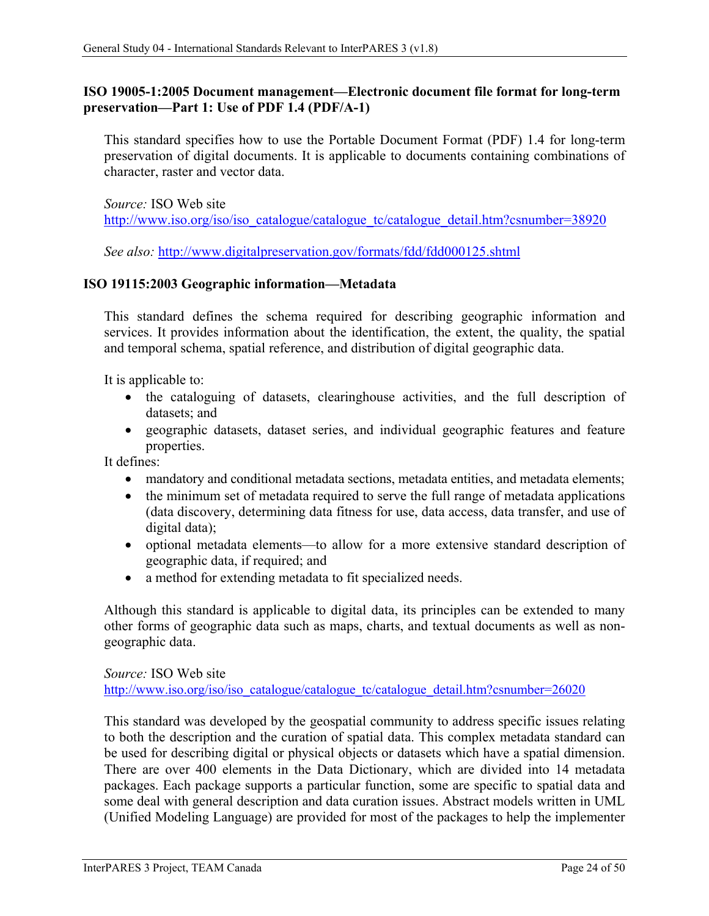### <span id="page-30-0"></span>**ISO 19005-1:2005 Document management—Electronic document file format for long-term preservation—Part 1: Use of PDF 1.4 (PDF/A-1)**

This standard specifies how to use the Portable Document Format (PDF) 1.4 for long-term preservation of digital documents. It is applicable to documents containing combinations of character, raster and vector data.

*Source:* ISO Web site [http://www.iso.org/iso/iso\\_catalogue/catalogue\\_tc/catalogue\\_detail.htm?csnumber=38920](http://www.iso.org/iso/iso_catalogue/catalogue_tc/catalogue_detail.htm?csnumber=38920)

*See also:* <http://www.digitalpreservation.gov/formats/fdd/fdd000125.shtml>

#### <span id="page-30-1"></span>**ISO 19115:2003 Geographic information—Metadata**

This standard defines the schema required for describing geographic information and services. It provides information about the identification, the extent, the quality, the spatial and temporal schema, spatial reference, and distribution of digital geographic data.

It is applicable to:

- the cataloguing of datasets, clearinghouse activities, and the full description of datasets; and
- geographic datasets, dataset series, and individual geographic features and feature properties.

It defines:

- mandatory and conditional metadata sections, metadata entities, and metadata elements;
- the minimum set of metadata required to serve the full range of metadata applications (data discovery, determining data fitness for use, data access, data transfer, and use of digital data);
- optional metadata elements—to allow for a more extensive standard description of geographic data, if required; and
- a method for extending metadata to fit specialized needs.

Although this standard is applicable to digital data, its principles can be extended to many other forms of geographic data such as maps, charts, and textual documents as well as nongeographic data.

*Source:* ISO Web site

[http://www.iso.org/iso/iso\\_catalogue/catalogue\\_tc/catalogue\\_detail.htm?csnumber=26020](http://www.iso.org/iso/iso_catalogue/catalogue_tc/catalogue_detail.htm?csnumber=26020)

This standard was developed by the geospatial community to address specific issues relating to both the description and the curation of spatial data. This complex metadata standard can be used for describing digital or physical objects or datasets which have a spatial dimension. There are over 400 elements in the Data Dictionary, which are divided into 14 metadata packages. Each package supports a particular function, some are specific to spatial data and some deal with general description and data curation issues. Abstract models written in UML (Unified Modeling Language) are provided for most of the packages to help the implementer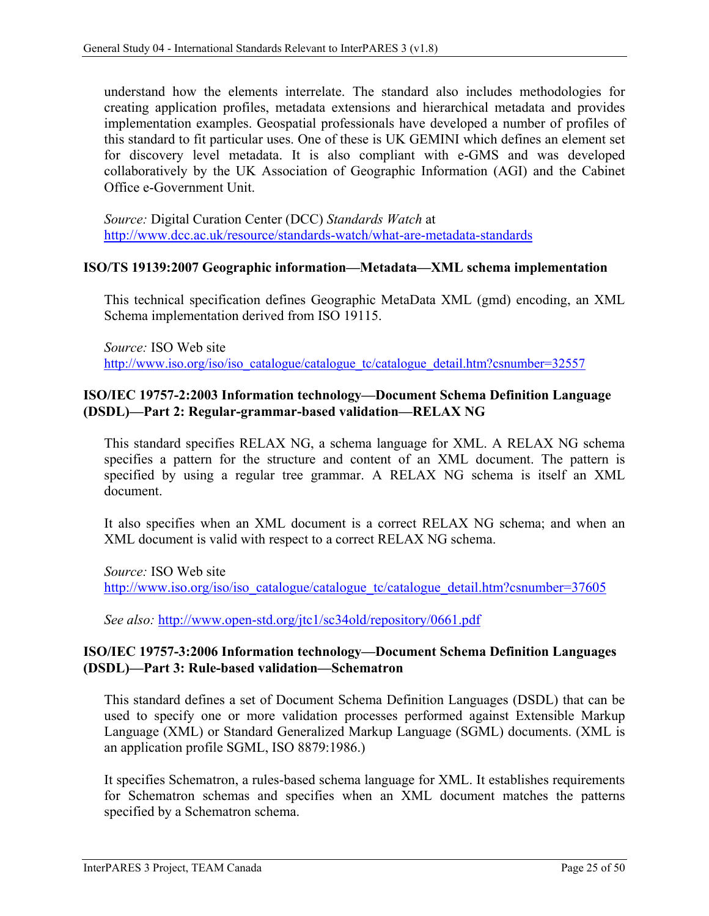understand how the elements interrelate. The standard also includes methodologies for creating application profiles, metadata extensions and hierarchical metadata and provides implementation examples. Geospatial professionals have developed a number of profiles of this standard to fit particular uses. One of these is UK GEMINI which defines an element set for discovery level metadata. It is also compliant with e-GMS and was developed collaboratively by the UK Association of Geographic Information (AGI) and the Cabinet Office e-Government Unit.

*Source:* Digital Curation Center (DCC) *Standards Watch* at <http://www.dcc.ac.uk/resource/standards-watch/what-are-metadata-standards>

#### <span id="page-31-0"></span>**ISO/TS 19139:2007 Geographic information—Metadata—XML schema implementation**

This technical specification defines Geographic MetaData XML (gmd) encoding, an XML Schema implementation derived from ISO 19115.

*Source:* ISO Web site [http://www.iso.org/iso/iso\\_catalogue/catalogue\\_tc/catalogue\\_detail.htm?csnumber=32557](http://www.iso.org/iso/iso_catalogue/catalogue_tc/catalogue_detail.htm?csnumber=32557)

### <span id="page-31-1"></span>**ISO/IEC 19757-2:2003 Information technology—Document Schema Definition Language (DSDL)—Part 2: Regular-grammar-based validation—RELAX NG**

This standard specifies RELAX NG, a schema language for XML. A RELAX NG schema specifies a pattern for the structure and content of an XML document. The pattern is specified by using a regular tree grammar. A RELAX NG schema is itself an XML document.

It also specifies when an XML document is a correct RELAX NG schema; and when an XML document is valid with respect to a correct RELAX NG schema.

*Source:* ISO Web site [http://www.iso.org/iso/iso\\_catalogue/catalogue\\_tc/catalogue\\_detail.htm?csnumber=37605](http://www.iso.org/iso/iso_catalogue/catalogue_tc/catalogue_detail.htm?csnumber=37605)

*See also:* <http://www.open-std.org/jtc1/sc34old/repository/0661.pdf>

#### <span id="page-31-2"></span>**ISO/IEC 19757-3:2006 Information technology—Document Schema Definition Languages (DSDL)—Part 3: Rule-based validation—Schematron**

This standard defines a set of Document Schema Definition Languages (DSDL) that can be used to specify one or more validation processes performed against Extensible Markup Language (XML) or Standard Generalized Markup Language (SGML) documents. (XML is an application profile SGML, ISO 8879:1986.)

It specifies Schematron, a rules-based schema language for XML. It establishes requirements for Schematron schemas and specifies when an XML document matches the patterns specified by a Schematron schema.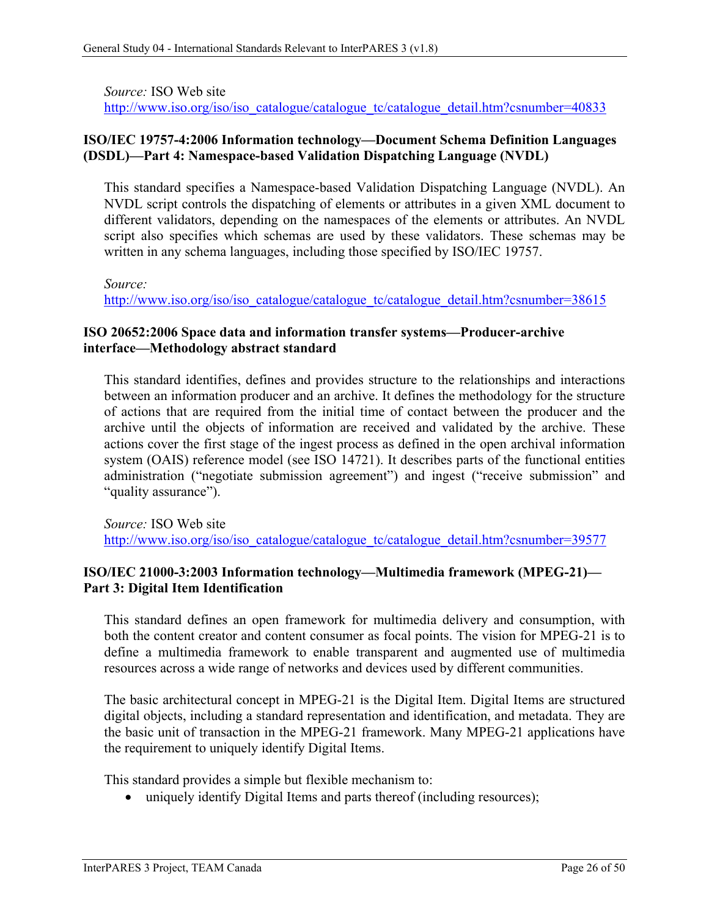*Source:* ISO Web site

[http://www.iso.org/iso/iso\\_catalogue/catalogue\\_tc/catalogue\\_detail.htm?csnumber=40833](http://www.iso.org/iso/iso_catalogue/catalogue_tc/catalogue_detail.htm?csnumber=40833)

### <span id="page-32-0"></span>**ISO/IEC 19757-4:2006 Information technology—Document Schema Definition Languages (DSDL)—Part 4: Namespace-based Validation Dispatching Language (NVDL)**

This standard specifies a Namespace-based Validation Dispatching Language (NVDL). An NVDL script controls the dispatching of elements or attributes in a given XML document to different validators, depending on the namespaces of the elements or attributes. An NVDL script also specifies which schemas are used by these validators. These schemas may be written in any schema languages, including those specified by ISO/IEC 19757.

*Source:*

[http://www.iso.org/iso/iso\\_catalogue/catalogue\\_tc/catalogue\\_detail.htm?csnumber=38615](http://www.iso.org/iso/iso_catalogue/catalogue_tc/catalogue_detail.htm?csnumber=38615)

### <span id="page-32-1"></span>**ISO 20652:2006 Space data and information transfer systems—Producer-archive interface—Methodology abstract standard**

This standard identifies, defines and provides structure to the relationships and interactions between an information producer and an archive. It defines the methodology for the structure of actions that are required from the initial time of contact between the producer and the archive until the objects of information are received and validated by the archive. These actions cover the first stage of the ingest process as defined in the open archival information system (OAIS) reference model (see ISO 14721). It describes parts of the functional entities administration ("negotiate submission agreement") and ingest ("receive submission" and "quality assurance").

*Source:* ISO Web site [http://www.iso.org/iso/iso\\_catalogue/catalogue\\_tc/catalogue\\_detail.htm?csnumber=39577](http://www.iso.org/iso/iso_catalogue/catalogue_tc/catalogue_detail.htm?csnumber=39577)

### <span id="page-32-2"></span>**ISO/IEC 21000-3:2003 Information technology—Multimedia framework (MPEG-21)— Part 3: Digital Item Identification**

This standard defines an open framework for multimedia delivery and consumption, with both the content creator and content consumer as focal points. The vision for MPEG-21 is to define a multimedia framework to enable transparent and augmented use of multimedia resources across a wide range of networks and devices used by different communities.

The basic architectural concept in MPEG-21 is the Digital Item. Digital Items are structured digital objects, including a standard representation and identification, and metadata. They are the basic unit of transaction in the MPEG-21 framework. Many MPEG-21 applications have the requirement to uniquely identify Digital Items.

This standard provides a simple but flexible mechanism to:

• uniquely identify Digital Items and parts thereof (including resources);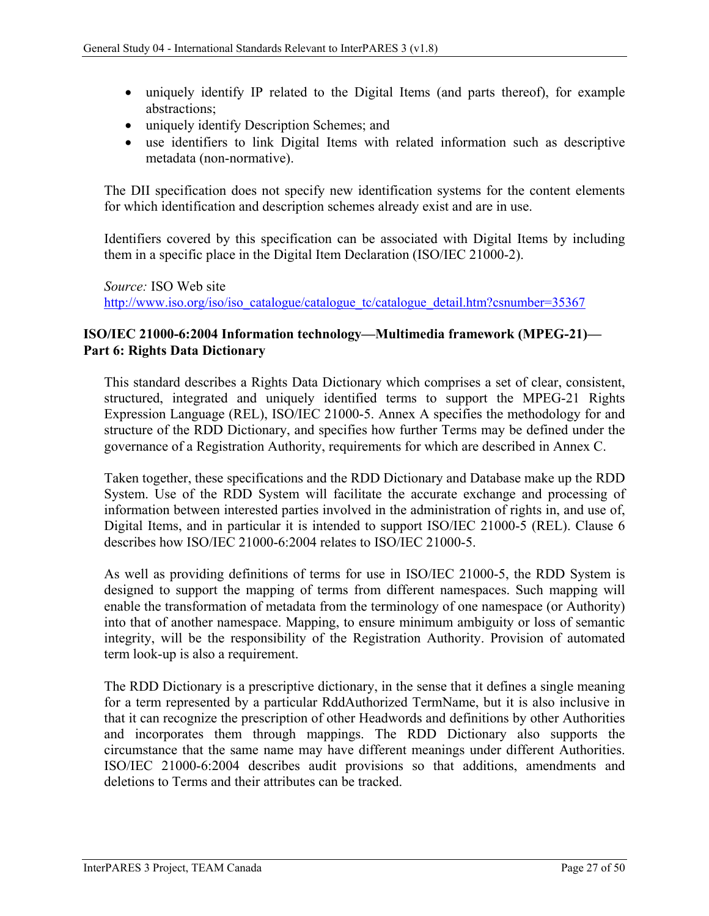- uniquely identify IP related to the Digital Items (and parts thereof), for example abstractions;
- uniquely identify Description Schemes; and
- use identifiers to link Digital Items with related information such as descriptive metadata (non-normative).

The DII specification does not specify new identification systems for the content elements for which identification and description schemes already exist and are in use.

Identifiers covered by this specification can be associated with Digital Items by including them in a specific place in the Digital Item Declaration (ISO/IEC 21000-2).

*Source:* ISO Web site [http://www.iso.org/iso/iso\\_catalogue/catalogue\\_tc/catalogue\\_detail.htm?csnumber=35367](http://www.iso.org/iso/iso_catalogue/catalogue_tc/catalogue_detail.htm?csnumber=35367)

### <span id="page-33-0"></span>**ISO/IEC 21000-6:2004 Information technology—Multimedia framework (MPEG-21)— Part 6: Rights Data Dictionary**

This standard describes a Rights Data Dictionary which comprises a set of clear, consistent, structured, integrated and uniquely identified terms to support the MPEG-21 Rights Expression Language (REL), ISO/IEC 21000-5. Annex A specifies the methodology for and structure of the RDD Dictionary, and specifies how further Terms may be defined under the governance of a Registration Authority, requirements for which are described in Annex C.

Taken together, these specifications and the RDD Dictionary and Database make up the RDD System. Use of the RDD System will facilitate the accurate exchange and processing of information between interested parties involved in the administration of rights in, and use of, Digital Items, and in particular it is intended to support ISO/IEC 21000-5 (REL). Clause 6 describes how ISO/IEC 21000-6:2004 relates to ISO/IEC 21000-5.

As well as providing definitions of terms for use in ISO/IEC 21000-5, the RDD System is designed to support the mapping of terms from different namespaces. Such mapping will enable the transformation of metadata from the terminology of one namespace (or Authority) into that of another namespace. Mapping, to ensure minimum ambiguity or loss of semantic integrity, will be the responsibility of the Registration Authority. Provision of automated term look-up is also a requirement.

The RDD Dictionary is a prescriptive dictionary, in the sense that it defines a single meaning for a term represented by a particular RddAuthorized TermName, but it is also inclusive in that it can recognize the prescription of other Headwords and definitions by other Authorities and incorporates them through mappings. The RDD Dictionary also supports the circumstance that the same name may have different meanings under different Authorities. ISO/IEC 21000-6:2004 describes audit provisions so that additions, amendments and deletions to Terms and their attributes can be tracked.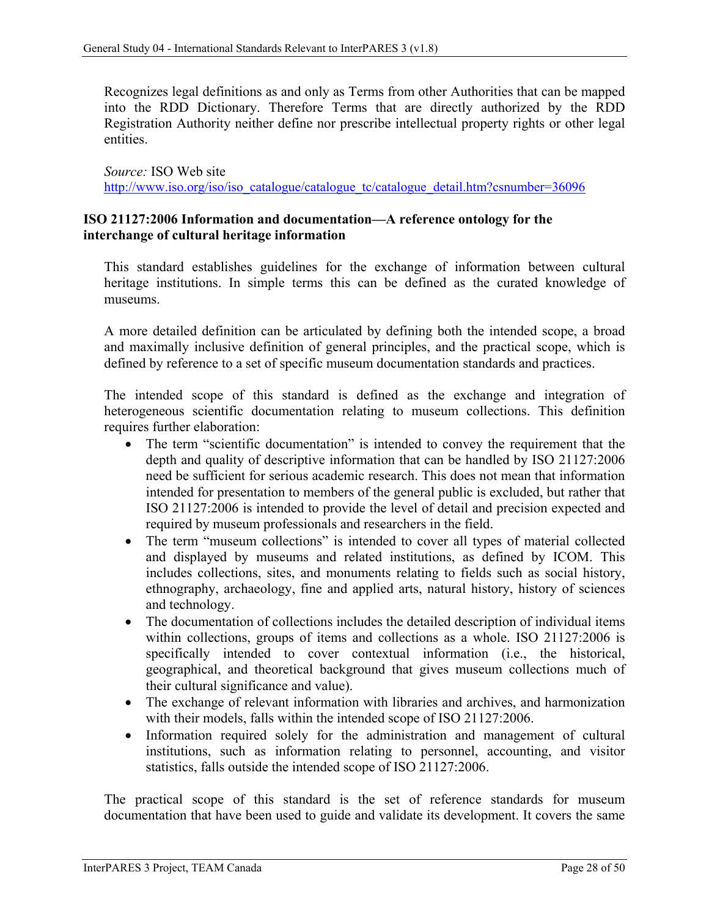Recognizes legal definitions as and only as Terms from other Authorities that can be mapped into the RDD Dictionary. Therefore Terms that are directly authorized by the RDD Registration Authority neither define nor prescribe intellectual property rights or other legal entities.

*Source:* ISO Web site [http://www.iso.org/iso/iso\\_catalogue/catalogue\\_tc/catalogue\\_detail.htm?csnumber=36096](http://www.iso.org/iso/iso_catalogue/catalogue_tc/catalogue_detail.htm?csnumber=36096)

### <span id="page-34-0"></span>**ISO 21127:2006 Information and documentation—A reference ontology for the interchange of cultural heritage information**

This standard establishes guidelines for the exchange of information between cultural heritage institutions. In simple terms this can be defined as the curated knowledge of museums.

A more detailed definition can be articulated by defining both the intended scope, a broad and maximally inclusive definition of general principles, and the practical scope, which is defined by reference to a set of specific museum documentation standards and practices.

The intended scope of this standard is defined as the exchange and integration of heterogeneous scientific documentation relating to museum collections. This definition requires further elaboration:

- The term "scientific documentation" is intended to convey the requirement that the depth and quality of descriptive information that can be handled by ISO 21127:2006 need be sufficient for serious academic research. This does not mean that information intended for presentation to members of the general public is excluded, but rather that ISO 21127:2006 is intended to provide the level of detail and precision expected and required by museum professionals and researchers in the field.
- The term "museum collections" is intended to cover all types of material collected and displayed by museums and related institutions, as defined by ICOM. This includes collections, sites, and monuments relating to fields such as social history, ethnography, archaeology, fine and applied arts, natural history, history of sciences and technology.
- The documentation of collections includes the detailed description of individual items within collections, groups of items and collections as a whole. ISO 21127:2006 is specifically intended to cover contextual information (i.e., the historical, geographical, and theoretical background that gives museum collections much of their cultural significance and value).
- The exchange of relevant information with libraries and archives, and harmonization with their models, falls within the intended scope of ISO 21127:2006.
- Information required solely for the administration and management of cultural institutions, such as information relating to personnel, accounting, and visitor statistics, falls outside the intended scope of ISO 21127:2006.

The practical scope of this standard is the set of reference standards for museum documentation that have been used to guide and validate its development. It covers the same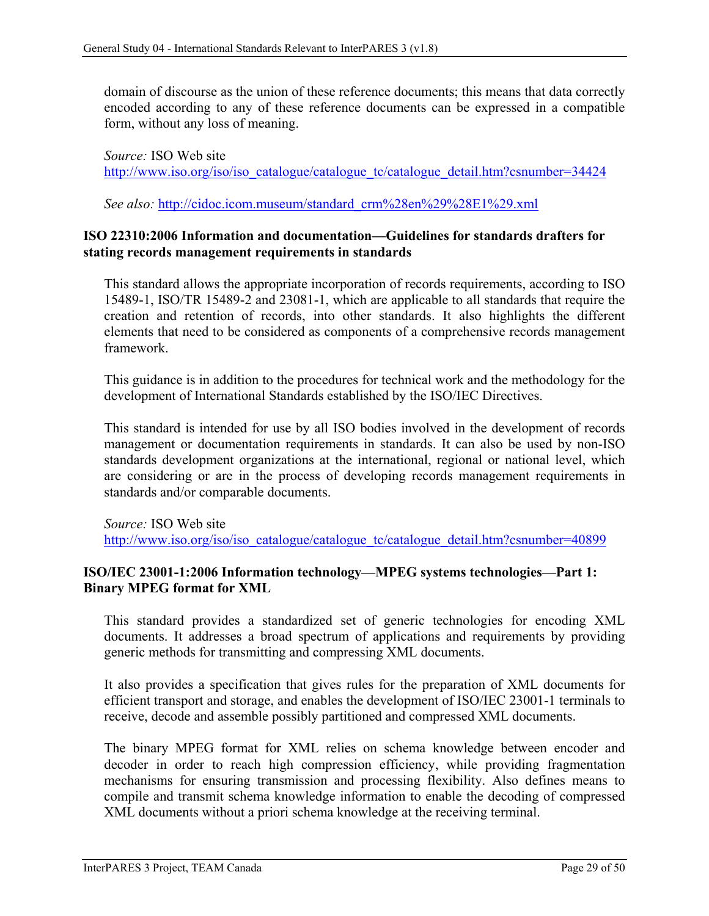domain of discourse as the union of these reference documents; this means that data correctly encoded according to any of these reference documents can be expressed in a compatible form, without any loss of meaning.

*Source:* ISO Web site [http://www.iso.org/iso/iso\\_catalogue/catalogue\\_tc/catalogue\\_detail.htm?csnumber=34424](http://www.iso.org/iso/iso_catalogue/catalogue_tc/catalogue_detail.htm?csnumber=34424)

*See also:* [http://cidoc.icom.museum/standard\\_crm%28en%29%28E1%29.xml](http://cidoc.icom.museum/standard_crm%28en%29%28E1%29.xml)

### <span id="page-35-0"></span>**ISO 22310:2006 Information and documentation—Guidelines for standards drafters for stating records management requirements in standards**

This standard allows the appropriate incorporation of records requirements, according to ISO 15489-1, ISO/TR 15489-2 and 23081-1, which are applicable to all standards that require the creation and retention of records, into other standards. It also highlights the different elements that need to be considered as components of a comprehensive records management framework.

This guidance is in addition to the procedures for technical work and the methodology for the development of International Standards established by the ISO/IEC Directives.

This standard is intended for use by all ISO bodies involved in the development of records management or documentation requirements in standards. It can also be used by non-ISO standards development organizations at the international, regional or national level, which are considering or are in the process of developing records management requirements in standards and/or comparable documents.

*Source:* ISO Web site [http://www.iso.org/iso/iso\\_catalogue/catalogue\\_tc/catalogue\\_detail.htm?csnumber=40899](http://www.iso.org/iso/iso_catalogue/catalogue_tc/catalogue_detail.htm?csnumber=40899)

### <span id="page-35-1"></span>**ISO/IEC 23001-1:2006 Information technology—MPEG systems technologies—Part 1: Binary MPEG format for XML**

This standard provides a standardized set of generic technologies for encoding XML documents. It addresses a broad spectrum of applications and requirements by providing generic methods for transmitting and compressing XML documents.

It also provides a specification that gives rules for the preparation of XML documents for efficient transport and storage, and enables the development of ISO/IEC 23001-1 terminals to receive, decode and assemble possibly partitioned and compressed XML documents.

The binary MPEG format for XML relies on schema knowledge between encoder and decoder in order to reach high compression efficiency, while providing fragmentation mechanisms for ensuring transmission and processing flexibility. Also defines means to compile and transmit schema knowledge information to enable the decoding of compressed XML documents without a priori schema knowledge at the receiving terminal.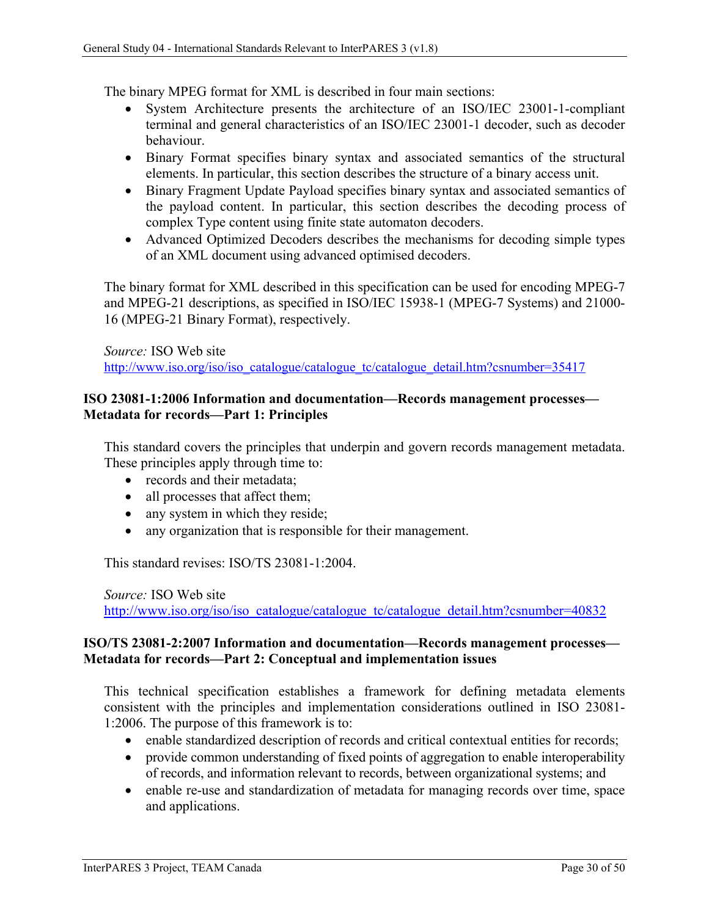The binary MPEG format for XML is described in four main sections:

- System Architecture presents the architecture of an ISO/IEC 23001-1-compliant terminal and general characteristics of an ISO/IEC 23001-1 decoder, such as decoder behaviour.
- Binary Format specifies binary syntax and associated semantics of the structural elements. In particular, this section describes the structure of a binary access unit.
- Binary Fragment Update Payload specifies binary syntax and associated semantics of the payload content. In particular, this section describes the decoding process of complex Type content using finite state automaton decoders.
- Advanced Optimized Decoders describes the mechanisms for decoding simple types of an XML document using advanced optimised decoders.

The binary format for XML described in this specification can be used for encoding MPEG-7 and MPEG-21 descriptions, as specified in ISO/IEC 15938-1 (MPEG-7 Systems) and 21000- 16 (MPEG-21 Binary Format), respectively.

*Source:* ISO Web site

[http://www.iso.org/iso/iso\\_catalogue/catalogue\\_tc/catalogue\\_detail.htm?csnumber=35417](http://www.iso.org/iso/iso_catalogue/catalogue_tc/catalogue_detail.htm?csnumber=35417)

### <span id="page-36-0"></span>**ISO 23081-1:2006 Information and documentation—Records management processes— Metadata for records—Part 1: Principles**

This standard covers the principles that underpin and govern records management metadata. These principles apply through time to:

- records and their metadata:
- all processes that affect them;
- any system in which they reside;
- any organization that is responsible for their management.

This standard revises: ISO/TS 23081-1:2004.

*Source:* ISO Web site [http://www.iso.org/iso/iso\\_catalogue/catalogue\\_tc/catalogue\\_detail.htm?csnumber=40832](http://www.iso.org/iso/iso_catalogue/catalogue_tc/catalogue_detail.htm?csnumber=40832)

#### <span id="page-36-1"></span>**ISO/TS 23081-2:2007 Information and documentation—Records management processes— Metadata for records—Part 2: Conceptual and implementation issues**

This technical specification establishes a framework for defining metadata elements consistent with the principles and implementation considerations outlined in ISO 23081- 1:2006. The purpose of this framework is to:

- enable standardized description of records and critical contextual entities for records;
- provide common understanding of fixed points of aggregation to enable interoperability of records, and information relevant to records, between organizational systems; and
- enable re-use and standardization of metadata for managing records over time, space and applications.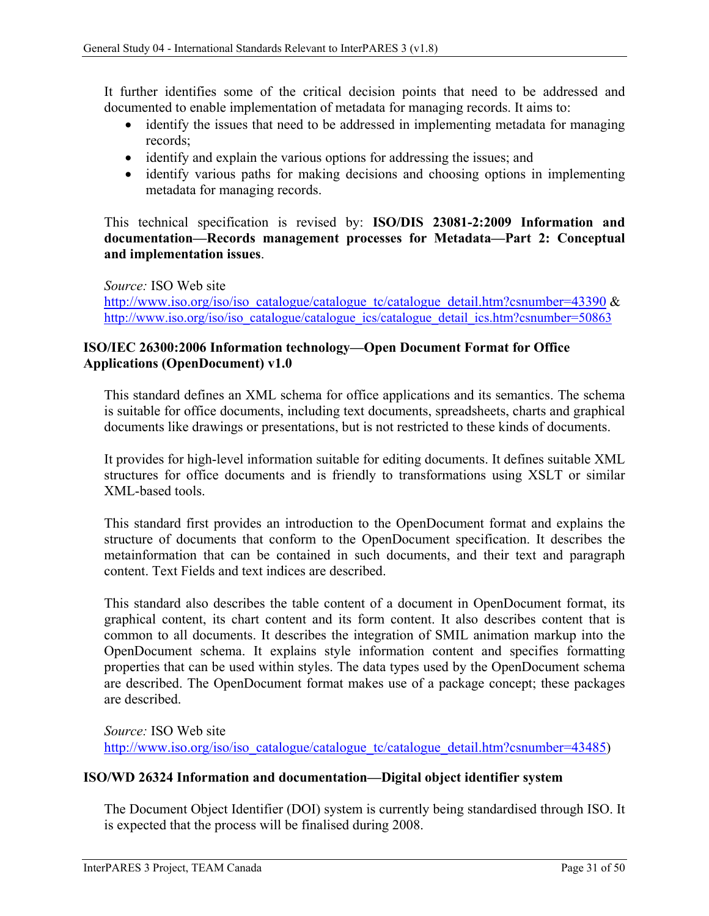It further identifies some of the critical decision points that need to be addressed and documented to enable implementation of metadata for managing records. It aims to:

- identify the issues that need to be addressed in implementing metadata for managing records;
- identify and explain the various options for addressing the issues; and
- identify various paths for making decisions and choosing options in implementing metadata for managing records.

This technical specification is revised by: **ISO/DIS 23081-2:2009 Information and documentation—Records management processes for Metadata—Part 2: Conceptual and implementation issues**.

*Source:* ISO Web site [http://www.iso.org/iso/iso\\_catalogue/catalogue\\_tc/catalogue\\_detail.htm?csnumber=43390](http://www.iso.org/iso/iso_catalogue/catalogue_tc/catalogue_detail.htm?csnumber=43390)  $\&$ [http://www.iso.org/iso/iso\\_catalogue/catalogue\\_ics/catalogue\\_detail\\_ics.htm?csnumber=50863](http://www.iso.org/iso/iso_catalogue/catalogue_ics/catalogue_detail_ics.htm?csnumber=50863)

### <span id="page-37-0"></span>**ISO/IEC 26300:2006 Information technology—Open Document Format for Office Applications (OpenDocument) v1.0**

This standard defines an XML schema for office applications and its semantics. The schema is suitable for office documents, including text documents, spreadsheets, charts and graphical documents like drawings or presentations, but is not restricted to these kinds of documents.

It provides for high-level information suitable for editing documents. It defines suitable XML structures for office documents and is friendly to transformations using XSLT or similar XML-based tools.

This standard first provides an introduction to the OpenDocument format and explains the structure of documents that conform to the OpenDocument specification. It describes the metainformation that can be contained in such documents, and their text and paragraph content. Text Fields and text indices are described.

This standard also describes the table content of a document in OpenDocument format, its graphical content, its chart content and its form content. It also describes content that is common to all documents. It describes the integration of SMIL animation markup into the OpenDocument schema. It explains style information content and specifies formatting properties that can be used within styles. The data types used by the OpenDocument schema are described. The OpenDocument format makes use of a package concept; these packages are described.

*Source:* ISO Web site [http://www.iso.org/iso/iso\\_catalogue/catalogue\\_tc/catalogue\\_detail.htm?csnumber=43485\)](http://www.iso.org/iso/iso_catalogue/catalogue_tc/catalogue_detail.htm?csnumber=43485)

### <span id="page-37-1"></span>**ISO/WD 26324 Information and documentation—Digital object identifier system**

The Document Object Identifier (DOI) system is currently being standardised through ISO. It is expected that the process will be finalised during 2008.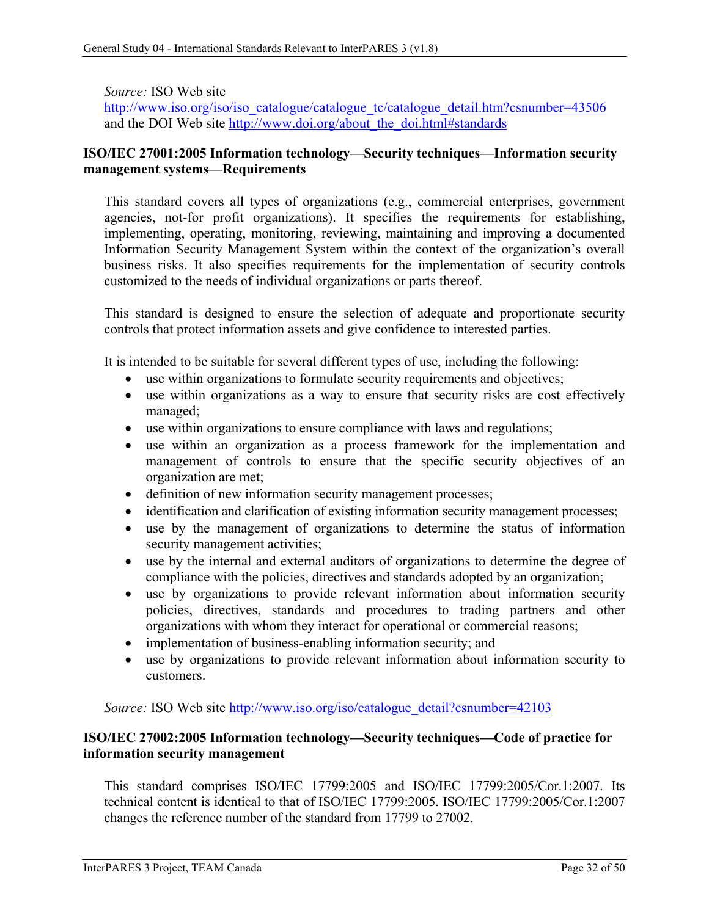### *Source:* ISO Web site

[http://www.iso.org/iso/iso\\_catalogue/catalogue\\_tc/catalogue\\_detail.htm?csnumber=43506](http://www.iso.org/iso/iso_catalogue/catalogue_tc/catalogue_detail.htm?csnumber=43506) and the DOI Web site [http://www.doi.org/about\\_the\\_doi.html#standards](http://www.doi.org/about_the_doi.html#standards)

### <span id="page-38-0"></span>**ISO/IEC 27001:2005 Information technology—Security techniques—Information security management systems—Requirements**

This standard covers all types of organizations (e.g., commercial enterprises, government agencies, not-for profit organizations). It specifies the requirements for establishing, implementing, operating, monitoring, reviewing, maintaining and improving a documented Information Security Management System within the context of the organization's overall business risks. It also specifies requirements for the implementation of security controls customized to the needs of individual organizations or parts thereof.

This standard is designed to ensure the selection of adequate and proportionate security controls that protect information assets and give confidence to interested parties.

It is intended to be suitable for several different types of use, including the following:

- use within organizations to formulate security requirements and objectives;
- use within organizations as a way to ensure that security risks are cost effectively managed;
- use within organizations to ensure compliance with laws and regulations;
- use within an organization as a process framework for the implementation and management of controls to ensure that the specific security objectives of an organization are met;
- definition of new information security management processes;
- identification and clarification of existing information security management processes;
- use by the management of organizations to determine the status of information security management activities;
- use by the internal and external auditors of organizations to determine the degree of compliance with the policies, directives and standards adopted by an organization;
- use by organizations to provide relevant information about information security policies, directives, standards and procedures to trading partners and other organizations with whom they interact for operational or commercial reasons;
- implementation of business-enabling information security; and
- use by organizations to provide relevant information about information security to customers.

*Source:* ISO Web site [http://www.iso.org/iso/catalogue\\_detail?csnumber=42103](http://www.iso.org/iso/catalogue_detail?csnumber=42103)

### <span id="page-38-1"></span>**ISO/IEC 27002:2005 Information technology—Security techniques—Code of practice for information security management**

This standard comprises ISO/IEC 17799:2005 and ISO/IEC 17799:2005/Cor.1:2007. Its technical content is identical to that of ISO/IEC 17799:2005. ISO/IEC 17799:2005/Cor.1:2007 changes the reference number of the standard from 17799 to 27002.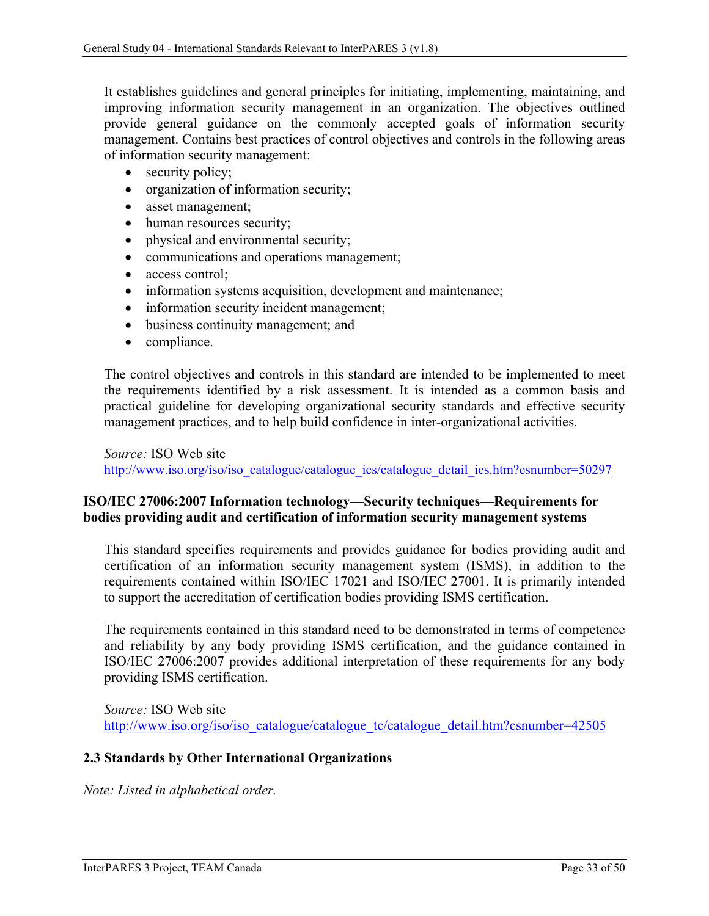It establishes guidelines and general principles for initiating, implementing, maintaining, and improving information security management in an organization. The objectives outlined provide general guidance on the commonly accepted goals of information security management. Contains best practices of control objectives and controls in the following areas of information security management:

- security policy;
- organization of information security;
- asset management;
- human resources security;
- physical and environmental security;
- communications and operations management;
- access control;
- information systems acquisition, development and maintenance;
- information security incident management;
- business continuity management; and
- compliance.

The control objectives and controls in this standard are intended to be implemented to meet the requirements identified by a risk assessment. It is intended as a common basis and practical guideline for developing organizational security standards and effective security management practices, and to help build confidence in inter-organizational activities.

*Source:* ISO Web site [http://www.iso.org/iso/iso\\_catalogue/catalogue\\_ics/catalogue\\_detail\\_ics.htm?csnumber=50297](http://www.iso.org/iso/iso_catalogue/catalogue_ics/catalogue_detail_ics.htm?csnumber=50297)

### <span id="page-39-0"></span>**ISO/IEC 27006:2007 Information technology—Security techniques—Requirements for bodies providing audit and certification of information security management systems**

This standard specifies requirements and provides guidance for bodies providing audit and certification of an information security management system (ISMS), in addition to the requirements contained within ISO/IEC 17021 and ISO/IEC 27001. It is primarily intended to support the accreditation of certification bodies providing ISMS certification.

The requirements contained in this standard need to be demonstrated in terms of competence and reliability by any body providing ISMS certification, and the guidance contained in ISO/IEC 27006:2007 provides additional interpretation of these requirements for any body providing ISMS certification.

*Source:* ISO Web site [http://www.iso.org/iso/iso\\_catalogue/catalogue\\_tc/catalogue\\_detail.htm?csnumber=42505](http://www.iso.org/iso/iso_catalogue/catalogue_tc/catalogue_detail.htm?csnumber=42505)

#### <span id="page-39-1"></span>**2.3 Standards by Other International Organizations**

*Note: Listed in alphabetical order.*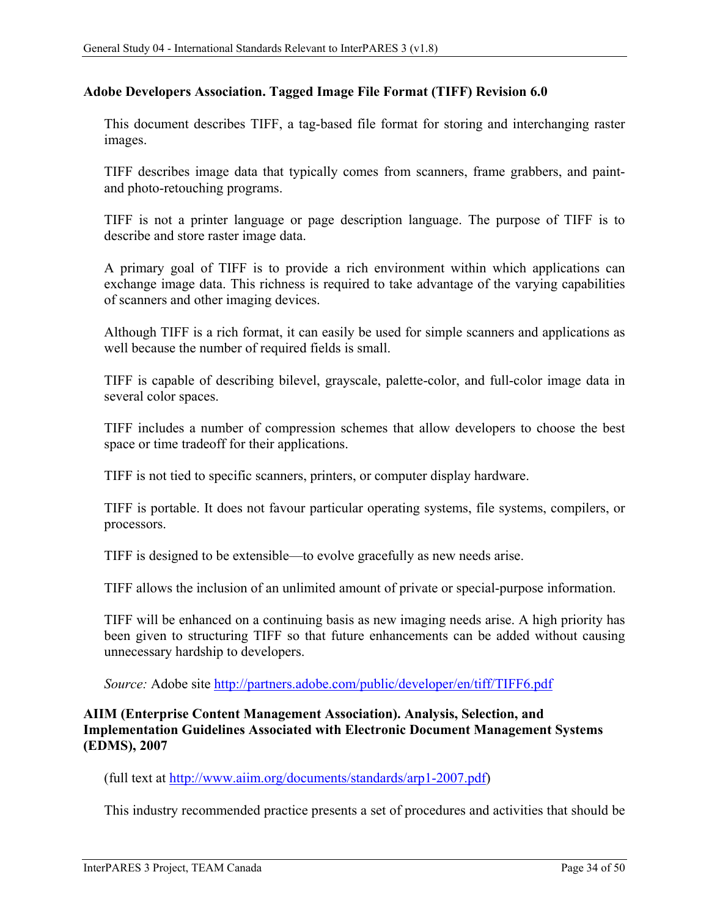#### <span id="page-40-0"></span>**Adobe Developers Association. Tagged Image File Format (TIFF) Revision 6.0**

This document describes TIFF, a tag-based file format for storing and interchanging raster images.

TIFF describes image data that typically comes from scanners, frame grabbers, and paintand photo-retouching programs.

TIFF is not a printer language or page description language. The purpose of TIFF is to describe and store raster image data.

A primary goal of TIFF is to provide a rich environment within which applications can exchange image data. This richness is required to take advantage of the varying capabilities of scanners and other imaging devices.

Although TIFF is a rich format, it can easily be used for simple scanners and applications as well because the number of required fields is small.

TIFF is capable of describing bilevel, grayscale, palette-color, and full-color image data in several color spaces.

TIFF includes a number of compression schemes that allow developers to choose the best space or time tradeoff for their applications.

TIFF is not tied to specific scanners, printers, or computer display hardware.

TIFF is portable. It does not favour particular operating systems, file systems, compilers, or processors.

TIFF is designed to be extensible—to evolve gracefully as new needs arise.

TIFF allows the inclusion of an unlimited amount of private or special-purpose information.

TIFF will be enhanced on a continuing basis as new imaging needs arise. A high priority has been given to structuring TIFF so that future enhancements can be added without causing unnecessary hardship to developers.

*Source:* Adobe site<http://partners.adobe.com/public/developer/en/tiff/TIFF6.pdf>

### <span id="page-40-1"></span>**AIIM (Enterprise Content Management Association). Analysis, Selection, and Implementation Guidelines Associated with Electronic Document Management Systems (EDMS), 2007**

(full text at [http://www.aiim.org/documents/standards/arp1-2007.pdf\)](http://www.aiim.org/documents/standards/arp1-2007.pdf)

This industry recommended practice presents a set of procedures and activities that should be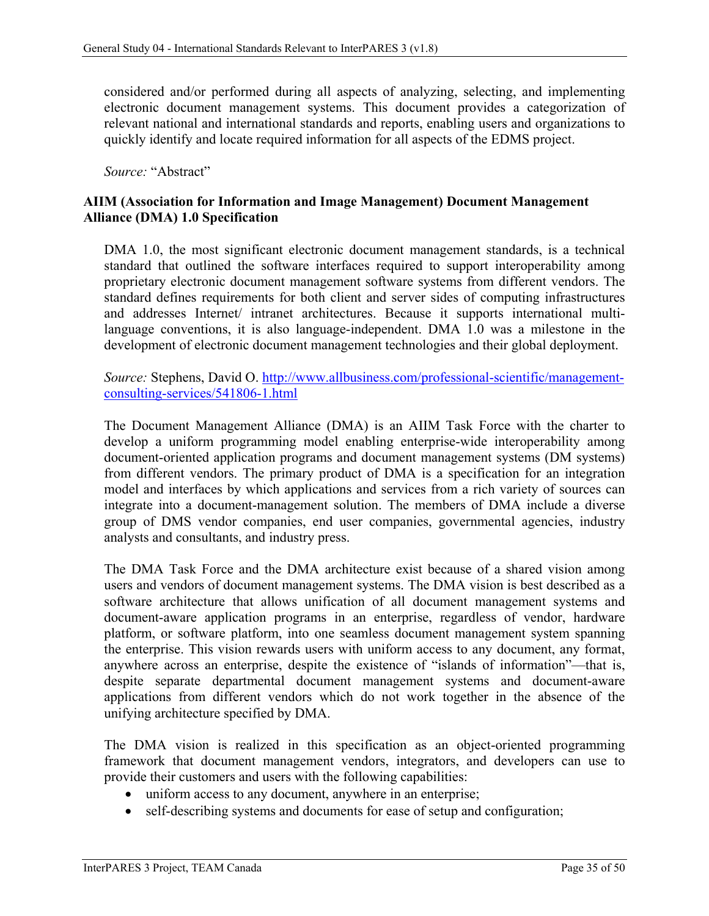considered and/or performed during all aspects of analyzing, selecting, and implementing electronic document management systems. This document provides a categorization of relevant national and international standards and reports, enabling users and organizations to quickly identify and locate required information for all aspects of the EDMS project.

*Source:* "Abstract"

### <span id="page-41-0"></span>**AIIM (Association for Information and Image Management) Document Management Alliance (DMA) 1.0 Specification**

DMA 1.0, the most significant electronic document management standards, is a technical standard that outlined the software interfaces required to support interoperability among proprietary electronic document management software systems from different vendors. The standard defines requirements for both client and server sides of computing infrastructures and addresses Internet/ intranet architectures. Because it supports international multilanguage conventions, it is also language-independent. DMA 1.0 was a milestone in the development of electronic document management technologies and their global deployment.

*Source:* Stephens, David O. [http://www.allbusiness.com/professional-scientific/management](http://www.allbusiness.com/professional-scientific/management-consulting-services/541806-1.html)[consulting-services/541806-1.html](http://www.allbusiness.com/professional-scientific/management-consulting-services/541806-1.html)

The Document Management Alliance (DMA) is an AIIM Task Force with the charter to develop a uniform programming model enabling enterprise-wide interoperability among document-oriented application programs and document management systems (DM systems) from different vendors. The primary product of DMA is a specification for an integration model and interfaces by which applications and services from a rich variety of sources can integrate into a document-management solution. The members of DMA include a diverse group of DMS vendor companies, end user companies, governmental agencies, industry analysts and consultants, and industry press.

The DMA Task Force and the DMA architecture exist because of a shared vision among users and vendors of document management systems. The DMA vision is best described as a software architecture that allows unification of all document management systems and document-aware application programs in an enterprise, regardless of vendor, hardware platform, or software platform, into one seamless document management system spanning the enterprise. This vision rewards users with uniform access to any document, any format, anywhere across an enterprise, despite the existence of "islands of information"—that is, despite separate departmental document management systems and document-aware applications from different vendors which do not work together in the absence of the unifying architecture specified by DMA.

The DMA vision is realized in this specification as an object-oriented programming framework that document management vendors, integrators, and developers can use to provide their customers and users with the following capabilities:

- uniform access to any document, anywhere in an enterprise;
- self-describing systems and documents for ease of setup and configuration;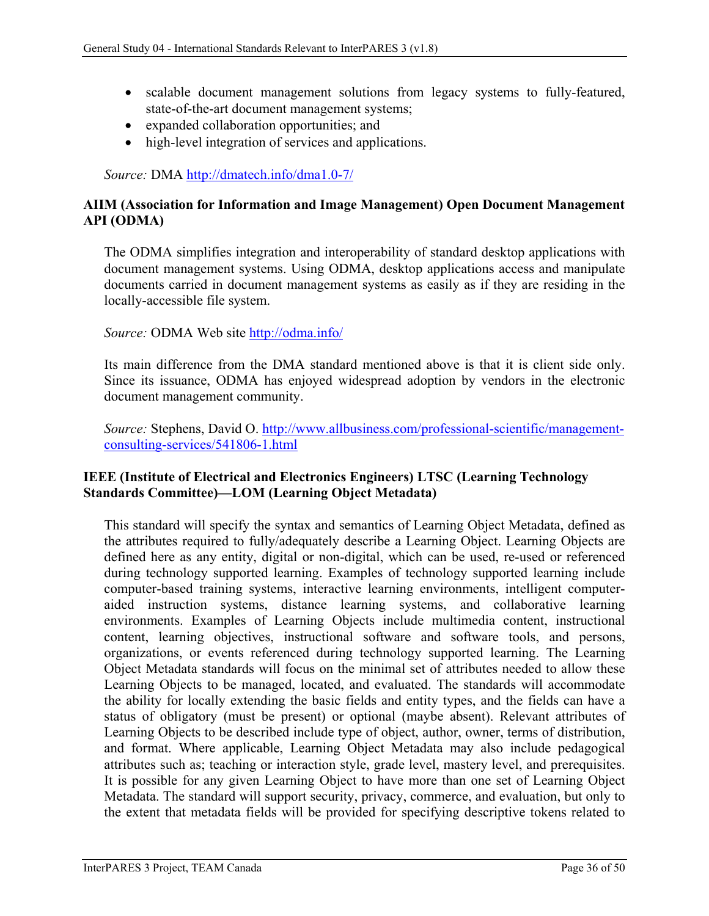- scalable document management solutions from legacy systems to fully-featured, state-of-the-art document management systems;
- expanded collaboration opportunities; and
- high-level integration of services and applications.

*Source:* DMA<http://dmatech.info/dma1.0-7/>

### <span id="page-42-0"></span>**AIIM (Association for Information and Image Management) Open Document Management API (ODMA)**

The ODMA simplifies integration and interoperability of standard desktop applications with document management systems. Using ODMA, desktop applications access and manipulate documents carried in document management systems as easily as if they are residing in the locally-accessible file system.

#### *Source:* ODMA Web site<http://odma.info/>

Its main difference from the DMA standard mentioned above is that it is client side only. Since its issuance, ODMA has enjoyed widespread adoption by vendors in the electronic document management community.

*Source:* Stephens, David O. [http://www.allbusiness.com/professional-scientific/management](http://www.allbusiness.com/professional-scientific/management-consulting-services/541806-1.html)[consulting-services/541806-1.html](http://www.allbusiness.com/professional-scientific/management-consulting-services/541806-1.html)

### <span id="page-42-1"></span>**IEEE (Institute of Electrical and Electronics Engineers) LTSC (Learning Technology Standards Committee)—LOM (Learning Object Metadata)**

This standard will specify the syntax and semantics of Learning Object Metadata, defined as the attributes required to fully/adequately describe a Learning Object. Learning Objects are defined here as any entity, digital or non-digital, which can be used, re-used or referenced during technology supported learning. Examples of technology supported learning include computer-based training systems, interactive learning environments, intelligent computeraided instruction systems, distance learning systems, and collaborative learning environments. Examples of Learning Objects include multimedia content, instructional content, learning objectives, instructional software and software tools, and persons, organizations, or events referenced during technology supported learning. The Learning Object Metadata standards will focus on the minimal set of attributes needed to allow these Learning Objects to be managed, located, and evaluated. The standards will accommodate the ability for locally extending the basic fields and entity types, and the fields can have a status of obligatory (must be present) or optional (maybe absent). Relevant attributes of Learning Objects to be described include type of object, author, owner, terms of distribution, and format. Where applicable, Learning Object Metadata may also include pedagogical attributes such as; teaching or interaction style, grade level, mastery level, and prerequisites. It is possible for any given Learning Object to have more than one set of Learning Object Metadata. The standard will support security, privacy, commerce, and evaluation, but only to the extent that metadata fields will be provided for specifying descriptive tokens related to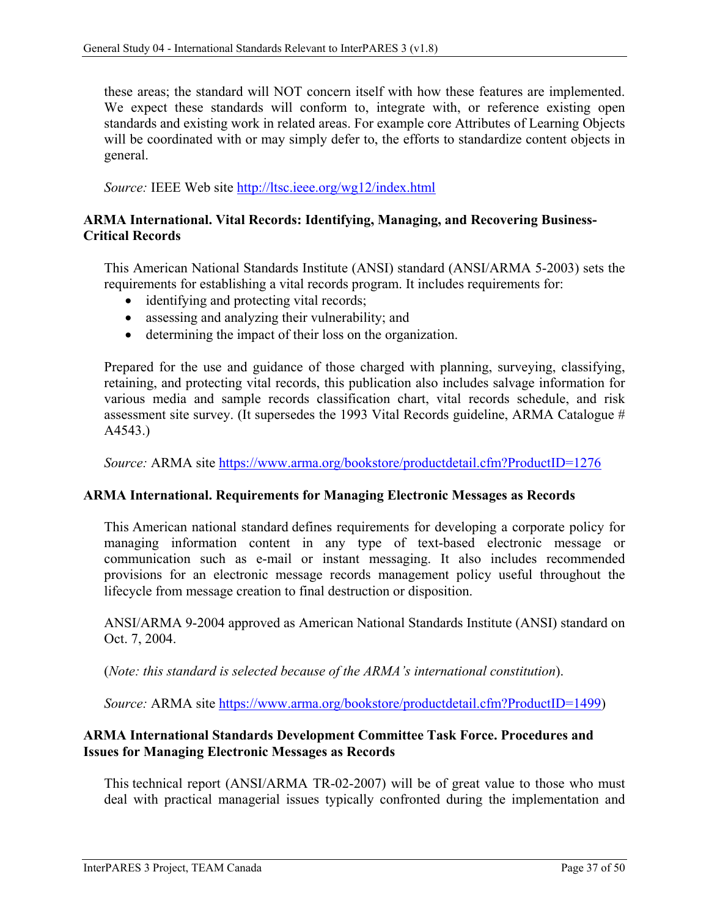these areas; the standard will NOT concern itself with how these features are implemented. We expect these standards will conform to, integrate with, or reference existing open standards and existing work in related areas. For example core Attributes of Learning Objects will be coordinated with or may simply defer to, the efforts to standardize content objects in general.

*Source:* IEEE Web site<http://ltsc.ieee.org/wg12/index.html>

### <span id="page-43-0"></span>**ARMA International. Vital Records: Identifying, Managing, and Recovering Business-Critical Records**

This American National Standards Institute (ANSI) standard (ANSI/ARMA 5-2003) sets the requirements for establishing a vital records program. It includes requirements for:

- identifying and protecting vital records;
- assessing and analyzing their vulnerability; and
- determining the impact of their loss on the organization.

Prepared for the use and guidance of those charged with planning, surveying, classifying, retaining, and protecting vital records, this publication also includes salvage information for various media and sample records classification chart, vital records schedule, and risk assessment site survey. (It supersedes the 1993 Vital Records guideline, ARMA Catalogue  $#$ A4543.)

*Source:* ARMA site<https://www.arma.org/bookstore/productdetail.cfm?ProductID=1276>

### <span id="page-43-1"></span>**ARMA International. Requirements for Managing Electronic Messages as Records**

This American national standard defines requirements for developing a corporate policy for managing information content in any type of text-based electronic message or communication such as e-mail or instant messaging. It also includes recommended provisions for an electronic message records management policy useful throughout the lifecycle from message creation to final destruction or disposition.

ANSI/ARMA 9-2004 approved as American National Standards Institute (ANSI) standard on Oct. 7, 2004.

(*Note: this standard is selected because of the ARMA's international constitution*).

*Source:* ARMA site [https://www.arma.org/bookstore/productdetail.cfm?ProductID=1499\)](https://www.arma.org/bookstore/productdetail.cfm?ProductID=1499)

### <span id="page-43-2"></span>**ARMA International Standards Development Committee Task Force. Procedures and Issues for Managing Electronic Messages as Records**

This technical report (ANSI/ARMA TR-02-2007) will be of great value to those who must deal with practical managerial issues typically confronted during the implementation and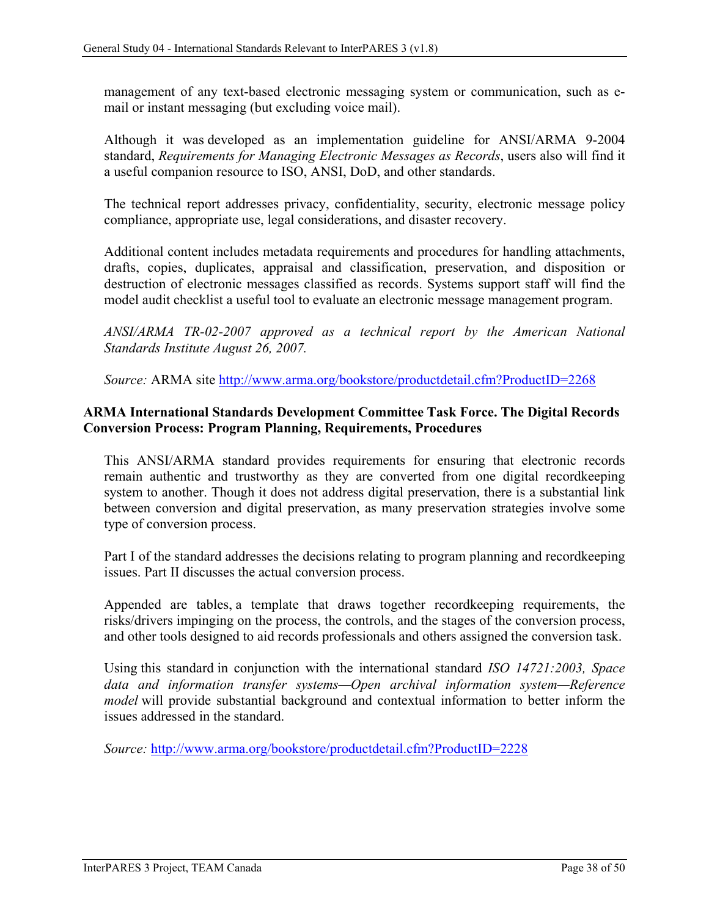management of any text-based electronic messaging system or communication, such as email or instant messaging (but excluding voice mail).

Although it was developed as an implementation guideline for ANSI/ARMA 9-2004 standard, *Requirements for Managing Electronic Messages as Records*, users also will find it a useful companion resource to ISO, ANSI, DoD, and other standards.

The technical report addresses privacy, confidentiality, security, electronic message policy compliance, appropriate use, legal considerations, and disaster recovery.

Additional content includes metadata requirements and procedures for handling attachments, drafts, copies, duplicates, appraisal and classification, preservation, and disposition or destruction of electronic messages classified as records. Systems support staff will find the model audit checklist a useful tool to evaluate an electronic message management program.

*ANSI/ARMA TR-02-2007 approved as a technical report by the American National Standards Institute August 26, 2007.*

*Source:* ARMA site<http://www.arma.org/bookstore/productdetail.cfm?ProductID=2268>

### <span id="page-44-0"></span>**ARMA International Standards Development Committee Task Force. The Digital Records Conversion Process: Program Planning, Requirements, Procedures**

This ANSI/ARMA standard provides requirements for ensuring that electronic records remain authentic and trustworthy as they are converted from one digital recordkeeping system to another. Though it does not address digital preservation, there is a substantial link between conversion and digital preservation, as many preservation strategies involve some type of conversion process.

Part I of the standard addresses the decisions relating to program planning and recordkeeping issues. Part II discusses the actual conversion process.

Appended are tables, a template that draws together recordkeeping requirements, the risks/drivers impinging on the process, the controls, and the stages of the conversion process, and other tools designed to aid records professionals and others assigned the conversion task.

Using this standard in conjunction with the international standard *ISO 14721:2003, Space data and information transfer systems—Open archival information system—Reference model* will provide substantial background and contextual information to better inform the issues addressed in the standard.

*Source:* <http://www.arma.org/bookstore/productdetail.cfm?ProductID=2228>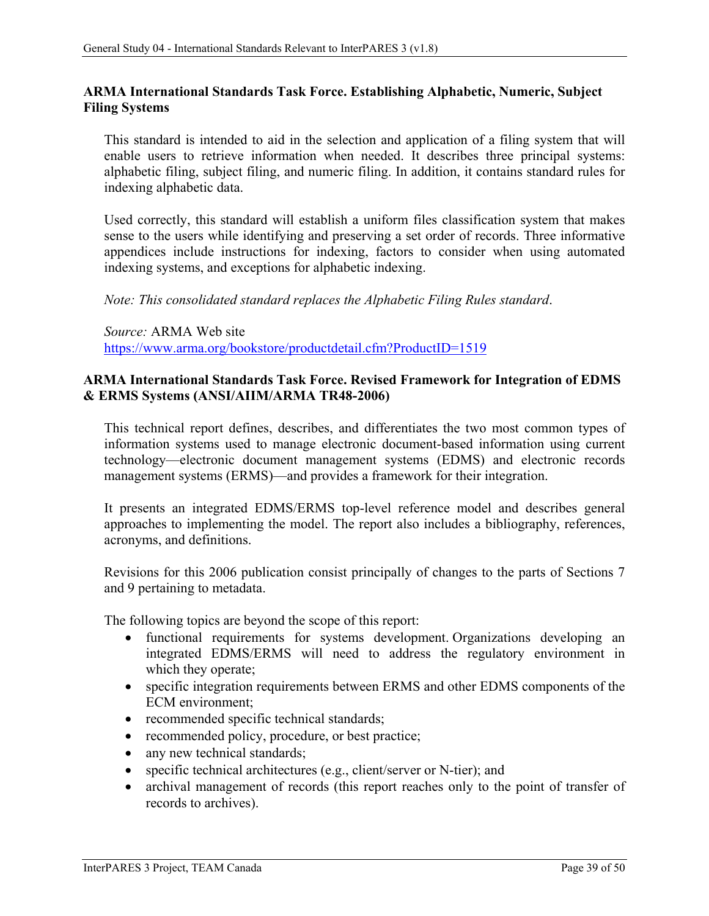### <span id="page-45-0"></span>**ARMA International Standards Task Force. Establishing Alphabetic, Numeric, Subject Filing Systems**

This standard is intended to aid in the selection and application of a filing system that will enable users to retrieve information when needed. It describes three principal systems: alphabetic filing, subject filing, and numeric filing. In addition, it contains standard rules for indexing alphabetic data.

Used correctly, this standard will establish a uniform files classification system that makes sense to the users while identifying and preserving a set order of records. Three informative appendices include instructions for indexing, factors to consider when using automated indexing systems, and exceptions for alphabetic indexing.

*Note: This consolidated standard replaces the Alphabetic Filing Rules standard*.

*Source:* ARMA Web site <https://www.arma.org/bookstore/productdetail.cfm?ProductID=1519>

### <span id="page-45-1"></span>**ARMA International Standards Task Force. Revised Framework for Integration of EDMS & ERMS Systems (ANSI/AIIM/ARMA TR48-2006)**

This technical report defines, describes, and differentiates the two most common types of information systems used to manage electronic document-based information using current technology—electronic document management systems (EDMS) and electronic records management systems (ERMS)—and provides a framework for their integration.

It presents an integrated EDMS/ERMS top-level reference model and describes general approaches to implementing the model. The report also includes a bibliography, references, acronyms, and definitions.

Revisions for this 2006 publication consist principally of changes to the parts of Sections 7 and 9 pertaining to metadata.

The following topics are beyond the scope of this report:

- functional requirements for systems development. Organizations developing an integrated EDMS/ERMS will need to address the regulatory environment in which they operate;
- specific integration requirements between ERMS and other EDMS components of the ECM environment;
- recommended specific technical standards;
- recommended policy, procedure, or best practice;
- any new technical standards;
- specific technical architectures (e.g., client/server or N-tier); and
- archival management of records (this report reaches only to the point of transfer of records to archives).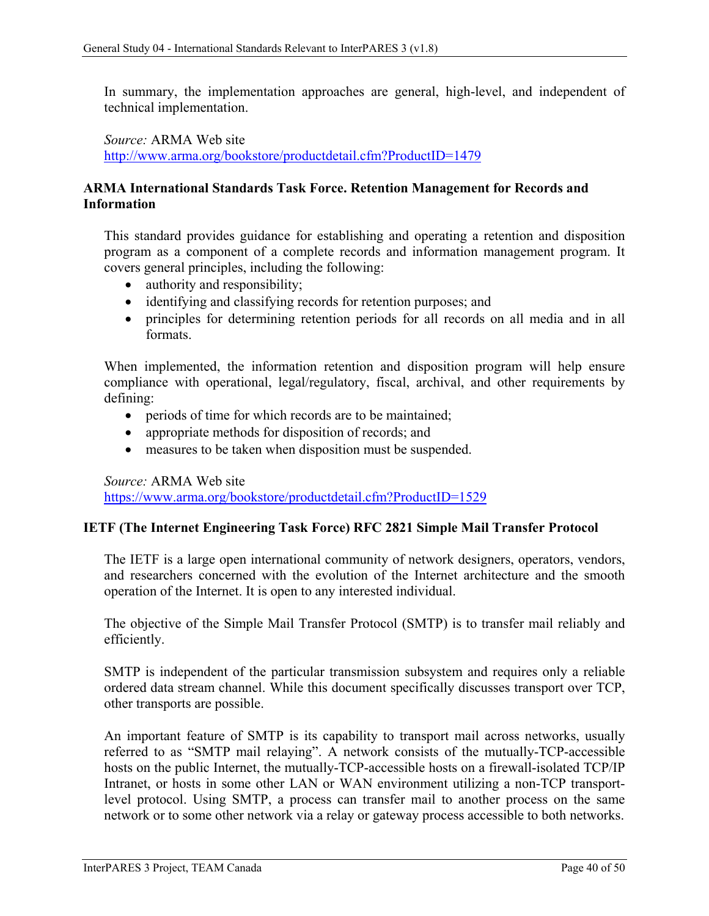In summary, the implementation approaches are general, high-level, and independent of technical implementation.

*Source:* ARMA Web site <http://www.arma.org/bookstore/productdetail.cfm?ProductID=1479>

### <span id="page-46-0"></span>**ARMA International Standards Task Force. Retention Management for Records and Information**

This standard provides guidance for establishing and operating a retention and disposition program as a component of a complete records and information management program. It covers general principles, including the following:

- authority and responsibility;
- identifying and classifying records for retention purposes; and
- principles for determining retention periods for all records on all media and in all formats.

When implemented, the information retention and disposition program will help ensure compliance with operational, legal/regulatory, fiscal, archival, and other requirements by defining:

- periods of time for which records are to be maintained;
- appropriate methods for disposition of records; and
- measures to be taken when disposition must be suspended.

*Source:* ARMA Web site

<https://www.arma.org/bookstore/productdetail.cfm?ProductID=1529>

#### <span id="page-46-1"></span>**IETF (The Internet Engineering Task Force) RFC 2821 Simple Mail Transfer Protocol**

The IETF is a large open international community of network designers, operators, vendors, and researchers concerned with the evolution of the Internet architecture and the smooth operation of the Internet. It is open to any interested individual.

The objective of the Simple Mail Transfer Protocol (SMTP) is to transfer mail reliably and efficiently.

SMTP is independent of the particular transmission subsystem and requires only a reliable ordered data stream channel. While this document specifically discusses transport over TCP, other transports are possible.

An important feature of SMTP is its capability to transport mail across networks, usually referred to as "SMTP mail relaying". A network consists of the mutually-TCP-accessible hosts on the public Internet, the mutually-TCP-accessible hosts on a firewall-isolated TCP/IP Intranet, or hosts in some other LAN or WAN environment utilizing a non-TCP transportlevel protocol. Using SMTP, a process can transfer mail to another process on the same network or to some other network via a relay or gateway process accessible to both networks.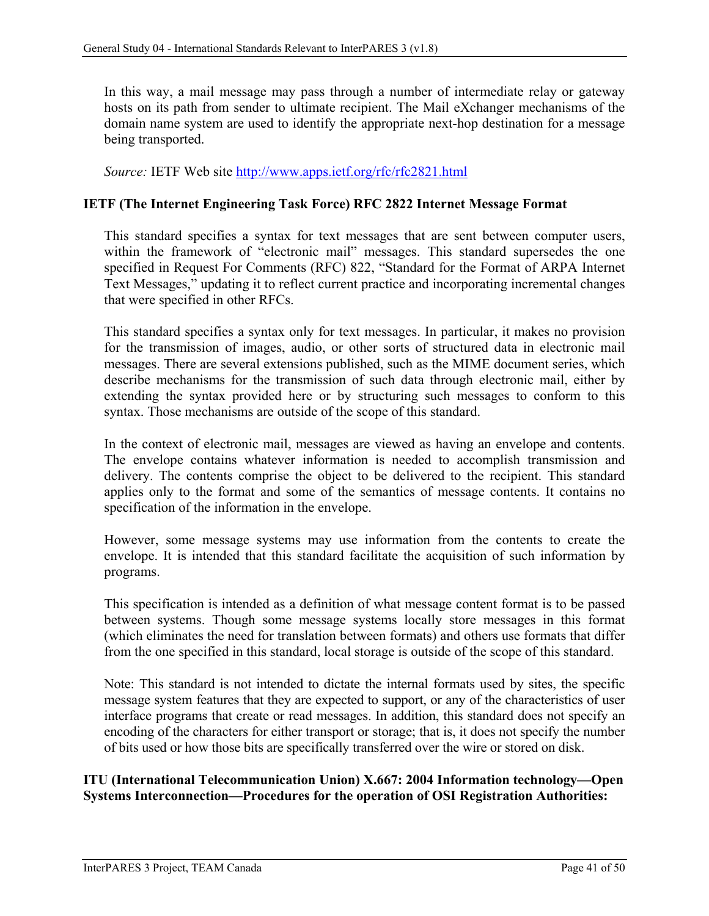In this way, a mail message may pass through a number of intermediate relay or gateway hosts on its path from sender to ultimate recipient. The Mail eXchanger mechanisms of the domain name system are used to identify the appropriate next-hop destination for a message being transported.

Source: IETF Web site<http://www.apps.ietf.org/rfc/rfc2821.html>

### <span id="page-47-0"></span>**IETF (The Internet Engineering Task Force) RFC 2822 Internet Message Format**

This standard specifies a syntax for text messages that are sent between computer users, within the framework of "electronic mail" messages. This standard supersedes the one specified in Request For Comments (RFC) 822, "Standard for the Format of ARPA Internet Text Messages," updating it to reflect current practice and incorporating incremental changes that were specified in other RFCs.

This standard specifies a syntax only for text messages. In particular, it makes no provision for the transmission of images, audio, or other sorts of structured data in electronic mail messages. There are several extensions published, such as the MIME document series, which describe mechanisms for the transmission of such data through electronic mail, either by extending the syntax provided here or by structuring such messages to conform to this syntax. Those mechanisms are outside of the scope of this standard.

In the context of electronic mail, messages are viewed as having an envelope and contents. The envelope contains whatever information is needed to accomplish transmission and delivery. The contents comprise the object to be delivered to the recipient. This standard applies only to the format and some of the semantics of message contents. It contains no specification of the information in the envelope.

However, some message systems may use information from the contents to create the envelope. It is intended that this standard facilitate the acquisition of such information by programs.

This specification is intended as a definition of what message content format is to be passed between systems. Though some message systems locally store messages in this format (which eliminates the need for translation between formats) and others use formats that differ from the one specified in this standard, local storage is outside of the scope of this standard.

Note: This standard is not intended to dictate the internal formats used by sites, the specific message system features that they are expected to support, or any of the characteristics of user interface programs that create or read messages. In addition, this standard does not specify an encoding of the characters for either transport or storage; that is, it does not specify the number of bits used or how those bits are specifically transferred over the wire or stored on disk.

### <span id="page-47-1"></span>**ITU (International Telecommunication Union) X.667: 2004 Information technology—Open Systems Interconnection—Procedures for the operation of OSI Registration Authorities:**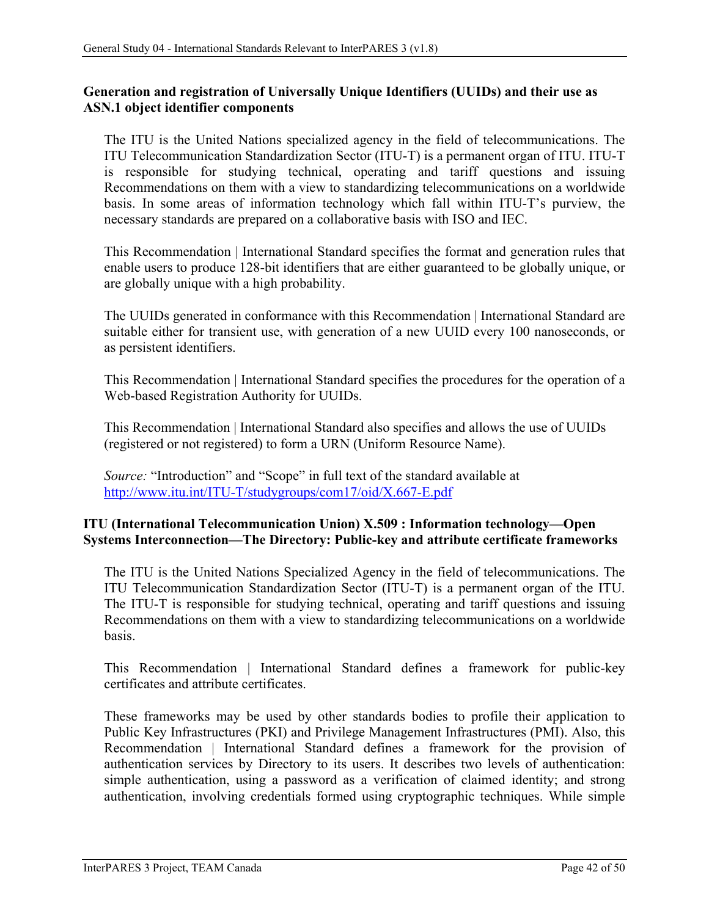### **Generation and registration of Universally Unique Identifiers (UUIDs) and their use as ASN.1 object identifier components**

The ITU is the United Nations specialized agency in the field of telecommunications. The ITU Telecommunication Standardization Sector (ITU-T) is a permanent organ of ITU. ITU-T is responsible for studying technical, operating and tariff questions and issuing Recommendations on them with a view to standardizing telecommunications on a worldwide basis. In some areas of information technology which fall within ITU-T's purview, the necessary standards are prepared on a collaborative basis with ISO and IEC.

This Recommendation | International Standard specifies the format and generation rules that enable users to produce 128-bit identifiers that are either guaranteed to be globally unique, or are globally unique with a high probability.

The UUIDs generated in conformance with this Recommendation | International Standard are suitable either for transient use, with generation of a new UUID every 100 nanoseconds, or as persistent identifiers.

This Recommendation | International Standard specifies the procedures for the operation of a Web-based Registration Authority for UUIDs.

This Recommendation | International Standard also specifies and allows the use of UUIDs (registered or not registered) to form a URN (Uniform Resource Name).

*Source:* "Introduction" and "Scope" in full text of the standard available at <http://www.itu.int/ITU-T/studygroups/com17/oid/X.667-E.pdf>

### <span id="page-48-0"></span>**ITU (International Telecommunication Union) X.509 : Information technology—Open Systems Interconnection—The Directory: Public-key and attribute certificate frameworks**

The ITU is the United Nations Specialized Agency in the field of telecommunications. The ITU Telecommunication Standardization Sector (ITU-T) is a permanent organ of the ITU. The ITU-T is responsible for studying technical, operating and tariff questions and issuing Recommendations on them with a view to standardizing telecommunications on a worldwide basis.

This Recommendation | International Standard defines a framework for public-key certificates and attribute certificates.

These frameworks may be used by other standards bodies to profile their application to Public Key Infrastructures (PKI) and Privilege Management Infrastructures (PMI). Also, this Recommendation | International Standard defines a framework for the provision of authentication services by Directory to its users. It describes two levels of authentication: simple authentication, using a password as a verification of claimed identity; and strong authentication, involving credentials formed using cryptographic techniques. While simple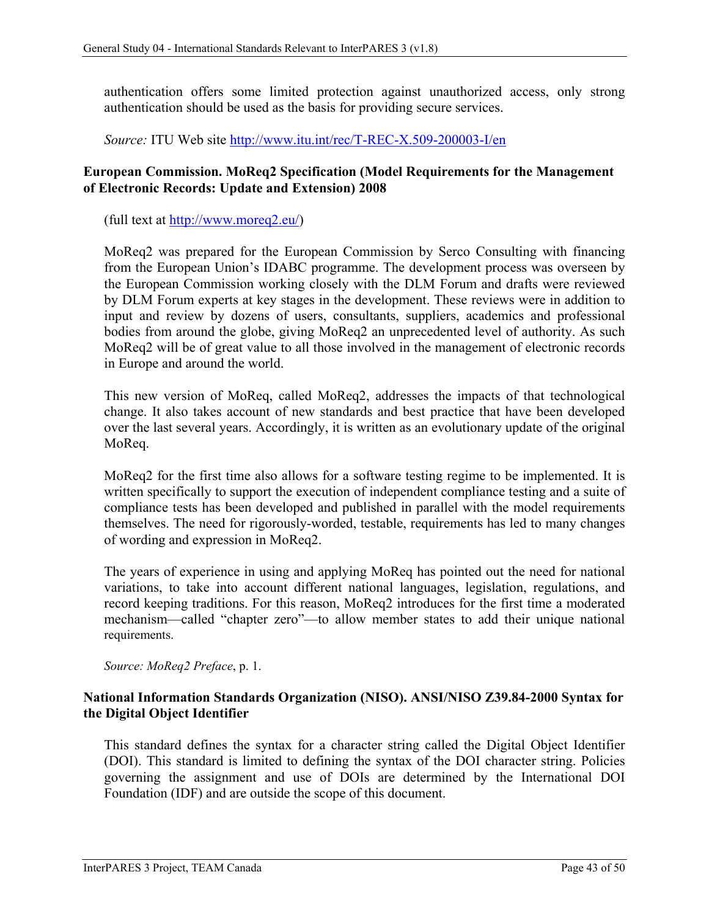authentication offers some limited protection against unauthorized access, only strong authentication should be used as the basis for providing secure services.

*Source:* ITU Web site<http://www.itu.int/rec/T-REC-X.509-200003-I/en>

### <span id="page-49-0"></span>**European Commission. MoReq2 Specification (Model Requirements for the Management of Electronic Records: Update and Extension) 2008**

(full text at http://www.moreq2.eu/)

MoReq2 was prepared for the European Commission by Serco Consulting with financing from the European Union's IDABC programme. The development process was overseen by the European Commission working closely with the DLM Forum and drafts were reviewed by DLM Forum experts at key stages in the development. These reviews were in addition to input and review by dozens of users, consultants, suppliers, academics and professional bodies from around the globe, giving MoReq2 an unprecedented level of authority. As such MoReq2 will be of great value to all those involved in the management of electronic records in Europe and around the world.

This new version of MoReq, called MoReq2, addresses the impacts of that technological change. It also takes account of new standards and best practice that have been developed over the last several years. Accordingly, it is written as an evolutionary update of the original MoReq.

MoReq2 for the first time also allows for a software testing regime to be implemented. It is written specifically to support the execution of independent compliance testing and a suite of compliance tests has been developed and published in parallel with the model requirements themselves. The need for rigorously-worded, testable, requirements has led to many changes of wording and expression in MoReq2.

The years of experience in using and applying MoReq has pointed out the need for national variations, to take into account different national languages, legislation, regulations, and record keeping traditions. For this reason, MoReq2 introduces for the first time a moderated mechanism—called "chapter zero"—to allow member states to add their unique national requirements.

*Source: MoReq2 Preface*, p. 1.

### <span id="page-49-1"></span>**National Information Standards Organization (NISO). ANSI/NISO Z39.84-2000 Syntax for the Digital Object Identifier**

This standard defines the syntax for a character string called the Digital Object Identifier (DOI). This standard is limited to defining the syntax of the DOI character string. Policies governing the assignment and use of DOIs are determined by the International DOI Foundation (IDF) and are outside the scope of this document.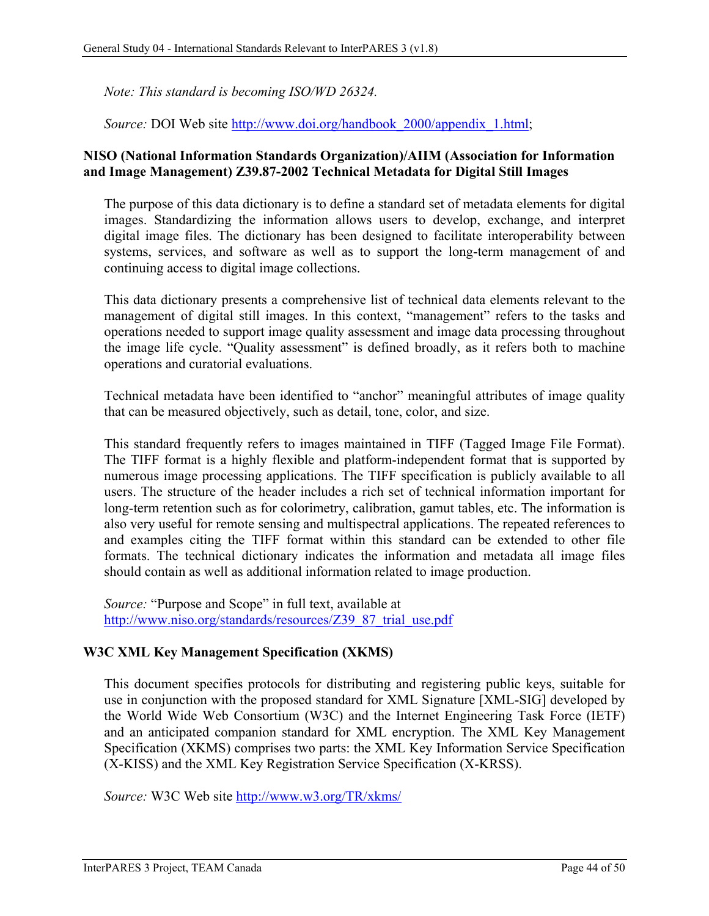*Note: This standard is becoming ISO/WD 26324.*

*Source:* DOI Web site http://www.doi.org/handbook 2000/appendix 1.html;

### <span id="page-50-0"></span>**NISO (National Information Standards Organization)/AIIM (Association for Information and Image Management) Z39.87-2002 Technical Metadata for Digital Still Images**

The purpose of this data dictionary is to define a standard set of metadata elements for digital images. Standardizing the information allows users to develop, exchange, and interpret digital image files. The dictionary has been designed to facilitate interoperability between systems, services, and software as well as to support the long-term management of and continuing access to digital image collections.

This data dictionary presents a comprehensive list of technical data elements relevant to the management of digital still images. In this context, "management" refers to the tasks and operations needed to support image quality assessment and image data processing throughout the image life cycle. "Quality assessment" is defined broadly, as it refers both to machine operations and curatorial evaluations.

Technical metadata have been identified to "anchor" meaningful attributes of image quality that can be measured objectively, such as detail, tone, color, and size.

This standard frequently refers to images maintained in TIFF (Tagged Image File Format). The TIFF format is a highly flexible and platform-independent format that is supported by numerous image processing applications. The TIFF specification is publicly available to all users. The structure of the header includes a rich set of technical information important for long-term retention such as for colorimetry, calibration, gamut tables, etc. The information is also very useful for remote sensing and multispectral applications. The repeated references to and examples citing the TIFF format within this standard can be extended to other file formats. The technical dictionary indicates the information and metadata all image files should contain as well as additional information related to image production.

*Source:* "Purpose and Scope" in full text, available at [http://www.niso.org/standards/resources/Z39\\_87\\_trial\\_use.pdf](http://www.niso.org/standards/resources/Z39_87_trial_use.pdf)

### <span id="page-50-1"></span>**W3C XML Key Management Specification (XKMS)**

This document specifies protocols for distributing and registering public keys, suitable for use in conjunction with the proposed standard for XML Signature [XML-SIG] developed by the World Wide Web Consortium (W3C) and the Internet Engineering Task Force (IETF) and an anticipated companion standard for XML encryption. The XML Key Management Specification (XKMS) comprises two parts: the XML Key Information Service Specification (X-KISS) and the XML Key Registration Service Specification (X-KRSS).

*Source:* W3C Web site<http://www.w3.org/TR/xkms/>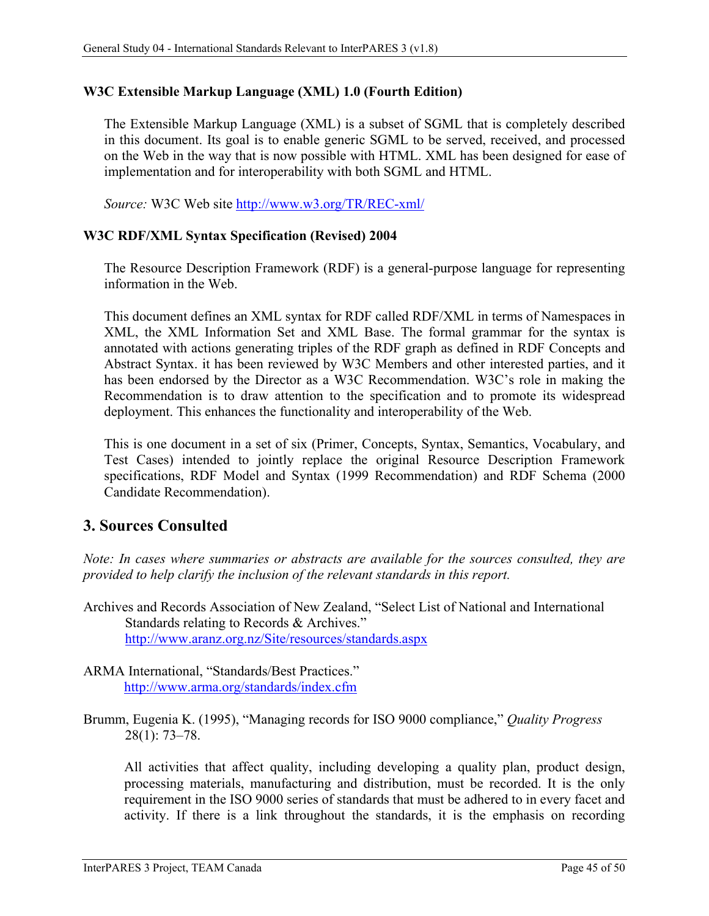### <span id="page-51-0"></span>**W3C Extensible Markup Language (XML) 1.0 (Fourth Edition)**

The Extensible Markup Language (XML) is a subset of SGML that is completely described in this document. Its goal is to enable generic SGML to be served, received, and processed on the Web in the way that is now possible with HTML. XML has been designed for ease of implementation and for interoperability with both SGML and HTML.

*Source:* W3C Web site<http://www.w3.org/TR/REC-xml/>

### <span id="page-51-1"></span>**W3C RDF/XML Syntax Specification (Revised) 2004**

The Resource Description Framework (RDF) is a general-purpose language for representing information in the Web.

This document defines an [XML](http://www.w3.org/TR/2000/REC-xml-20001006) syntax for RDF called RDF/XML in terms of [Namespaces in](http://www.w3.org/TR/1999/REC-xml-names-19990114/)  [XML,](http://www.w3.org/TR/1999/REC-xml-names-19990114/) the [XML Information Set](http://www.w3.org/TR/2001/REC-xml-infoset-20011024/) and [XML Base.](http://www.w3.org/TR/2001/REC-xmlbase-20010627/) The [formal grammar](http://www.w3.org/TR/rdf-syntax-grammar/#section-Infoset-Grammar) for the syntax is annotated with actions generating triples of the [RDF graph](http://www.w3.org/TR/2004/REC-rdf-concepts-20040210/#dfn-rdf-graph) as defined in [RDF Concepts and](http://www.w3.org/TR/2004/REC-rdf-concepts-20040210/)  [Abstract Syntax.](http://www.w3.org/TR/2004/REC-rdf-concepts-20040210/) it has been reviewed by W3C Members and other interested parties, and it has been endorsed by the Director as a [W3C Recommendation.](http://www.w3.org/2003/06/Process-20030618/tr.html#RecsW3C) W3C's role in making the Recommendation is to draw attention to the specification and to promote its widespread deployment. This enhances the functionality and interoperability of the Web.

This is one document in a [set of six](http://www.w3.org/TR/2004/REC-rdf-concepts-20040210/#section-Introduction) [\(Primer,](http://www.w3.org/TR/2004/REC-rdf-primer-20040210/) [Concepts,](http://www.w3.org/TR/2004/REC-rdf-concepts-20040210/) [Syntax,](http://www.w3.org/TR/2004/REC-rdf-syntax-grammar-20040210/) [Semantics,](http://www.w3.org/TR/2004/REC-rdf-mt-20040210/) [Vocabulary,](http://www.w3.org/TR/2004/REC-rdf-schema-20040210/) and [Test Cases\)](http://www.w3.org/TR/2004/REC-rdf-testcases-20040210/) intended to jointly replace the original Resource Description Framework specifications, [RDF Model and Syntax \(1999 Recommendation\)](http://www.w3.org/TR/1999/REC-rdf-syntax-19990222/) and [RDF Schema \(2000](http://www.w3.org/TR/2000/CR-rdf-schema-20000327/)  [Candidate Recommendation\).](http://www.w3.org/TR/2000/CR-rdf-schema-20000327/)

### <span id="page-51-2"></span>**3. Sources Consulted**

*Note: In cases where summaries or abstracts are available for the sources consulted, they are provided to help clarify the inclusion of the relevant standards in this report.*

- Archives and Records Association of New Zealand, "Select List of National and International Standards relating to Records & Archives." <http://www.aranz.org.nz/Site/resources/standards.aspx>
- ARMA International, "Standards/Best Practices." <http://www.arma.org/standards/index.cfm>

Brumm, Eugenia K. (1995), "Managing records for ISO 9000 compliance," *Quality Progress* 28(1): 73–78.

All activities that affect quality, including developing a quality plan, product design, processing materials, manufacturing and distribution, must be recorded. It is the only requirement in the ISO 9000 series of standards that must be adhered to in every facet and activity. If there is a link throughout the standards, it is the emphasis on recording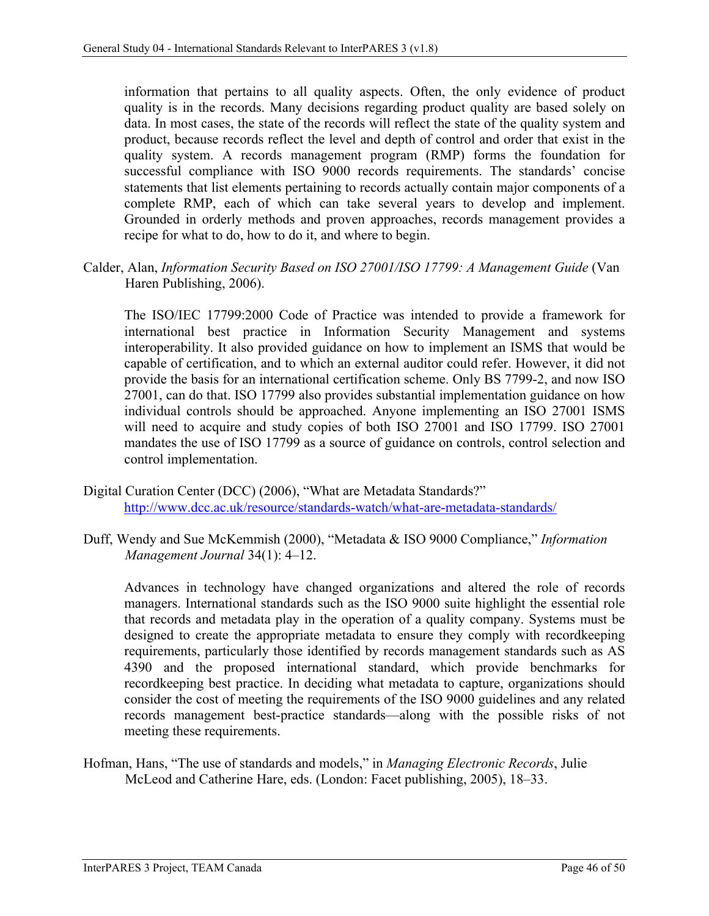information that pertains to all quality aspects. Often, the only evidence of product quality is in the records. Many decisions regarding product quality are based solely on data. In most cases, the state of the records will reflect the state of the quality system and product, because records reflect the level and depth of control and order that exist in the quality system. A records management program (RMP) forms the foundation for successful compliance with ISO 9000 records requirements. The standards' concise statements that list elements pertaining to records actually contain major components of a complete RMP, each of which can take several years to develop and implement. Grounded in orderly methods and proven approaches, records management provides a recipe for what to do, how to do it, and where to begin.

Calder, Alan, *Information Security Based on ISO 27001/ISO 17799: A Management Guide* (Van Haren Publishing, 2006).

The ISO/IEC 17799:2000 Code of Practice was intended to provide a framework for international best practice in Information Security Management and systems interoperability. It also provided guidance on how to implement an ISMS that would be capable of certification, and to which an external auditor could refer. However, it did not provide the basis for an international certification scheme. Only BS 7799-2, and now ISO 27001, can do that. ISO 17799 also provides substantial implementation guidance on how individual controls should be approached. Anyone implementing an ISO 27001 ISMS will need to acquire and study copies of both ISO 27001 and ISO 17799. ISO 27001 mandates the use of ISO 17799 as a source of guidance on controls, control selection and control implementation.

- Digital Curation Center (DCC) (2006), "What are Metadata Standards?" <http://www.dcc.ac.uk/resource/standards-watch/what-are-metadata-standards/>
- Duff, Wendy and Sue McKemmish (2000), "Metadata & ISO 9000 Compliance," *Information Management Journal* 34(1): 4–12.

Advances in technology have changed organizations and altered the role of records managers. International standards such as the ISO 9000 suite highlight the essential role that records and metadata play in the operation of a quality company. Systems must be designed to create the appropriate metadata to ensure they comply with recordkeeping requirements, particularly those identified by records management standards such as AS 4390 and the proposed international standard, which provide benchmarks for recordkeeping best practice. In deciding what metadata to capture, organizations should consider the cost of meeting the requirements of the ISO 9000 guidelines and any related records management best-practice standards—along with the possible risks of not meeting these requirements.

Hofman, Hans, "The use of standards and models," in *Managing Electronic Records*, Julie McLeod and Catherine Hare, eds. (London: Facet publishing, 2005), 18–33.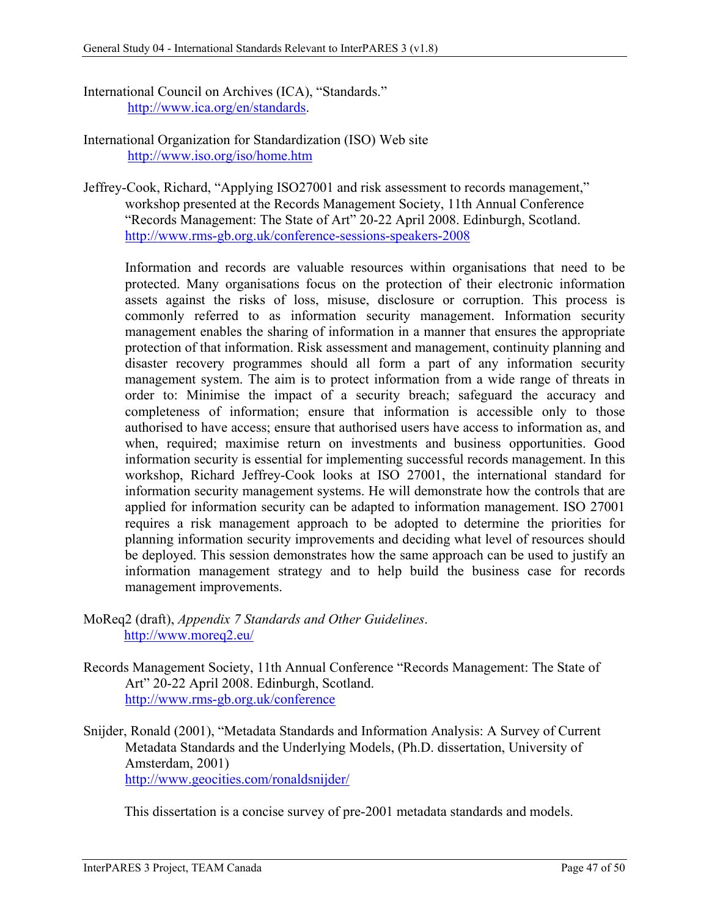- International Council on Archives (ICA), "Standards." [http://www.ica.org/en/standards.](http://www.ica.org/en/standards)
- International Organization for Standardization (ISO) Web site <http://www.iso.org/iso/home.htm>
- Jeffrey-Cook, Richard, "Applying ISO27001 and risk assessment to records management," workshop presented at the Records Management Society, 11th Annual Conference "Records Management: The State of Art" 20-22 April 2008. Edinburgh, Scotland. <http://www.rms-gb.org.uk/conference-sessions-speakers-2008>

Information and records are valuable resources within organisations that need to be protected. Many organisations focus on the protection of their electronic information assets against the risks of loss, misuse, disclosure or corruption. This process is commonly referred to as information security management. Information security management enables the sharing of information in a manner that ensures the appropriate protection of that information. Risk assessment and management, continuity planning and disaster recovery programmes should all form a part of any information security management system. The aim is to protect information from a wide range of threats in order to: Minimise the impact of a security breach; safeguard the accuracy and completeness of information; ensure that information is accessible only to those authorised to have access; ensure that authorised users have access to information as, and when, required; maximise return on investments and business opportunities. Good information security is essential for implementing successful records management. In this workshop, Richard Jeffrey-Cook looks at ISO 27001, the international standard for information security management systems. He will demonstrate how the controls that are applied for information security can be adapted to information management. ISO 27001 requires a risk management approach to be adopted to determine the priorities for planning information security improvements and deciding what level of resources should be deployed. This session demonstrates how the same approach can be used to justify an information management strategy and to help build the business case for records management improvements.

- MoReq2 (draft), *Appendix 7 Standards and Other Guidelines*. <http://www.moreq2.eu/>
- Records Management Society, 11th Annual Conference "Records Management: The State of Art" 20-22 April 2008. Edinburgh, Scotland. <http://www.rms-gb.org.uk/conference>
- Snijder, Ronald (2001), "Metadata Standards and Information Analysis: A Survey of Current Metadata Standards and the Underlying Models, (Ph.D. dissertation, University of Amsterdam, 2001) <http://www.geocities.com/ronaldsnijder/>

This dissertation is a concise survey of pre-2001 metadata standards and models.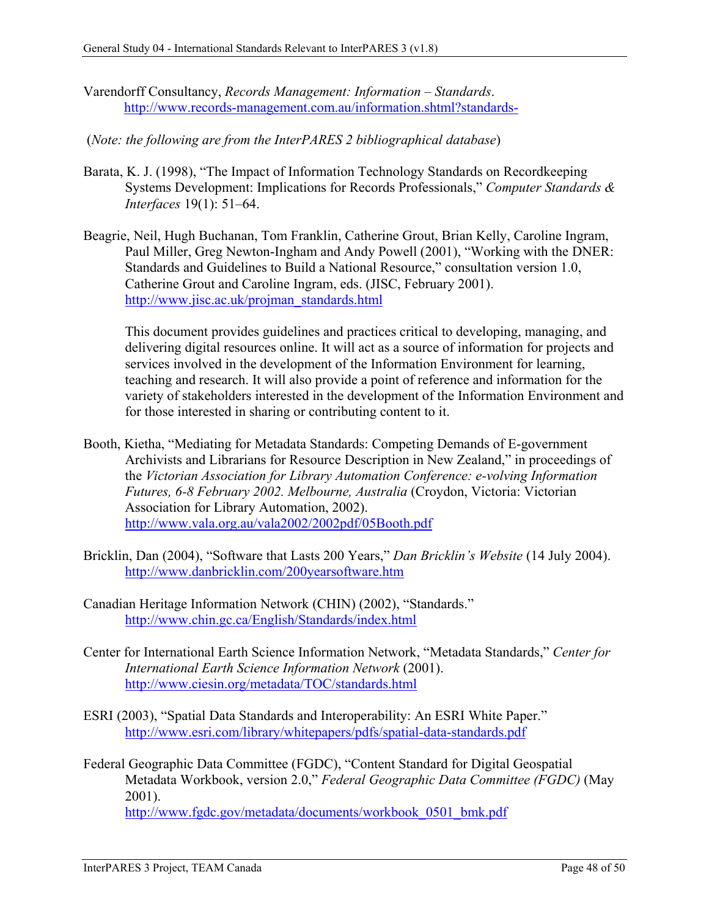- Varendorff Consultancy, *Records Management: Information – Standards*. <http://www.records-management.com.au/information.shtml?standards->
- (*Note: the following are from the InterPARES 2 bibliographical database*)
- Barata, K. J. (1998), "The Impact of Information Technology Standards on Recordkeeping Systems Development: Implications for Records Professionals," *Computer Standards & Interfaces* 19(1): 51–64.
- Beagrie, Neil, Hugh Buchanan, Tom Franklin, Catherine Grout, Brian Kelly, Caroline Ingram, Paul Miller, Greg Newton-Ingham and Andy Powell (2001), "Working with the DNER: Standards and Guidelines to Build a National Resource," consultation version 1.0, Catherine Grout and Caroline Ingram, eds. (JISC, February 2001). [http://www.jisc.ac.uk/projman\\_standards.html](http://www.jisc.ac.uk/projman_standards.html)

This document provides guidelines and practices critical to developing, managing, and delivering digital resources online. It will act as a source of information for projects and services involved in the development of the Information Environment for learning, teaching and research. It will also provide a point of reference and information for the variety of stakeholders interested in the development of the Information Environment and for those interested in sharing or contributing content to it.

- Booth, Kietha, "Mediating for Metadata Standards: Competing Demands of E-government Archivists and Librarians for Resource Description in New Zealand," in proceedings of the *Victorian Association for Library Automation Conference: e-volving Information Futures, 6-8 February 2002. Melbourne, Australia* (Croydon, Victoria: Victorian Association for Library Automation, 2002). <http://www.vala.org.au/vala2002/2002pdf/05Booth.pdf>
- Bricklin, Dan (2004), "Software that Lasts 200 Years," *Dan Bricklin's Website* (14 July 2004). <http://www.danbricklin.com/200yearsoftware.htm>
- Canadian Heritage Information Network (CHIN) (2002), "Standards." <http://www.chin.gc.ca/English/Standards/index.html>
- Center for International Earth Science Information Network, "Metadata Standards," *Center for International Earth Science Information Network* (2001). <http://www.ciesin.org/metadata/TOC/standards.html>
- ESRI (2003), "Spatial Data Standards and Interoperability: An ESRI White Paper." <http://www.esri.com/library/whitepapers/pdfs/spatial-data-standards.pdf>
- Federal Geographic Data Committee (FGDC), "Content Standard for Digital Geospatial Metadata Workbook, version 2.0," *Federal Geographic Data Committee (FGDC)* (May 2001). http://www.fgdc.gov/metadata/documents/workbook 0501 bmk.pdf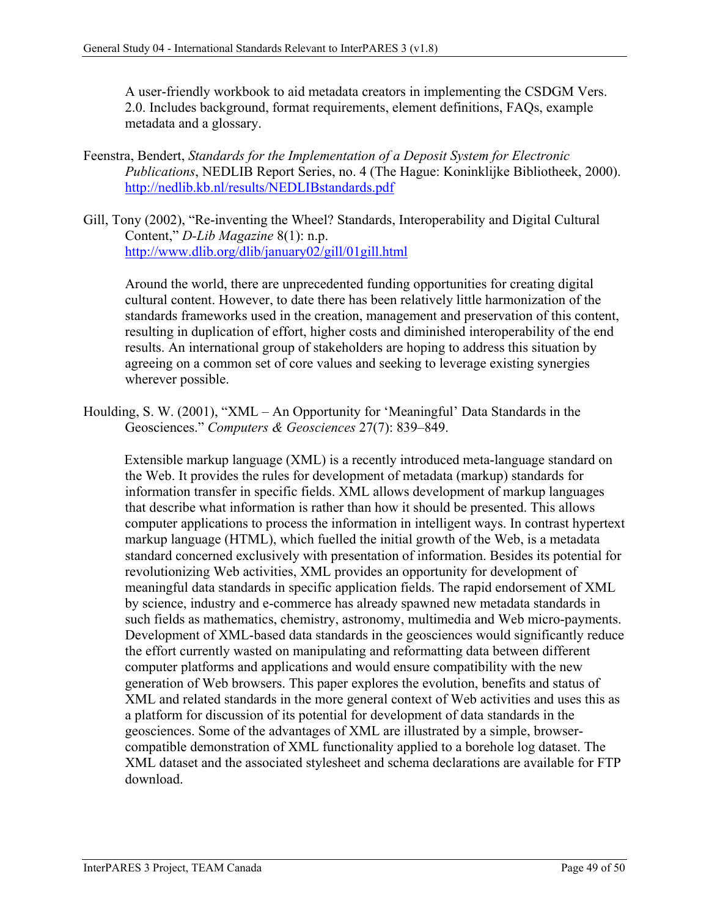A user-friendly workbook to aid metadata creators in implementing the CSDGM Vers. 2.0. Includes background, format requirements, element definitions, FAQs, example metadata and a glossary.

- Feenstra, Bendert, *Standards for the Implementation of a Deposit System for Electronic Publications*, NEDLIB Report Series, no. 4 (The Hague: Koninklijke Bibliotheek, 2000). <http://nedlib.kb.nl/results/NEDLIBstandards.pdf>
- Gill, Tony (2002), "Re-inventing the Wheel? Standards, Interoperability and Digital Cultural Content," *D-Lib Magazine* 8(1): n.p. <http://www.dlib.org/dlib/january02/gill/01gill.html>

Around the world, there are unprecedented funding opportunities for creating digital cultural content. However, to date there has been relatively little harmonization of the standards frameworks used in the creation, management and preservation of this content, resulting in duplication of effort, higher costs and diminished interoperability of the end results. An international group of stakeholders are hoping to address this situation by agreeing on a common set of core values and seeking to leverage existing synergies wherever possible.

Houlding, S. W. (2001), "XML – An Opportunity for 'Meaningful' Data Standards in the Geosciences." *Computers & Geosciences* 27(7): 839–849.

Extensible markup language (XML) is a recently introduced meta-language standard on the Web. It provides the rules for development of metadata (markup) standards for information transfer in specific fields. XML allows development of markup languages that describe what information is rather than how it should be presented. This allows computer applications to process the information in intelligent ways. In contrast hypertext markup language (HTML), which fuelled the initial growth of the Web, is a metadata standard concerned exclusively with presentation of information. Besides its potential for revolutionizing Web activities, XML provides an opportunity for development of meaningful data standards in specific application fields. The rapid endorsement of XML by science, industry and e-commerce has already spawned new metadata standards in such fields as mathematics, chemistry, astronomy, multimedia and Web micro-payments. Development of XML-based data standards in the geosciences would significantly reduce the effort currently wasted on manipulating and reformatting data between different computer platforms and applications and would ensure compatibility with the new generation of Web browsers. This paper explores the evolution, benefits and status of XML and related standards in the more general context of Web activities and uses this as a platform for discussion of its potential for development of data standards in the geosciences. Some of the advantages of XML are illustrated by a simple, browsercompatible demonstration of XML functionality applied to a borehole log dataset. The XML dataset and the associated stylesheet and schema declarations are available for FTP download.